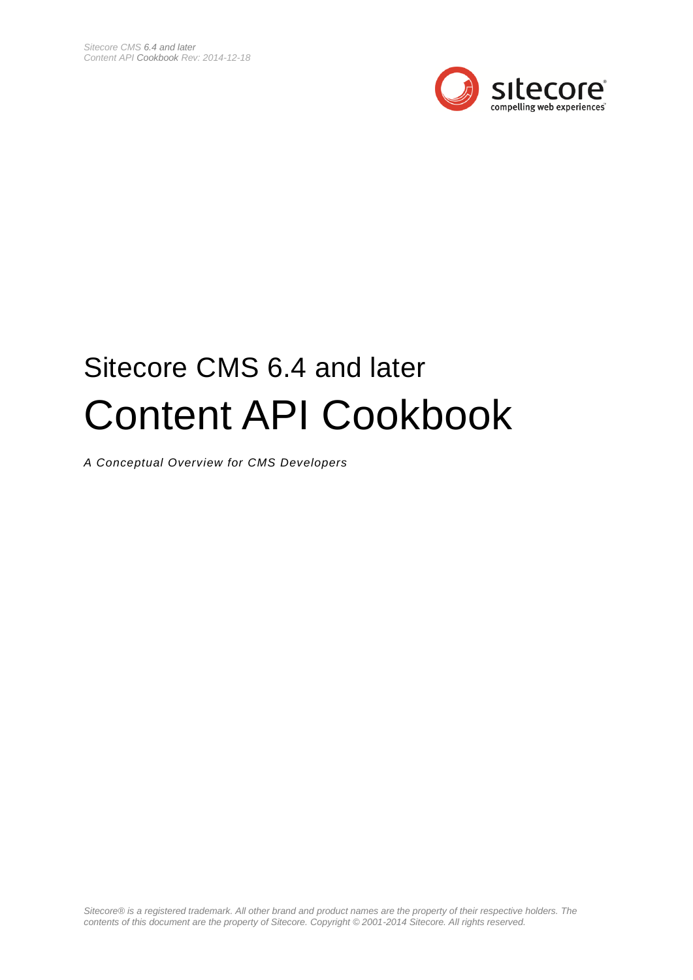

# Sitecore CMS 6.4 and later Content API Cookbook

*A Conceptual Overview for CMS Developers*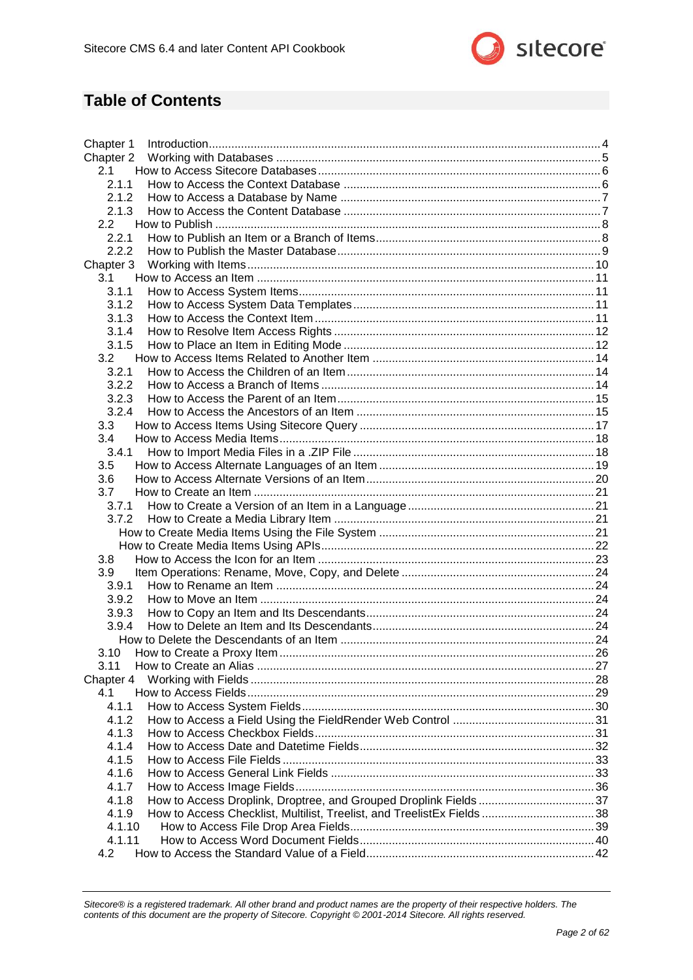

### **Table of Contents**

| Chapter 1                                                                        |  |
|----------------------------------------------------------------------------------|--|
| Chapter 2                                                                        |  |
| 2.1                                                                              |  |
| 2.1.1                                                                            |  |
| 2.1.2                                                                            |  |
| 2.1.3                                                                            |  |
| 2.2                                                                              |  |
| 2.2.1                                                                            |  |
| 2.2.2                                                                            |  |
| Chapter 3                                                                        |  |
| 3.1                                                                              |  |
| 3.1.1                                                                            |  |
| 3.1.2                                                                            |  |
| 3.1.3                                                                            |  |
| 3.1.4                                                                            |  |
| 3.1.5                                                                            |  |
| 3.2<br>3.2.1                                                                     |  |
| 3.2.2                                                                            |  |
|                                                                                  |  |
| 3.2.3<br>3.2.4                                                                   |  |
| 3.3                                                                              |  |
| 3.4                                                                              |  |
| 3.4.1                                                                            |  |
| 3.5                                                                              |  |
| 3.6                                                                              |  |
| 3.7                                                                              |  |
| 3.7.1                                                                            |  |
| 3.7.2                                                                            |  |
|                                                                                  |  |
|                                                                                  |  |
| 3.8                                                                              |  |
| 3.9                                                                              |  |
| 3.9.1                                                                            |  |
| 3.9.2                                                                            |  |
| 3.9.3                                                                            |  |
| 3.9.4                                                                            |  |
|                                                                                  |  |
| 3.10                                                                             |  |
| 3.11                                                                             |  |
| Chapter 4                                                                        |  |
| 4.1                                                                              |  |
| 4.1.1                                                                            |  |
| 4.1.2                                                                            |  |
| 4.1.3                                                                            |  |
| 4.1.4                                                                            |  |
| 4.1.5                                                                            |  |
| 4.1.6                                                                            |  |
| 4.1.7                                                                            |  |
| 4.1.8                                                                            |  |
| 4.1.9<br>How to Access Checklist, Multilist, Treelist, and TreelistEx Fields  38 |  |
| 4.1.10                                                                           |  |
| 4.1.11                                                                           |  |
| 4.2                                                                              |  |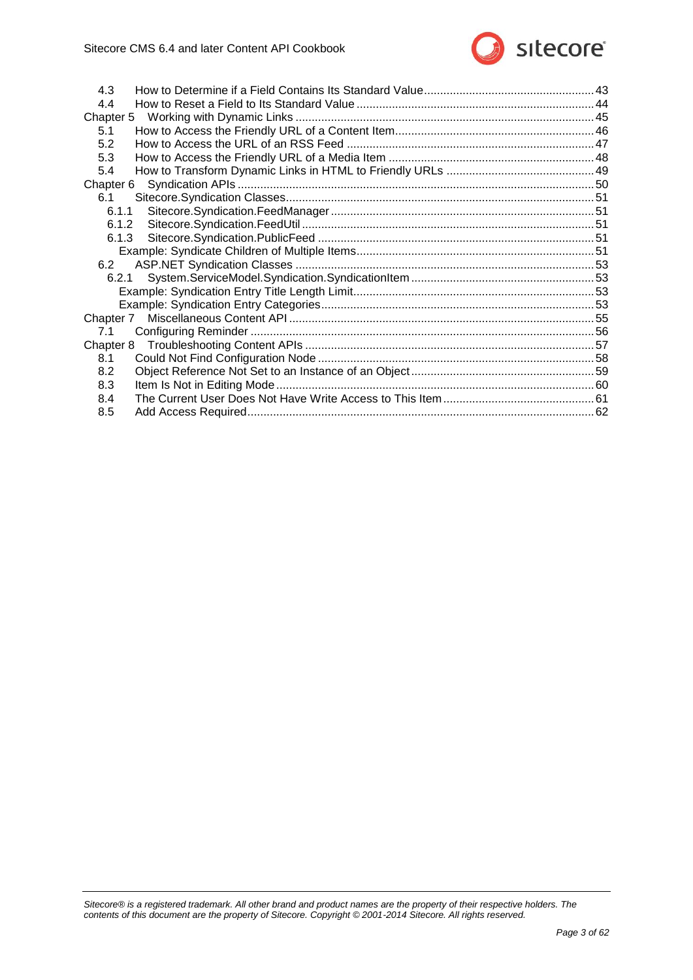

| 4.3   |  |
|-------|--|
| 4.4   |  |
|       |  |
| 5.1   |  |
| 5.2   |  |
| 5.3   |  |
| 5.4   |  |
|       |  |
| 6.1   |  |
|       |  |
| 6.1.2 |  |
| 6.1.3 |  |
|       |  |
| 6.2   |  |
|       |  |
|       |  |
|       |  |
|       |  |
| 7.1   |  |
|       |  |
| 8.1   |  |
| 8.2   |  |
| 8.3   |  |
| 8.4   |  |
| 8.5   |  |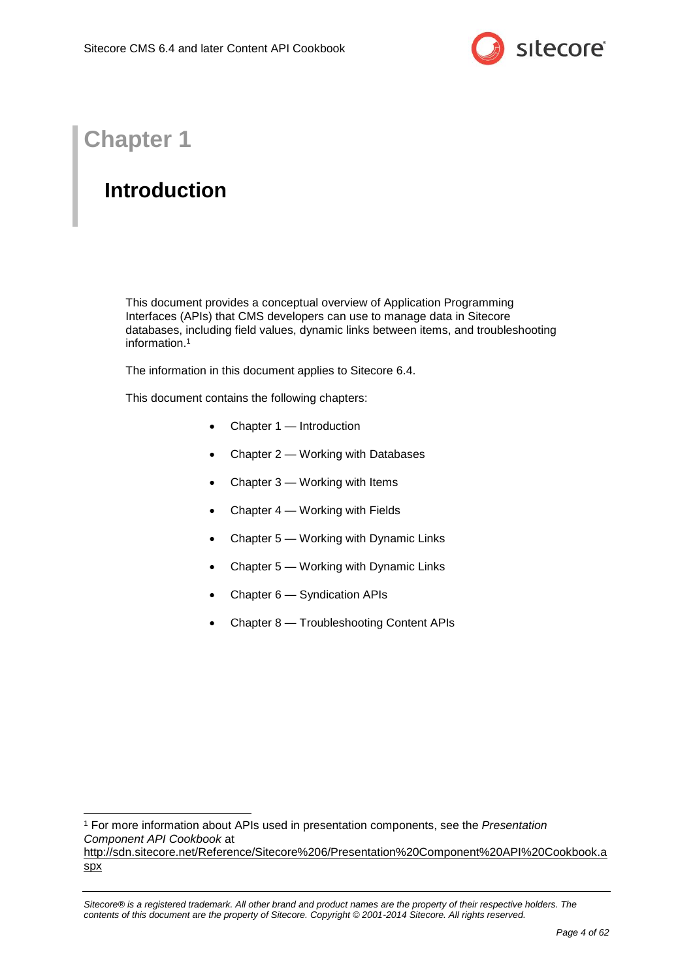

## **Chapter 1**

## <span id="page-3-0"></span>**Introduction**

This document provides a conceptual overview of Application Programming Interfaces (APIs) that CMS developers can use to manage data in Sitecore databases, including field values, dynamic links between items, and troubleshooting information. 1

The information in this document applies to Sitecore 6.4.

This document contains the following chapters:

- [Chapter 1](#page-3-0) [Introduction](#page-3-0)
- [Chapter 2](#page-4-0) [Working with Databases](#page-4-0)
- [Chapter 3](#page-9-0) [Working with Items](#page-9-0)
- [Chapter 4](#page-27-0) [Working with Fields](#page-27-0)
- [Chapter 5](#page-44-0) [Working with Dynamic Links](#page-44-0)
- [Chapter 5](#page-44-0) [Working with Dynamic Links](#page-44-0)
- [Chapter 6](#page-49-0) [Syndication APIs](#page-49-0)
- [Chapter 8](#page-56-1) [Troubleshooting](#page-56-0) Content APIs

<sup>-</sup><sup>1</sup> For more information about APIs used in presentation components, see the *Presentation Component API Cookbook* at [http://sdn.sitecore.net/Reference/Sitecore%206/Presentation%20Component%20API%20Cookbook.a](http://sdn.sitecore.net/Reference/Sitecore%206/Presentation%20Component%20API%20Cookbook.aspx) [spx](http://sdn.sitecore.net/Reference/Sitecore%206/Presentation%20Component%20API%20Cookbook.aspx)

*Sitecore® is a registered trademark. All other brand and product names are the property of their respective holders. The contents of this document are the property of Sitecore. Copyright © 2001-2014 Sitecore. All rights reserved.*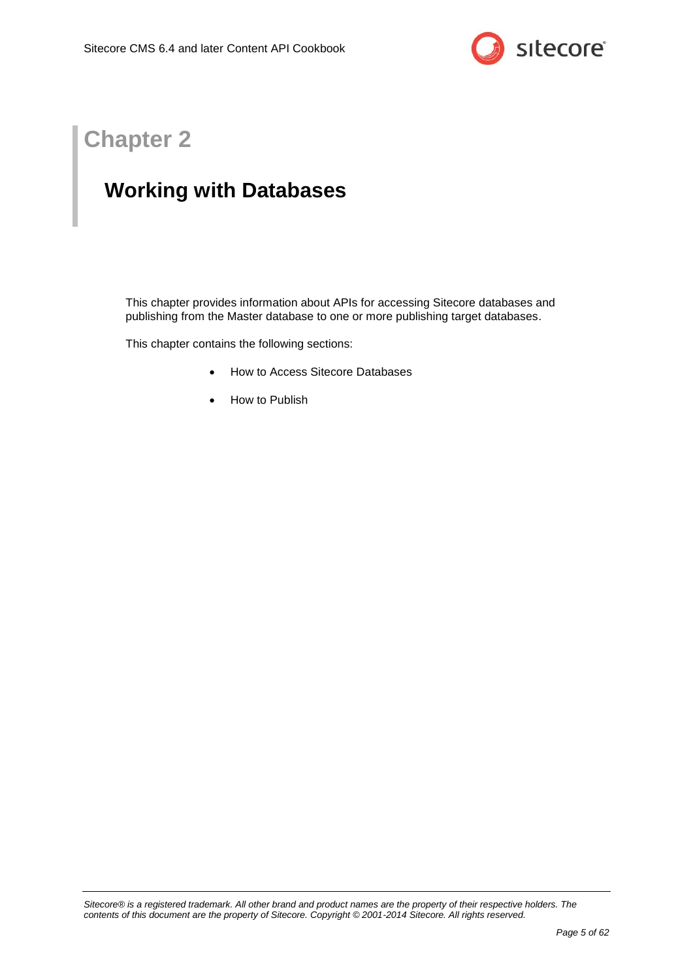

## **Chapter 2**

## <span id="page-4-0"></span>**Working with Databases**

This chapter provides information about APIs for accessing Sitecore databases and publishing from the Master database to one or more publishing target databases.

This chapter contains the following sections:

- [How to Access Sitecore Databases](#page-5-0)
- [How to Publish](#page-7-0)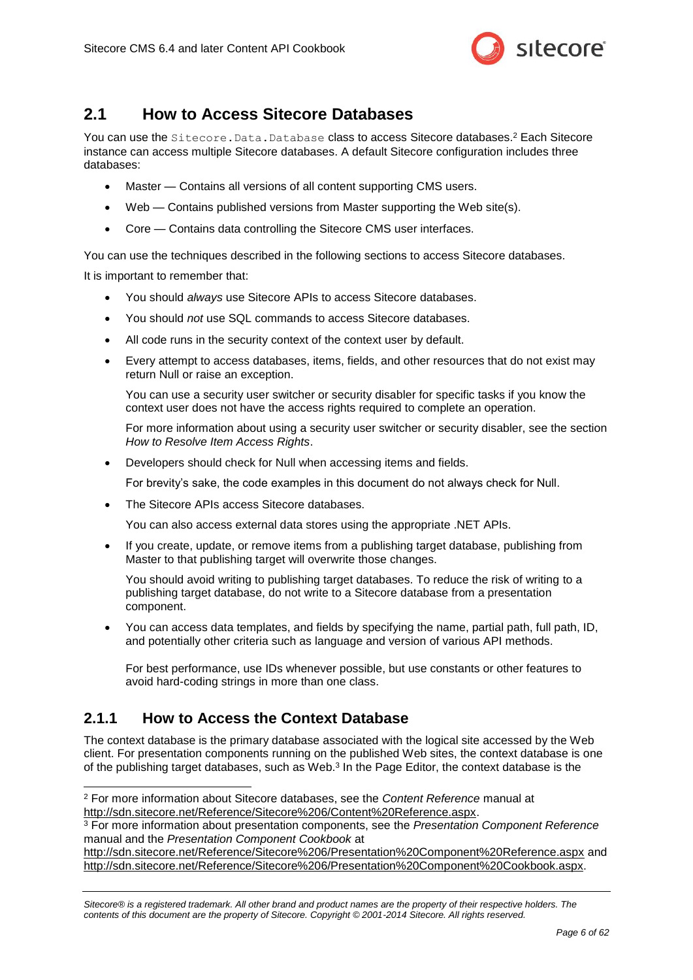

### <span id="page-5-0"></span>**2.1 How to Access Sitecore Databases**

You can use the Sitecore. Data. Database class to access Sitecore databases.<sup>2</sup> Each Sitecore instance can access multiple Sitecore databases. A default Sitecore configuration includes three databases:

- Master Contains all versions of all content supporting CMS users.
- Web Contains published versions from Master supporting the Web site(s).
- Core Contains data controlling the Sitecore CMS user interfaces.

You can use the techniques described in the following sections to access Sitecore databases.

It is important to remember that:

- You should *always* use Sitecore APIs to access Sitecore databases.
- You should *not* use SQL commands to access Sitecore databases.
- All code runs in the security context of the context user by default.
- Every attempt to access databases, items, fields, and other resources that do not exist may return Null or raise an exception.

You can use a security user switcher or security disabler for specific tasks if you know the context user does not have the access rights required to complete an operation.

For more information about using a security user switcher or security disabler, see the section *[How to Resolve Item Access Rights](#page-11-0)*.

Developers should check for Null when accessing items and fields.

For brevity's sake, the code examples in this document do not always check for Null.

• The Sitecore APIs access Sitecore databases.

You can also access external data stores using the appropriate .NET APIs.

 If you create, update, or remove items from a publishing target database, publishing from Master to that publishing target will overwrite those changes.

You should avoid writing to publishing target databases. To reduce the risk of writing to a publishing target database, do not write to a Sitecore database from a presentation component.

 You can access data templates, and fields by specifying the name, partial path, full path, ID, and potentially other criteria such as language and version of various API methods.

For best performance, use IDs whenever possible, but use constants or other features to avoid hard-coding strings in more than one class.

### <span id="page-5-1"></span>**2.1.1 How to Access the Context Database**

-

The context database is the primary database associated with the logical site accessed by the Web client. For presentation components running on the published Web sites, the context database is one of the publishing target databases, such as Web.<sup>3</sup> In the Page Editor, the context database is the

<sup>2</sup> For more information about Sitecore databases, see the *Content Reference* manual at [http://sdn.sitecore.net/Reference/Sitecore%206/Content%20Reference.aspx.](http://sdn.sitecore.net/Reference/Sitecore%206/Content%20Reference.aspx)

<sup>3</sup> For more information about presentation components, see the *Presentation Component Reference* manual and the *Presentation Component Cookbook* at

<http://sdn.sitecore.net/Reference/Sitecore%206/Presentation%20Component%20Reference.aspx> and [http://sdn.sitecore.net/Reference/Sitecore%206/Presentation%20Component%20Cookbook.aspx.](http://sdn.sitecore.net/Reference/Sitecore%206/Presentation%20Component%20Cookbook.aspx)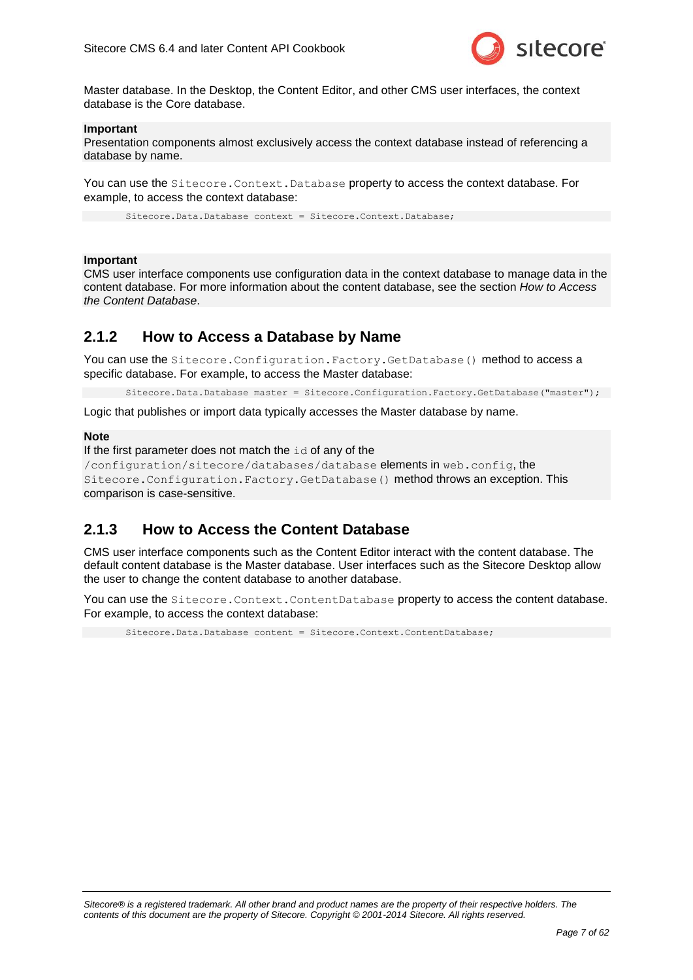

Master database. In the Desktop, the Content Editor, and other CMS user interfaces, the context database is the Core database.

#### **Important**

Presentation components almost exclusively access the context database instead of referencing a database by name.

You can use the Sitecore. Context. Database property to access the context database. For example, to access the context database:

Sitecore.Data.Database context = Sitecore.Context.Database;

#### **Important**

CMS user interface components use configuration data in the context database to manage data in the content database. For more information about the content database, see the section *[How to Access](#page-6-1)  [the Content Database](#page-6-1)*.

### <span id="page-6-0"></span>**2.1.2 How to Access a Database by Name**

You can use the Sitecore. Configuration. Factory. GetDatabase() method to access a specific database. For example, to access the Master database:

Sitecore.Data.Database master = Sitecore.Configuration.Factory.GetDatabase("master");

Logic that publishes or import data typically accesses the Master database by name.

#### **Note**

```
If the first parameter does not match the id of any of the
```

```
/configuration/sitecore/databases/database elements in web.config, the 
Sitecore.Configuration.Factory.GetDatabase() method throws an exception. This 
comparison is case-sensitive.
```
### <span id="page-6-1"></span>**2.1.3 How to Access the Content Database**

CMS user interface components such as the Content Editor interact with the content database. The default content database is the Master database. User interfaces such as the Sitecore Desktop allow the user to change the content database to another database.

You can use the Sitecore. Context. ContentDatabase property to access the content database. For example, to access the context database:

Sitecore. Data. Database content = Sitecore. Context. ContentDatabase;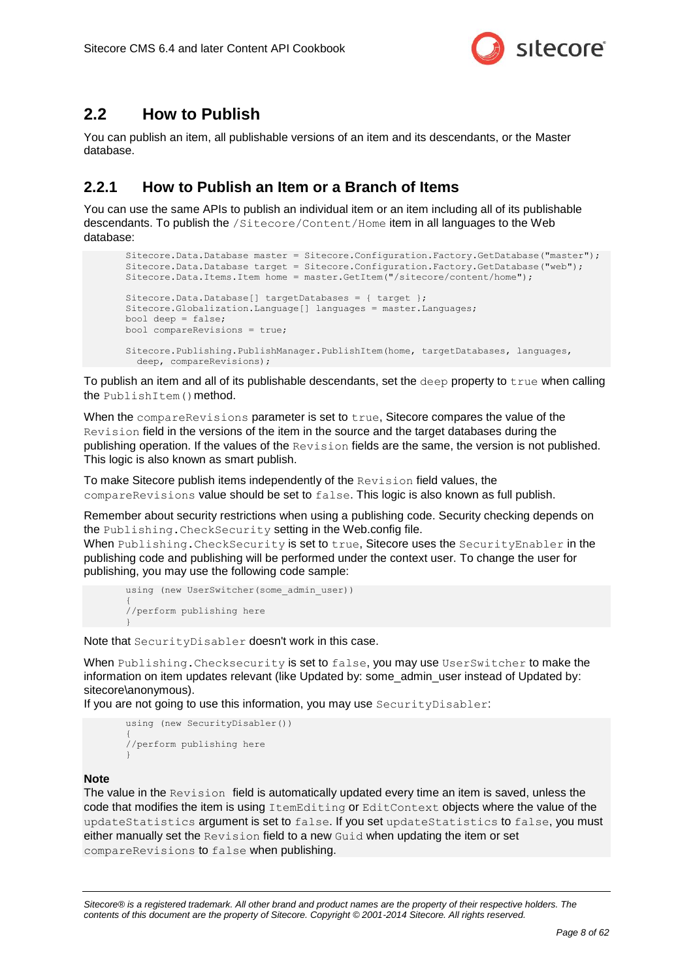

### <span id="page-7-0"></span>**2.2 How to Publish**

You can publish an item, all publishable versions of an item and its descendants, or the Master database.

### <span id="page-7-1"></span>**2.2.1 How to Publish an Item or a Branch of Items**

You can use the same APIs to publish an individual item or an item including all of its publishable descendants. To publish the /Sitecore/Content/Home item in all languages to the Web database:

```
Sitecore.Data.Database master = Sitecore.Configuration.Factory.GetDatabase("master");
Sitecore.Data.Database target = Sitecore.Configuration.Factory.GetDatabase("web");
Sitecore.Data.Items.Item home = master.GetItem("/sitecore/content/home");
Sitecore.Data.Database[] targetDatabases = { target };
Sitecore.Globalization.Language[] languages = master.Languages;
bool deep = false;
bool compareRevisions = true;
Sitecore.Publishing.PublishManager.PublishItem(home, targetDatabases, languages, 
  deep, compareRevisions);
```
To publish an item and all of its publishable descendants, set the deep property to  $true$  when calling the PublishItem() method.

When the compareRevisions parameter is set to true, Sitecore compares the value of the Revision field in the versions of the item in the source and the target databases during the publishing operation. If the values of the Revision fields are the same, the version is not published. This logic is also known as smart publish.

To make Sitecore publish items independently of the Revision field values, the compareRevisions value should be set to false. This logic is also known as full publish.

Remember about security restrictions when using a publishing code. Security checking depends on the Publishing.CheckSecurity setting in the Web.config file.

When Publishing. CheckSecurity is set to true, Sitecore uses the SecurityEnabler in the publishing code and publishing will be performed under the context user. To change the user for publishing, you may use the following code sample:

```
using (new UserSwitcher(some admin user))
{
//perform publishing here
}
```
Note that SecurityDisabler doesn't work in this case.

When Publishing. Checksecurity is set to false, you may use UserSwitcher to make the information on item updates relevant (like Updated by: some\_admin\_user instead of Updated by: sitecore\anonymous).

If you are not going to use this information, you may use SecurityDisabler:

```
using (new SecurityDisabler()) 
{
//perform publishing here
}
```
#### **Note**

The value in the Revision field is automatically updated every time an item is saved, unless the code that modifies the item is using ItemEditing or EditContext objects where the value of the updateStatistics argument is set to false. If you set updateStatistics to false, you must either manually set the Revision field to a new Guid when updating the item or set compareRevisions to false when publishing.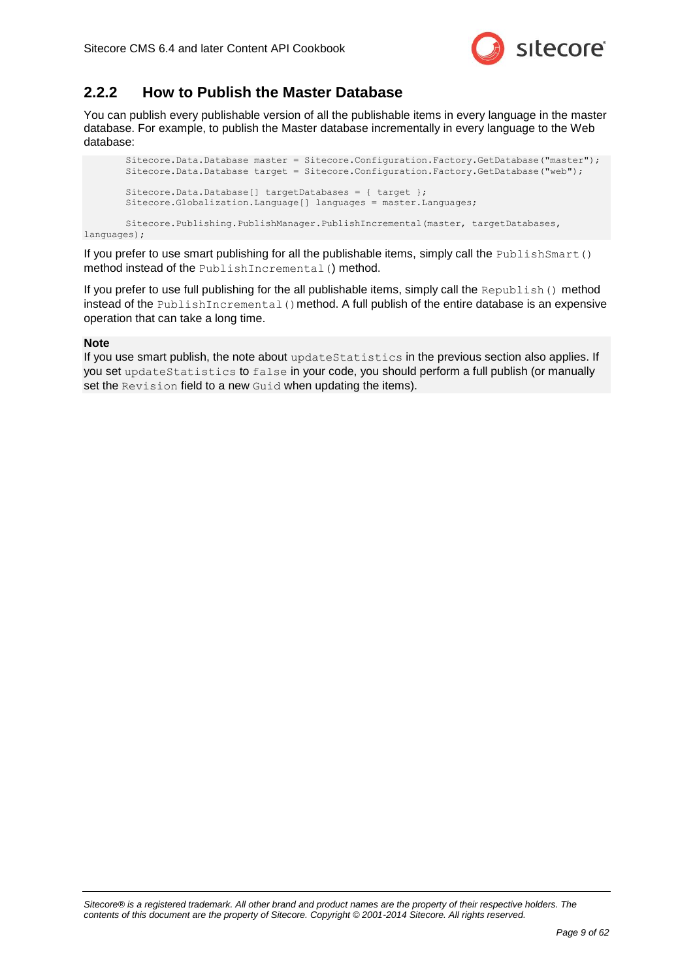

### <span id="page-8-0"></span>**2.2.2 How to Publish the Master Database**

You can publish every publishable version of all the publishable items in every language in the master database. For example, to publish the Master database incrementally in every language to the Web database:

```
Sitecore.Data.Database master = Sitecore.Configuration.Factory.GetDatabase("master");
Sitecore.Data.Database target = Sitecore.Configuration.Factory.GetDatabase("web");
Sitecore.Data.Database[] targetDatabases = { target };
Sitecore.Globalization.Language[] languages = master.Languages;
```
Sitecore.Publishing.PublishManager.PublishIncremental(master, targetDatabases, languages);

If you prefer to use smart publishing for all the publishable items, simply call the PublishSmart() method instead of the PublishIncremental() method.

If you prefer to use full publishing for the all publishable items, simply call the Republish() method instead of the  $\text{PublishIncremental}$  () method. A full publish of the entire database is an expensive operation that can take a long time.

#### **Note**

If you use smart publish, the note about updateStatistics in the previous section also applies. If you set updateStatistics to false in your code, you should perform a full publish (or manually set the Revision field to a new Guid when updating the items).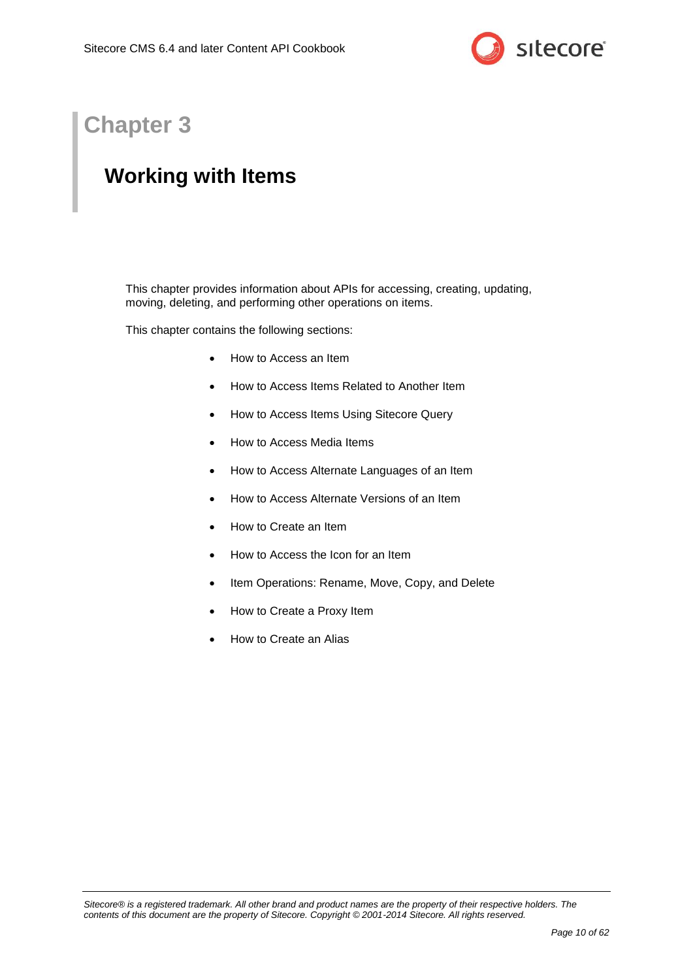

## **Chapter 3**

## <span id="page-9-0"></span>**Working with Items**

This chapter provides information about APIs for accessing, creating, updating, moving, deleting, and performing other operations on items.

This chapter contains the following sections:

- [How to Access an Item](#page-10-0)
- [How to Access Items Related to Another Item](#page-13-0)
- [How to Access Items Using Sitecore Query](#page-16-0)
- [How to Access Media Items](#page-17-0)
- [How to Access Alternate Languages of an Item](#page-18-0)
- [How to Access Alternate Versions of an Item](#page-19-0)
- [How to Create an Item](#page-20-0)
- [How to Access the Icon for an Item](#page-22-0)
- [Item Operations: Rename, Move, Copy, and Delete](#page-23-0)
- [How to Create a Proxy](#page-25-0) Item
- [How to Create an Alias](#page-26-0)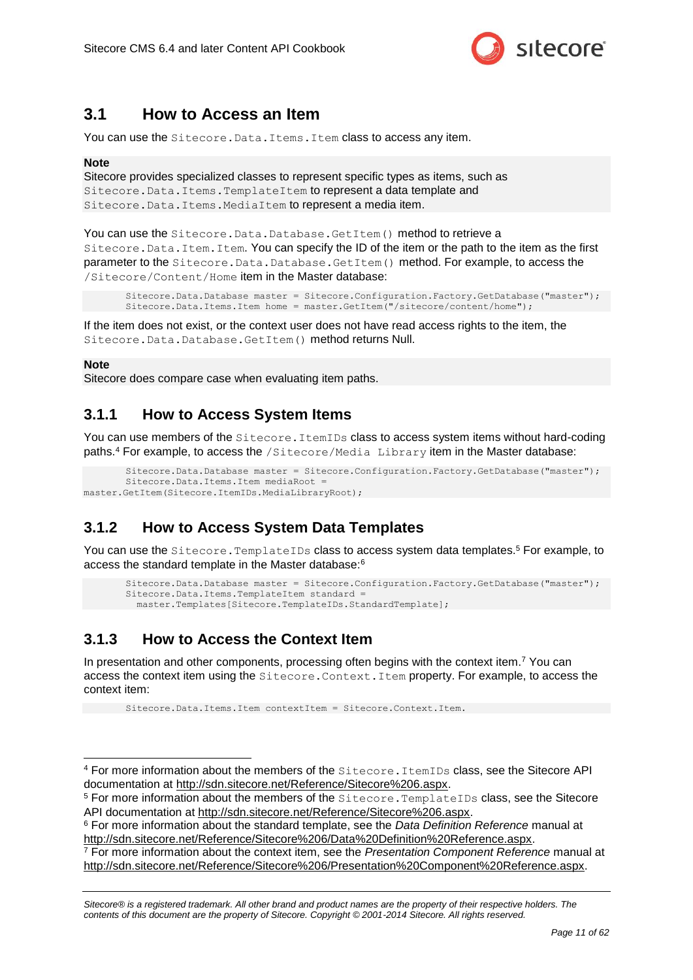

### <span id="page-10-0"></span>**3.1 How to Access an Item**

You can use the Sitecore. Data. Items. Item class to access any item.

#### **Note**

Sitecore provides specialized classes to represent specific types as items, such as Sitecore.Data.Items.TemplateItem to represent a data template and Sitecore.Data.Items.MediaItem to represent a media item.

You can use the Sitecore. Data. Database. GetItem () method to retrieve a Sitecore.Data.Item.Item. You can specify the ID of the item or the path to the item as the first parameter to the Sitecore. Data. Database. GetItem () method. For example, to access the /Sitecore/Content/Home item in the Master database:

```
Sitecore.Data.Database master = Sitecore.Configuration.Factory.GetDatabase("master");
Sitecore.Data.Items.Item home = master.GetItem("/sitecore/content/home");
```
If the item does not exist, or the context user does not have read access rights to the item, the Sitecore.Data.Database.GetItem() method returns Null.

#### **Note**

-

Sitecore does compare case when evaluating item paths.

### <span id="page-10-1"></span>**3.1.1 How to Access System Items**

You can use members of the Sitecore. ItemIDs class to access system items without hard-coding paths.<sup>4</sup> For example, to access the /Sitecore/Media Library item in the Master database:

```
Sitecore.Data.Database master = Sitecore.Configuration.Factory.GetDatabase("master");
       Sitecore. Data. Items. Item mediaRoot :
master.GetItem(Sitecore.ItemIDs.MediaLibraryRoot);
```
### <span id="page-10-2"></span>**3.1.2 How to Access System Data Templates**

You can use the Sitecore. TemplateIDs class to access system data templates.<sup>5</sup> For example, to access the standard template in the Master database:<sup>6</sup>

```
Sitecore.Data.Database master = Sitecore.Configuration.Factory.GetDatabase("master");
Sitecore.Data.Items.TemplateItem standard =
  master.Templates[Sitecore.TemplateIDs.StandardTemplate];
```
### <span id="page-10-3"></span>**3.1.3 How to Access the Context Item**

In presentation and other components, processing often begins with the context item.<sup>7</sup> You can access the context item using the Sitecore.Context.Item property. For example, to access the context item:

Sitecore.Data.Items.Item contextItem = Sitecore.Context.Item.

<sup>7</sup> For more information about the context item, see the *Presentation Component Reference* manual at [http://sdn.sitecore.net/Reference/Sitecore%206/Presentation%20Component%20Reference.aspx.](http://sdn.sitecore.net/Reference/Sitecore%206/Presentation%20Component%20Reference.aspx)

<sup>4</sup> For more information about the members of the Sitecore.ItemIDs class, see the Sitecore API documentation at [http://sdn.sitecore.net/Reference/Sitecore%206.aspx.](http://sdn.sitecore.net/Reference/Sitecore%206.aspx)

<sup>5</sup> For more information about the members of the Sitecore.TemplateIDs class, see the Sitecore API documentation at [http://sdn.sitecore.net/Reference/Sitecore%206.aspx.](http://sdn.sitecore.net/Reference/Sitecore%206.aspx)

<sup>6</sup> For more information about the standard template, see the *Data Definition Reference* manual at [http://sdn.sitecore.net/Reference/Sitecore%206/Data%20Definition%20Reference.aspx.](http://sdn.sitecore.net/Reference/Sitecore%206/Data%20Definition%20Reference.aspx)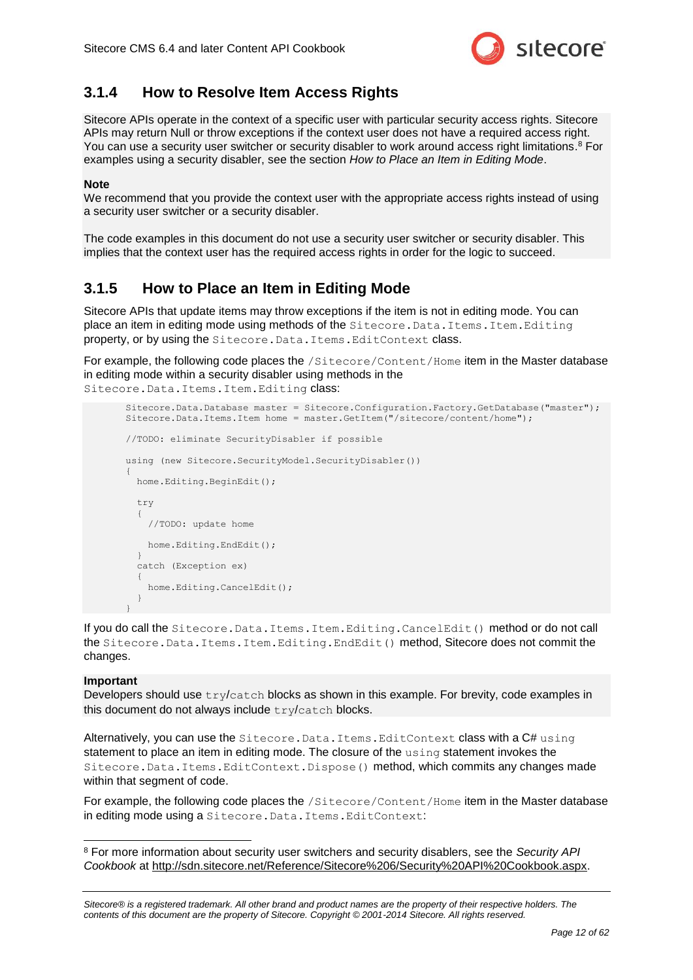

### <span id="page-11-0"></span>**3.1.4 How to Resolve Item Access Rights**

Sitecore APIs operate in the context of a specific user with particular security access rights. Sitecore APIs may return Null or throw exceptions if the context user does not have a required access right. You can use a security user switcher or security disabler to work around access right limitations.<sup>8</sup> For examples using a security disabler, see the section *[How to Place an Item in Editing Mode](#page-11-1)*.

#### <span id="page-11-2"></span>**Note**

We recommend that you provide the context user with the appropriate access rights instead of using a security user switcher or a security disabler.

The code examples in this document do not use a security user switcher or security disabler. This implies that the context user has the required access rights in order for the logic to succeed.

### <span id="page-11-1"></span>**3.1.5 How to Place an Item in Editing Mode**

Sitecore APIs that update items may throw exceptions if the item is not in editing mode. You can place an item in editing mode using methods of the Sitecore. Data. Items. Item. Editing property, or by using the Sitecore. Data. Items. EditContext class.

For example, the following code places the /Sitecore/Content/Home item in the Master database in editing mode within a security disabler using methods in the Sitecore.Data.Items.Item.Editing class:

```
Sitecore.Data.Database master = Sitecore.Configuration.Factory.GetDatabase("master");
Sitecore.Data.Items.Item home = master.GetItem("/sitecore/content/home");
//TODO: eliminate SecurityDisabler if possible
using (new Sitecore.SecurityModel.SecurityDisabler())
{
   home.Editing.BeginEdit();
   try
\left\{\right. //TODO: update home
     home.Editing.EndEdit();
 }
   catch (Exception ex)
\left\{\right. home.Editing.CancelEdit();
 }
}
```
If you do call the Sitecore. Data. Items. Item. Editing. CancelEdit() method or do not call the Sitecore.Data.Items.Item.Editing.EndEdit() method, Sitecore does not commit the changes.

#### **Important**

-

Developers should use  $try/catch$  blocks as shown in this example. For brevity, code examples in this document do not always include try/catch blocks.

Alternatively, you can use the Sitecore. Data. Items. EditContext class with a C# using statement to place an item in editing mode. The closure of the using statement invokes the Sitecore.Data.Items.EditContext.Dispose() method, which commits any changes made within that segment of code.

For example, the following code places the /Sitecore/Content/Home item in the Master database in editing mode using a Sitecore. Data. Items. EditContext:

<sup>8</sup> For more information about security user switchers and security disablers, see the *Security API Cookbook* at [http://sdn.sitecore.net/Reference/Sitecore%206/Security%20API%20Cookbook.aspx.](http://sdn.sitecore.net/Reference/Sitecore%206/Security%20API%20Cookbook.aspx)

*Sitecore® is a registered trademark. All other brand and product names are the property of their respective holders. The contents of this document are the property of Sitecore. Copyright © 2001-2014 Sitecore. All rights reserved.*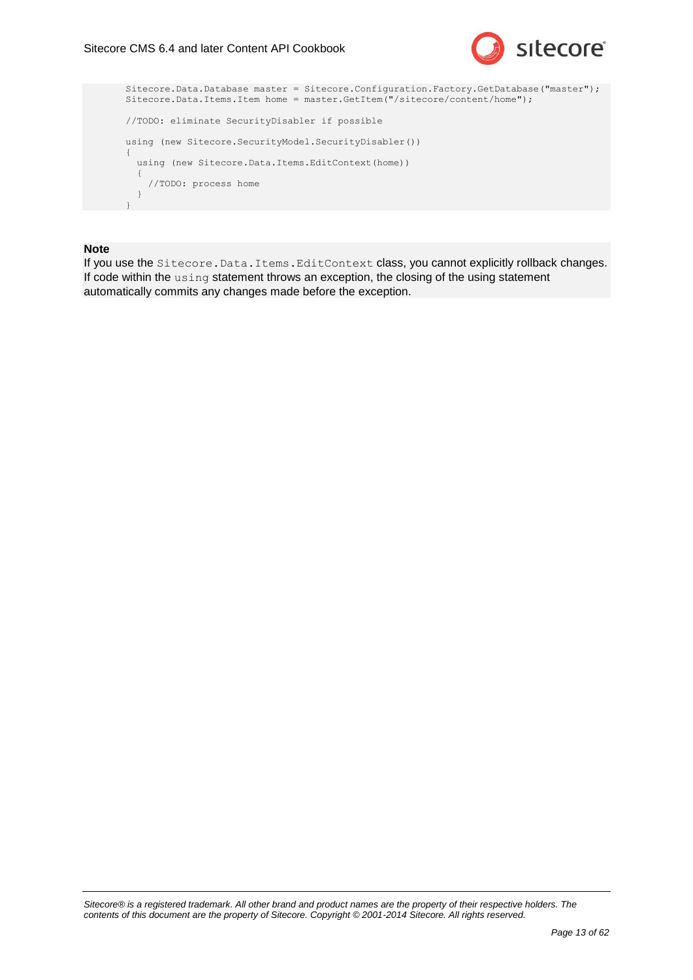

```
Sitecore.Data.Database master = Sitecore.Configuration.Factory.GetDatabase("master");
Sitecore.Data.Items.Item home = master.GetItem("/sitecore/content/home");
//TODO: eliminate SecurityDisabler if possible
using (new Sitecore.SecurityModel.SecurityDisabler())
{
 using (new Sitecore.Data.Items.EditContext(home))
   {
     //TODO: process home
   }
}
```
#### **Note**

If you use the Sitecore. Data. Items. EditContext class, you cannot explicitly rollback changes. If code within the using statement throws an exception, the closing of the using statement automatically commits any changes made before the exception.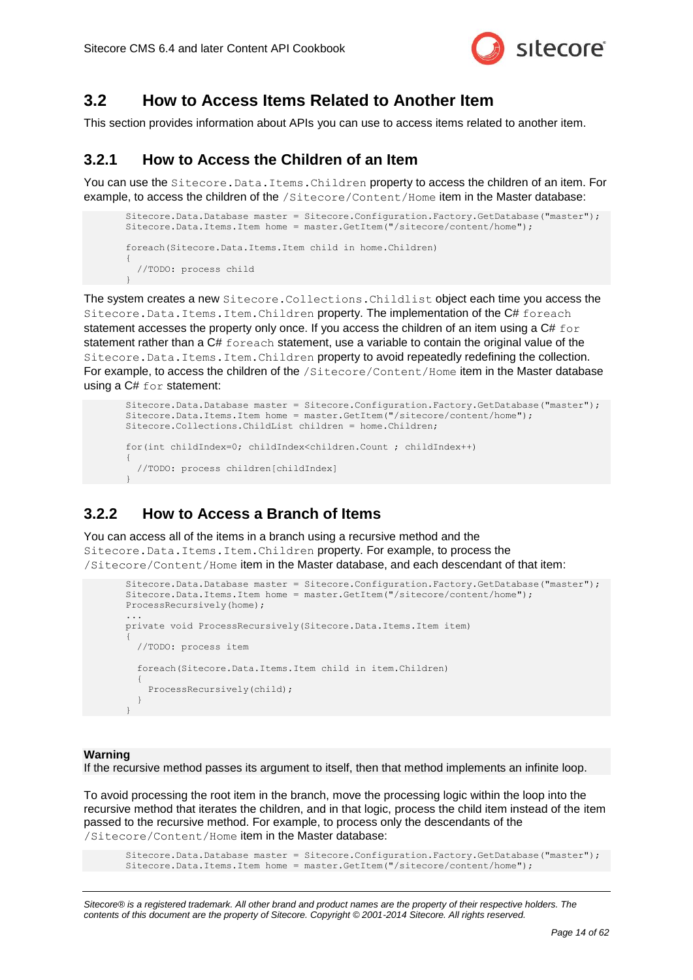

### <span id="page-13-0"></span>**3.2 How to Access Items Related to Another Item**

<span id="page-13-1"></span>This section provides information about APIs you can use to access items related to another item.

### **3.2.1 How to Access the Children of an Item**

You can use the Sitecore. Data. Items. Children property to access the children of an item. For example, to access the children of the /Sitecore/Content/Home item in the Master database:

```
Sitecore.Data.Database master = Sitecore.Configuration.Factory.GetDatabase("master");
Sitecore.Data.Items.Item home = master.GetItem("/sitecore/content/home");
foreach(Sitecore.Data.Items.Item child in home.Children)
{
   //TODO: process child
}
```
The system creates a new Sitecore.Collections.Childlist object each time you access the Sitecore.Data.Items.Item.Children property. The implementation of the C# foreach statement accesses the property only once. If you access the children of an item using a  $C#$  for statement rather than a C# foreach statement, use a variable to contain the original value of the Sitecore.Data.Items.Item.Children property to avoid repeatedly redefining the collection. For example, to access the children of the /Sitecore/Content/Home item in the Master database using a C# for statement:

```
Sitecore.Data.Database master = Sitecore.Configuration.Factory.GetDatabase("master");
Sitecore.Data.Items.Item home = master.GetItem("/sitecore/content/home");
Sitecore.Collections.ChildList children = home.Children;
for(int childIndex=0; childIndex<children.Count ; childIndex++)
{
   //TODO: process children[childIndex]
}
```
### <span id="page-13-2"></span>**3.2.2 How to Access a Branch of Items**

You can access all of the items in a branch using a recursive method and the Sitecore.Data.Items.Item.Children property. For example, to process the /Sitecore/Content/Home item in the Master database, and each descendant of that item:

```
Sitecore.Data.Database master = Sitecore.Configuration.Factory.GetDatabase("master");
Sitecore.Data.Items.Item home = master.GetItem("/sitecore/content/home");
ProcessRecursively(home);
...
private void ProcessRecursively(Sitecore.Data.Items.Item item)
{
   //TODO: process item
   foreach(Sitecore.Data.Items.Item child in item.Children)
\left\{\right. ProcessRecursively(child);
 }
}
```
#### **Warning**

If the recursive method passes its argument to itself, then that method implements an infinite loop.

To avoid processing the root item in the branch, move the processing logic within the loop into the recursive method that iterates the children, and in that logic, process the child item instead of the item passed to the recursive method. For example, to process only the descendants of the /Sitecore/Content/Home item in the Master database:

Sitecore.Data.Database master = Sitecore.Configuration.Factory.GetDatabase("master"); Sitecore.Data.Items.Item home = master.GetItem("/sitecore/content/home");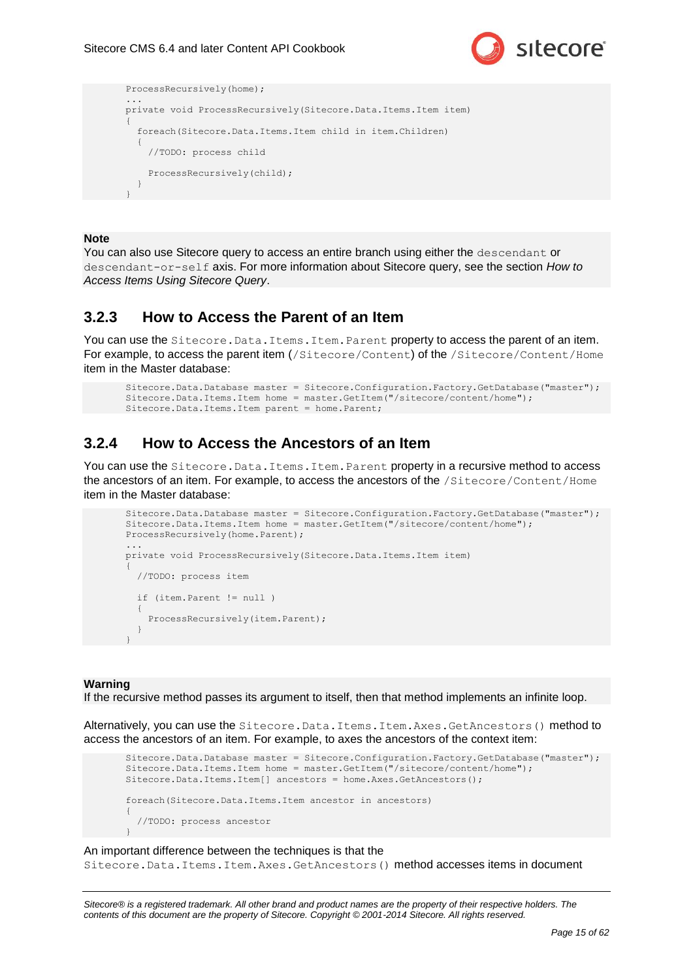



#### **Note**

You can also use Sitecore query to access an entire branch using either the descendant or descendant-or-self axis. For more information about Sitecore query, see the section *[How to](#page-16-0)  [Access Items Using Sitecore Query](#page-16-0)*.

### <span id="page-14-0"></span>**3.2.3 How to Access the Parent of an Item**

You can use the Sitecore. Data. Items. Item. Parent property to access the parent of an item. For example, to access the parent item (/Sitecore/Content) of the /Sitecore/Content/Home item in the Master database:

```
Sitecore.Data.Database master = Sitecore.Configuration.Factory.GetDatabase("master");
Sitecore.Data.Items.Item home = master.GetItem("/sitecore/content/home");
Sitecore.Data.Items.Item parent = home.Parent;
```
### <span id="page-14-1"></span>**3.2.4 How to Access the Ancestors of an Item**

You can use the Sitecore. Data. Items. Item. Parent property in a recursive method to access the ancestors of an item. For example, to access the ancestors of the /Sitecore/Content/Home item in the Master database:

```
Sitecore.Data.Database master = Sitecore.Configuration.Factory.GetDatabase("master");
Sitecore.Data.Items.Item home = master.GetItem("/sitecore/content/home");
ProcessRecursively(home.Parent);
...
private void ProcessRecursively(Sitecore.Data.Items.Item item)
{
   //TODO: process item
   if (item.Parent != null )
   {
    ProcessRecursively(item.Parent);
 }
}
```
#### **Warning**

If the recursive method passes its argument to itself, then that method implements an infinite loop.

Alternatively, you can use the Sitecore. Data. Items. Item. Axes. GetAncestors() method to access the ancestors of an item. For example, to axes the ancestors of the context item:

```
Sitecore.Data.Database master = Sitecore.Configuration.Factory.GetDatabase("master");
Sitecore.Data.Items.Item home = master.GetItem("/sitecore/content/home");
Sitecore.Data.Items.Item[] ancestors = home.Axes.GetAncestors();
foreach(Sitecore.Data.Items.Item ancestor in ancestors)
{
   //TODO: process ancestor
}
```
#### An important difference between the techniques is that the

Sitecore.Data.Items.Item.Axes.GetAncestors() method accesses items in document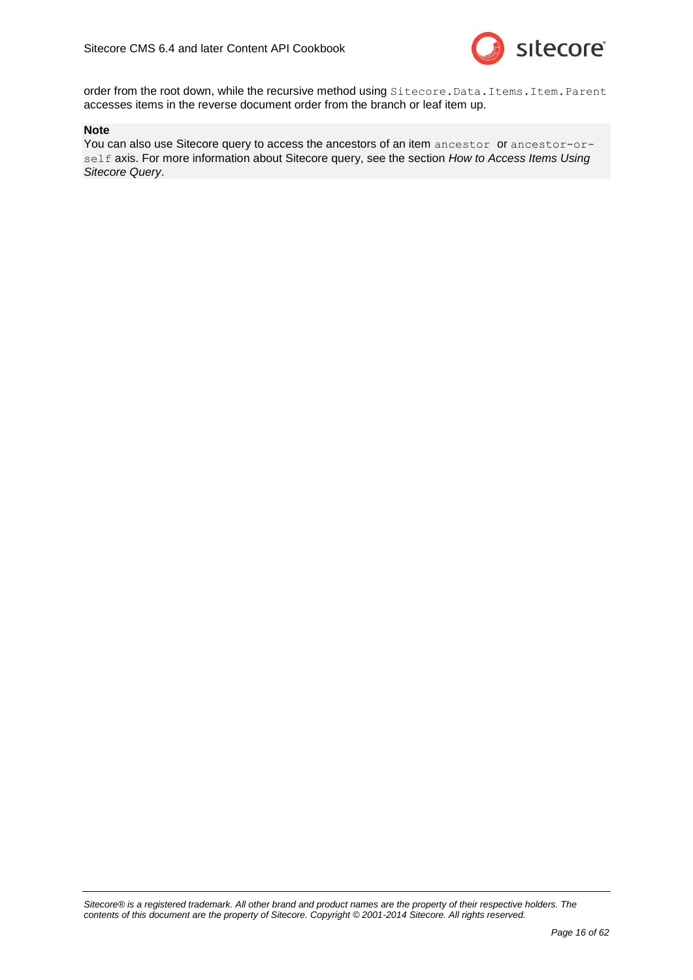

order from the root down, while the recursive method using Sitecore. Data. Items. Item. Parent accesses items in the reverse document order from the branch or leaf item up.

#### **Note**

You can also use Sitecore query to access the ancestors of an item ancestor or ancestor-orself axis. For more information about Sitecore query, see the section *[How to Access Items Using](#page-16-0)  [Sitecore Query](#page-16-0)*.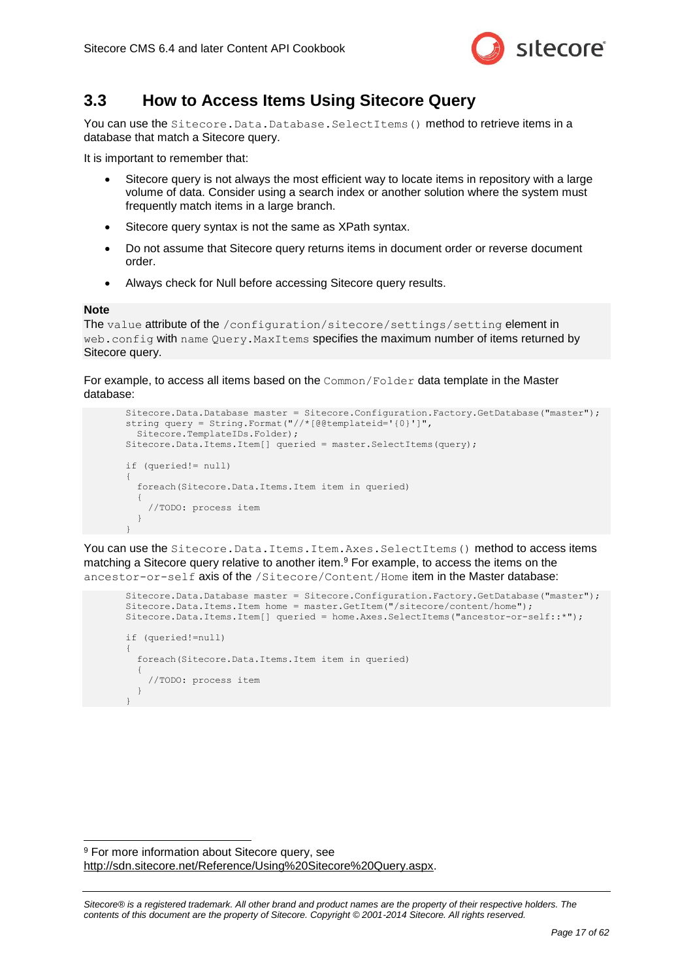

### <span id="page-16-0"></span>**3.3 How to Access Items Using Sitecore Query**

You can use the Sitecore. Data. Database. SelectItems () method to retrieve items in a database that match a Sitecore query.

It is important to remember that:

- Sitecore query is not always the most efficient way to locate items in repository with a large volume of data. Consider using a search index or another solution where the system must frequently match items in a large branch.
- Sitecore query syntax is not the same as XPath syntax.
- Do not assume that Sitecore query returns items in document order or reverse document order.
- Always check for Null before accessing Sitecore query results.

#### **Note**

-

The value attribute of the /configuration/sitecore/settings/setting element in web.config with name Query.MaxItems specifies the maximum number of items returned by Sitecore query.

For example, to access all items based on the Common/Folder data template in the Master database:

```
Sitecore.Data.Database master = Sitecore.Configuration.Factory.GetDatabase("master");
string query = String.Format("//*[@@templateid='{0}']",
  Sitecore.TemplateIDs.Folder);
Sitecore.Data.Items.Item[] queried = master.SelectItems(query);
if (queried!= null)
{
  foreach(Sitecore.Data.Items.Item item in queried)
   {
     //TODO: process item
   }
}
```
You can use the Sitecore. Data. Items. Item. Axes. SelectItems() method to access items matching a Sitecore query relative to another item.<sup>9</sup> For example, to access the items on the ancestor-or-self axis of the /Sitecore/Content/Home item in the Master database:

```
Sitecore.Data.Database master = Sitecore.Configuration.Factory.GetDatabase("master");
Sitecore.Data.Items.Item home = master.GetItem("/sitecore/content/home");
Sitecore.Data.Items.Item[] queried = home.Axes.SelectItems("ancestor-or-self::*");
if (queried!=null)
{
   foreach(Sitecore.Data.Items.Item item in queried)
   {
     //TODO: process item
 }
}
```
<sup>&</sup>lt;sup>9</sup> For more information about Sitecore query, see [http://sdn.sitecore.net/Reference/Using%20Sitecore%20Query.aspx.](http://sdn.sitecore.net/Reference/Using%20Sitecore%20Query.aspx)

*Sitecore® is a registered trademark. All other brand and product names are the property of their respective holders. The contents of this document are the property of Sitecore. Copyright © 2001-2014 Sitecore. All rights reserved.*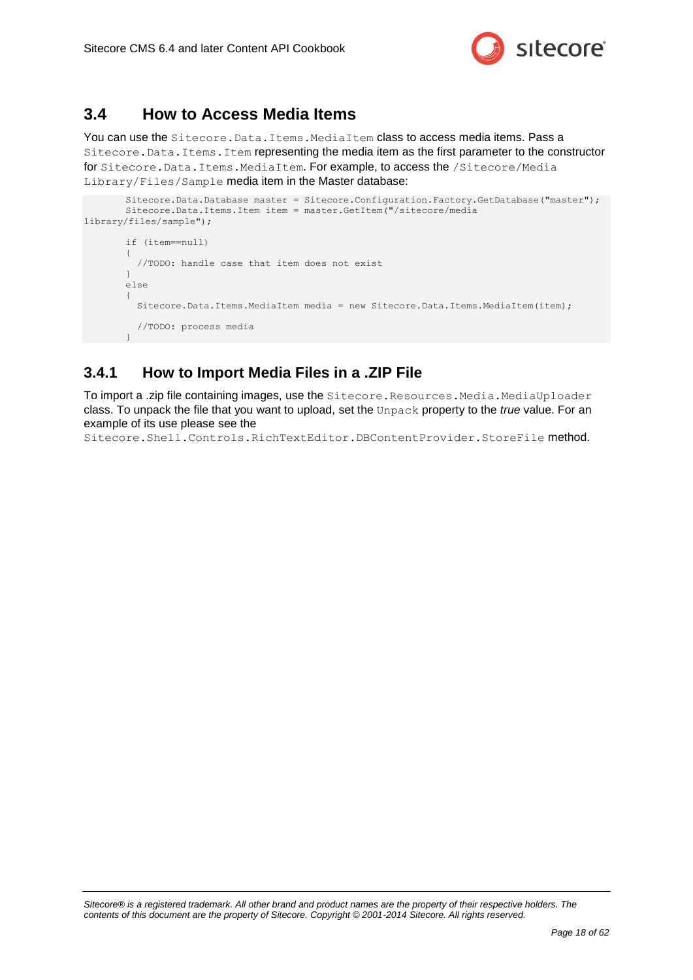

### <span id="page-17-0"></span>**3.4 How to Access Media Items**

You can use the Sitecore. Data. Items. MediaItem class to access media items. Pass a Sitecore.Data.Items.Item representing the media item as the first parameter to the constructor for Sitecore. Data. Items. MediaItem. For example, to access the /Sitecore/Media Library/Files/Sample media item in the Master database:

```
Sitecore.Data.Database master = Sitecore.Configuration.Factory.GetDatabase("master");
       Sitecore.Data.Items.Item item = master.GetItem("/sitecore/media 
library/files/sample");
       if (item==null)
        {
          //TODO: handle case that item does not exist
        }
       else
        {
          Sitecore.Data.Items.MediaItem media = new Sitecore.Data.Items.MediaItem(item);
          //TODO: process media
        }
```
### <span id="page-17-1"></span>**3.4.1 How to Import Media Files in a .ZIP File**

To import a .zip file containing images, use the Sitecore. Resources. Media. MediaUploader class. To unpack the file that you want to upload, set the Unpack property to the *true* value. For an example of its use please see the

Sitecore.Shell.Controls.RichTextEditor.DBContentProvider.StoreFile method.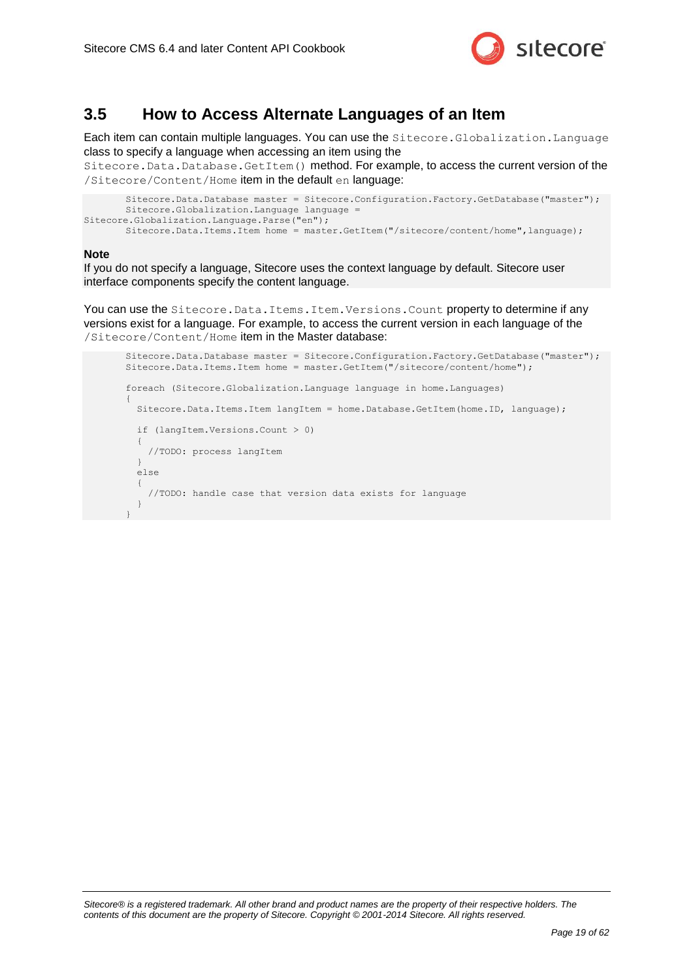

### <span id="page-18-0"></span>**3.5 How to Access Alternate Languages of an Item**

Each item can contain multiple languages. You can use the Sitecore.Globalization.Language class to specify a language when accessing an item using the

Sitecore.Data.Database.GetItem() method. For example, to access the current version of the /Sitecore/Content/Home item in the default en language:

```
Sitecore.Data.Database master = Sitecore.Configuration.Factory.GetDatabase("master");
       Sitecore.Globalization.Language language = 
Sitecore.Globalization.Language.Parse("en");
       Sitecore.Data.Items.Item home = master.GetItem("/sitecore/content/home",language);
```
#### **Note**

If you do not specify a language, Sitecore uses the context language by default. Sitecore user interface components specify the content language.

You can use the Sitecore. Data. Items. Item. Versions. Count property to determine if any versions exist for a language. For example, to access the current version in each language of the /Sitecore/Content/Home item in the Master database:

```
Sitecore.Data.Database master = Sitecore.Configuration.Factory.GetDatabase("master");
Sitecore.Data.Items.Item home = master.GetItem("/sitecore/content/home");
foreach (Sitecore.Globalization.Language language in home.Languages)
{
   Sitecore.Data.Items.Item langItem = home.Database.GetItem(home.ID, language);
   if (langItem.Versions.Count > 0)
\left\{ \begin{array}{c} \end{array} \right. //TODO: process langItem
 }
   else
   {
     //TODO: handle case that version data exists for language
 }
}
```

```
Sitecore® is a registered trademark. All other brand and product names are the property of their respective holders. The 
contents of this document are the property of Sitecore. Copyright © 2001-2014 Sitecore. All rights reserved.
```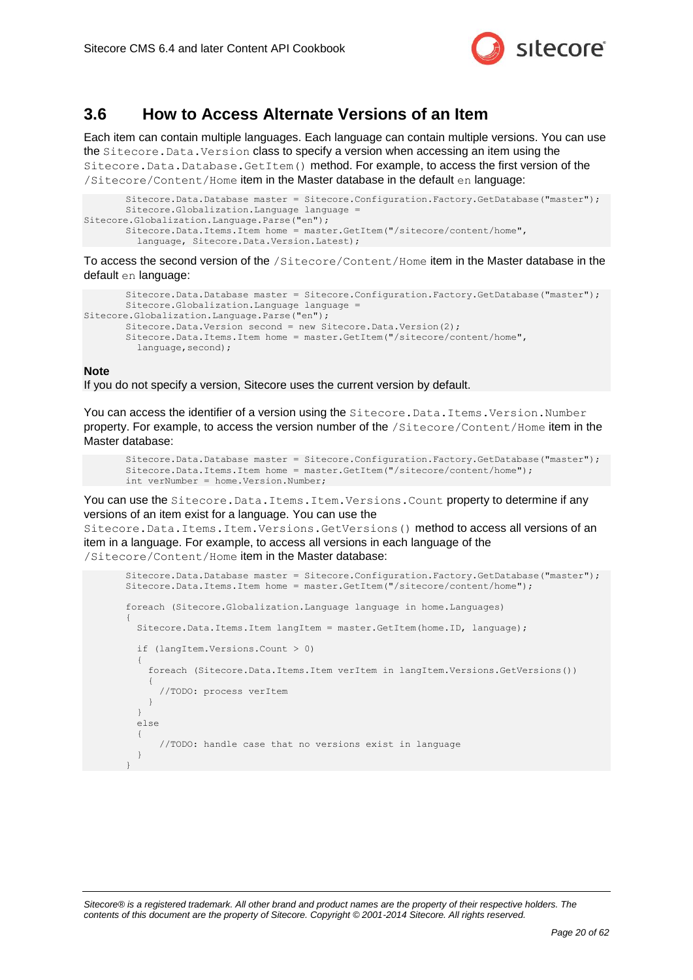

### <span id="page-19-0"></span>**3.6 How to Access Alternate Versions of an Item**

Each item can contain multiple languages. Each language can contain multiple versions. You can use the Sitecore.Data.Version class to specify a version when accessing an item using the Sitecore.Data.Database.GetItem() method. For example, to access the first version of the /Sitecore/Content/Home item in the Master database in the default en language:

```
Sitecore.Data.Database master = Sitecore.Configuration.Factory.GetDatabase("master");
       Sitecore.Globalization.Language language = 
Sitecore.Globalization.Language.Parse("en");
       Sitecore.Data.Items.Item home = master.GetItem("/sitecore/content/home",
          language, Sitecore.Data.Version.Latest);
```
To access the second version of the /Sitecore/Content/Home item in the Master database in the default en language:

```
Sitecore.Data.Database master = Sitecore.Configuration.Factory.GetDatabase("master");
       Sitecore.Globalization.Language language
Sitecore.Globalization.Language.Parse("en");
       Sitecore.Data.Version second = new Sitecore.Data.Version(2);
       Sitecore.Data.Items.Item home = master.GetItem("/sitecore/content/home",
         language, second);
```
#### **Note**

If you do not specify a version, Sitecore uses the current version by default.

You can access the identifier of a version using the Sitecore. Data. Items. Version. Number property. For example, to access the version number of the /Sitecore/Content/Home item in the Master database:

```
Sitecore.Data.Database master = Sitecore.Configuration.Factory.GetDatabase("master");
Sitecore.Data.Items.Item home = master.GetItem("/sitecore/content/home");
int verNumber = home.Version.Number;
```
You can use the Sitecore. Data. Items. Item. Versions. Count property to determine if any versions of an item exist for a language. You can use the

Sitecore.Data.Items.Item.Versions.GetVersions() method to access all versions of an item in a language. For example, to access all versions in each language of the /Sitecore/Content/Home item in the Master database:

```
Sitecore.Data.Database master = Sitecore.Configuration.Factory.GetDatabase("master");
Sitecore.Data.Items.Item home = master.GetItem("/sitecore/content/home");
foreach (Sitecore.Globalization.Language language in home.Languages)
{
   Sitecore.Data.Items.Item langItem = master.GetItem(home.ID, language);
   if (langItem.Versions.Count > 0)
\left\{ \begin{array}{c} \end{array} \right. foreach (Sitecore.Data.Items.Item verItem in langItem.Versions.GetVersions())
\left\{\begin{array}{ccc} \end{array}\right\} //TODO: process verItem
      }
 }
   else
\left\{ \begin{array}{c} \end{array} \right. //TODO: handle case that no versions exist in language
 }
}
```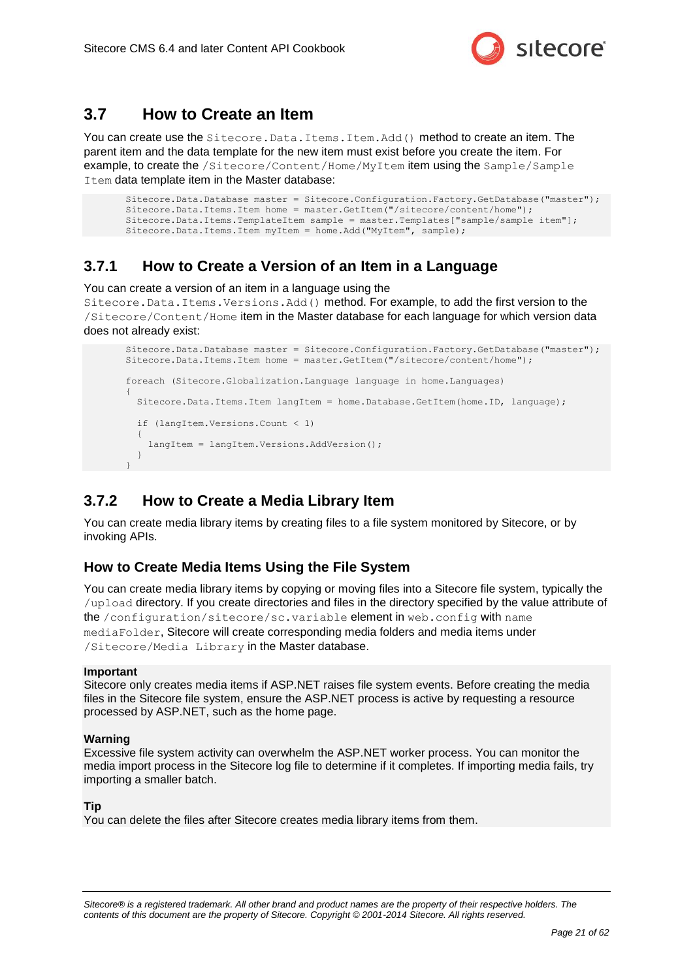

### <span id="page-20-0"></span>**3.7 How to Create an Item**

You can create use the Sitecore. Data. Items. Item. Add () method to create an item. The parent item and the data template for the new item must exist before you create the item. For example, to create the /Sitecore/Content/Home/MyItem item using the Sample/Sample Item data template item in the Master database:

```
Sitecore.Data.Database master = Sitecore.Configuration.Factory.GetDatabase("master");
Sitecore.Data.Items.Item home = master.GetItem("/sitecore/content/home");
Sitecore.Data.Items.TemplateItem sample = master.Templates["sample/sample item"];
Sitecore.Data.Items.Item myItem = home.Add("MyItem", sample);
```
### <span id="page-20-1"></span>**3.7.1 How to Create a Version of an Item in a Language**

You can create a version of an item in a language using the

Sitecore.Data.Items.Versions.Add() method. For example, to add the first version to the /Sitecore/Content/Home item in the Master database for each language for which version data does not already exist:

```
Sitecore.Data.Database master = Sitecore.Configuration.Factory.GetDatabase("master");
Sitecore.Data.Items.Item home = master.GetItem("/sitecore/content/home");
foreach (Sitecore.Globalization.Language language in home.Languages)
{
   Sitecore.Data.Items.Item langItem = home.Database.GetItem(home.ID, language);
   if (langItem.Versions.Count < 1)
\left\{ \begin{array}{c} \end{array} \right.langItem = langItem.Versions.AddVersion();
 }
}
```
### <span id="page-20-2"></span>**3.7.2 How to Create a Media Library Item**

You can create media library items by creating files to a file system monitored by Sitecore, or by invoking APIs.

### <span id="page-20-3"></span>**How to Create Media Items Using the File System**

You can create media library items by copying or moving files into a Sitecore file system, typically the /upload directory. If you create directories and files in the directory specified by the value attribute of the /configuration/sitecore/sc.variable element in web.config with name mediaFolder, Sitecore will create corresponding media folders and media items under /Sitecore/Media Library in the Master database.

#### **Important**

Sitecore only creates media items if ASP.NET raises file system events. Before creating the media files in the Sitecore file system, ensure the ASP.NET process is active by requesting a resource processed by ASP.NET, such as the home page.

#### **Warning**

Excessive file system activity can overwhelm the ASP.NET worker process. You can monitor the media import process in the Sitecore log file to determine if it completes. If importing media fails, try importing a smaller batch.

#### **Tip**

You can delete the files after Sitecore creates media library items from them.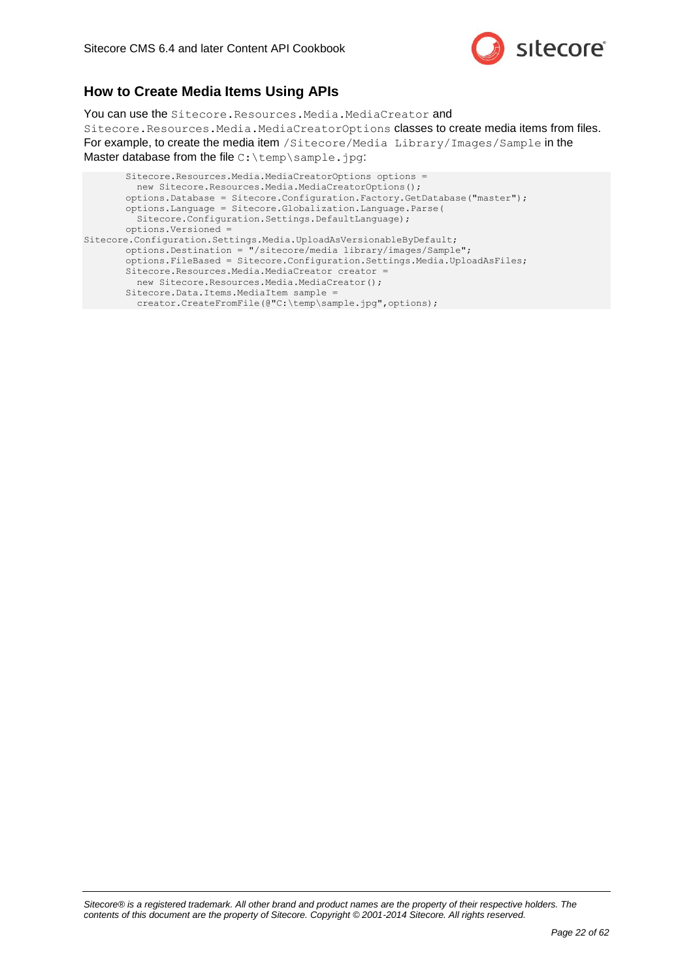

### <span id="page-21-0"></span>**How to Create Media Items Using APIs**

You can use the Sitecore. Resources. Media. MediaCreator and Sitecore.Resources.Media.MediaCreatorOptions classes to create media items from files. For example, to create the media item /Sitecore/Media Library/Images/Sample in the Master database from the file C: \temp\sample.jpg:

```
Sitecore.Resources.Media.MediaCreatorOptions options =
         new Sitecore.Resources.Media.MediaCreatorOptions();
       options.Database = Sitecore.Configuration.Factory.GetDatabase("master");
       options.Language = Sitecore.Globalization.Language.Parse( 
         Sitecore.Configuration.Settings.DefaultLanguage);
       options.Versioned = 
Sitecore.Configuration.Settings.Media.UploadAsVersionableByDefault;
       options.Destination = "/sitecore/media library/images/Sample";
       options.FileBased = Sitecore.Configuration.Settings.Media.UploadAsFiles;
       Sitecore.Resources.Media.MediaCreator creator =
         new Sitecore.Resources.Media.MediaCreator();
       Sitecore.Data.Items.MediaItem sample =
        creator.CreateFromFile(@"C:\temp\sample.jpg",options);
```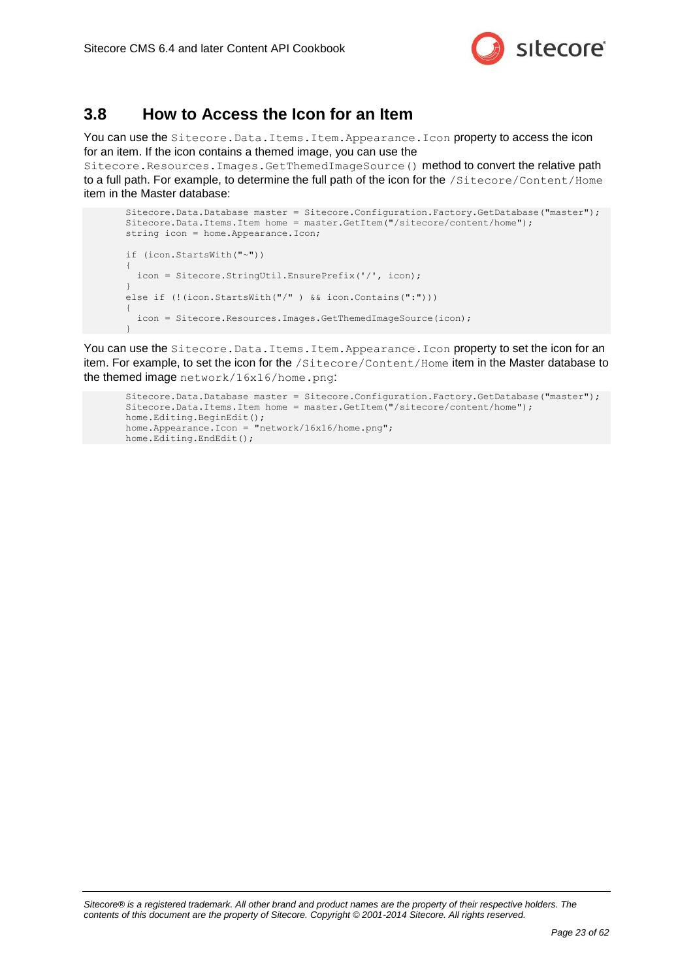

### <span id="page-22-0"></span>**3.8 How to Access the Icon for an Item**

You can use the Sitecore. Data. Items. Item. Appearance. Icon property to access the icon for an item. If the icon contains a themed image, you can use the

Sitecore.Resources.Images.GetThemedImageSource() method to convert the relative path to a full path. For example, to determine the full path of the icon for the /Sitecore/Content/Home item in the Master database:

```
Sitecore.Data.Database master = Sitecore.Configuration.Factory.GetDatabase("master");
Sitecore.Data.Items.Item home = master.GetItem("/sitecore/content/home");
string icon = home.Appearance.Icon;
if (icon.StartsWith("~"))
{
  icon = Sitecore.StringUtil.EnsurePrefix('/', icon);
}
else if (!(icon.StartsWith("/") && icon.Contains(":")))
{
   icon = Sitecore.Resources.Images.GetThemedImageSource(icon);
}
```
You can use the Sitecore. Data. Items. Item. Appearance. Icon property to set the icon for an item. For example, to set the icon for the /Sitecore/Content/Home item in the Master database to the themed image network/16x16/home.png:

```
Sitecore.Data.Database master = Sitecore.Configuration.Factory.GetDatabase("master");
Sitecore.Data.Items.Item home = master.GetItem("/sitecore/content/home");
home.Editing.BeginEdit();
home.Appearance.Icon = "network/16x16/home.png";
home.Editing.EndEdit();
```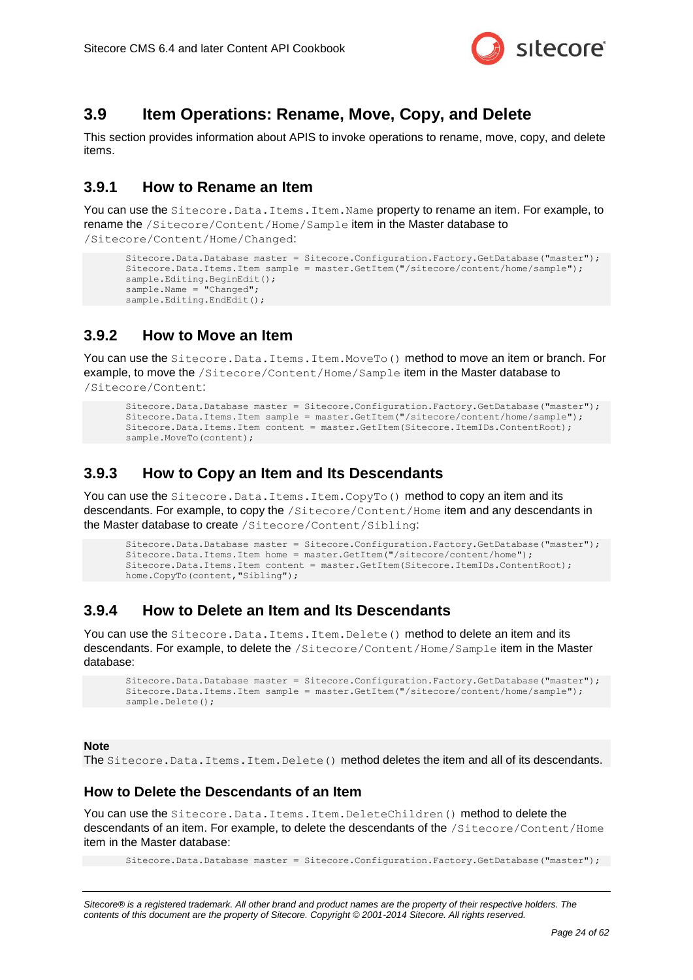

### <span id="page-23-0"></span>**3.9 Item Operations: Rename, Move, Copy, and Delete**

This section provides information about APIS to invoke operations to rename, move, copy, and delete items.

### <span id="page-23-1"></span>**3.9.1 How to Rename an Item**

You can use the Sitecore. Data. Items. Item. Name property to rename an item. For example, to rename the /Sitecore/Content/Home/Sample item in the Master database to /Sitecore/Content/Home/Changed:

```
Sitecore.Data.Database master = Sitecore.Configuration.Factory.GetDatabase("master");
Sitecore.Data.Items.Item sample = master.GetItem("/sitecore/content/home/sample");
sample.Editing.BeginEdit();
sample.Name = "Changed";
sample.Editing.EndEdit();
```
### <span id="page-23-2"></span>**3.9.2 How to Move an Item**

You can use the Sitecore. Data. Items. Item. MoveTo() method to move an item or branch. For example, to move the /Sitecore/Content/Home/Sample item in the Master database to /Sitecore/Content:

```
Sitecore.Data.Database master = Sitecore.Configuration.Factory.GetDatabase("master");
Sitecore.Data.Items.Item sample = master.GetItem("/sitecore/content/home/sample");
Sitecore.Data.Items.Item content = master.GetItem(Sitecore.ItemIDs.ContentRoot);
sample.MoveTo(content);
```
### <span id="page-23-3"></span>**3.9.3 How to Copy an Item and Its Descendants**

You can use the Sitecore. Data. Items. Item. CopyTo() method to copy an item and its descendants. For example, to copy the /Sitecore/Content/Home item and any descendants in the Master database to create /Sitecore/Content/Sibling:

```
Sitecore.Data.Database master = Sitecore.Configuration.Factory.GetDatabase("master");
Sitecore.Data.Items.Item home = master.GetItem("/sitecore/content/home");
Sitecore.Data.Items.Item content = master.GetItem(Sitecore.ItemIDs.ContentRoot);
home.CopyTo(content,"Sibling");
```
### <span id="page-23-4"></span>**3.9.4 How to Delete an Item and Its Descendants**

You can use the Sitecore. Data. Items. Item. Delete() method to delete an item and its descendants. For example, to delete the /Sitecore/Content/Home/Sample item in the Master database:

```
Sitecore.Data.Database master = Sitecore.Configuration.Factory.GetDatabase("master");
Sitecore.Data.Items.Item sample = master.GetItem("/sitecore/content/home/sample");
sample.Delete();
```
#### **Note**

The Sitecore. Data. Items. Item. Delete() method deletes the item and all of its descendants.

#### <span id="page-23-5"></span>**How to Delete the Descendants of an Item**

You can use the Sitecore. Data. Items. Item. DeleteChildren() method to delete the descendants of an item. For example, to delete the descendants of the /Sitecore/Content/Home item in the Master database:

Sitecore.Data.Database master = Sitecore.Configuration.Factory.GetDatabase("master");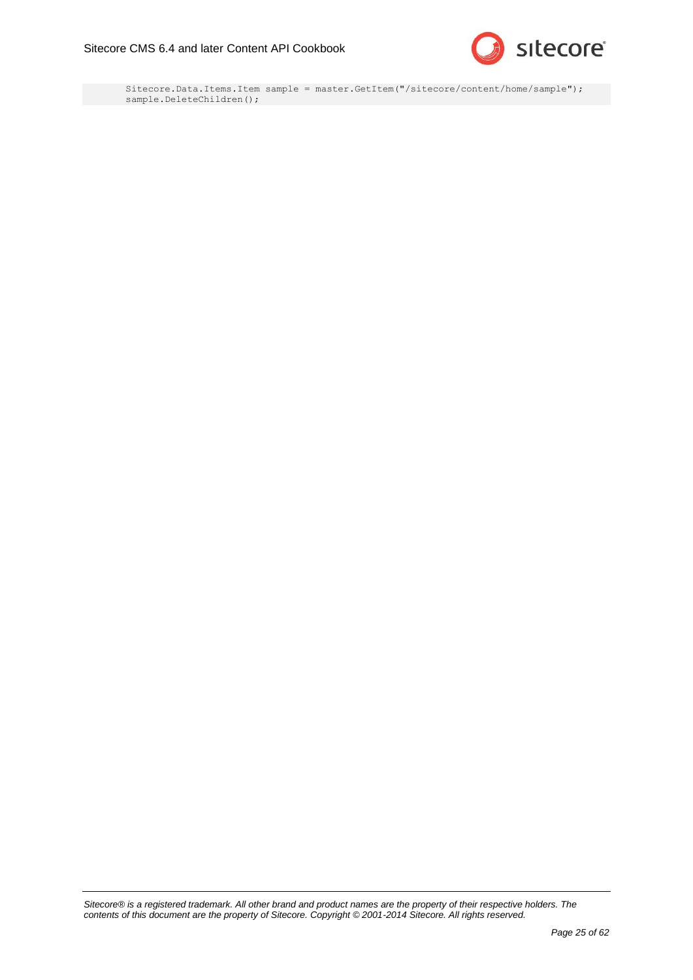

Sitecore.Data.Items.Item sample = master.GetItem("/sitecore/content/home/sample"); sample.DeleteChildren();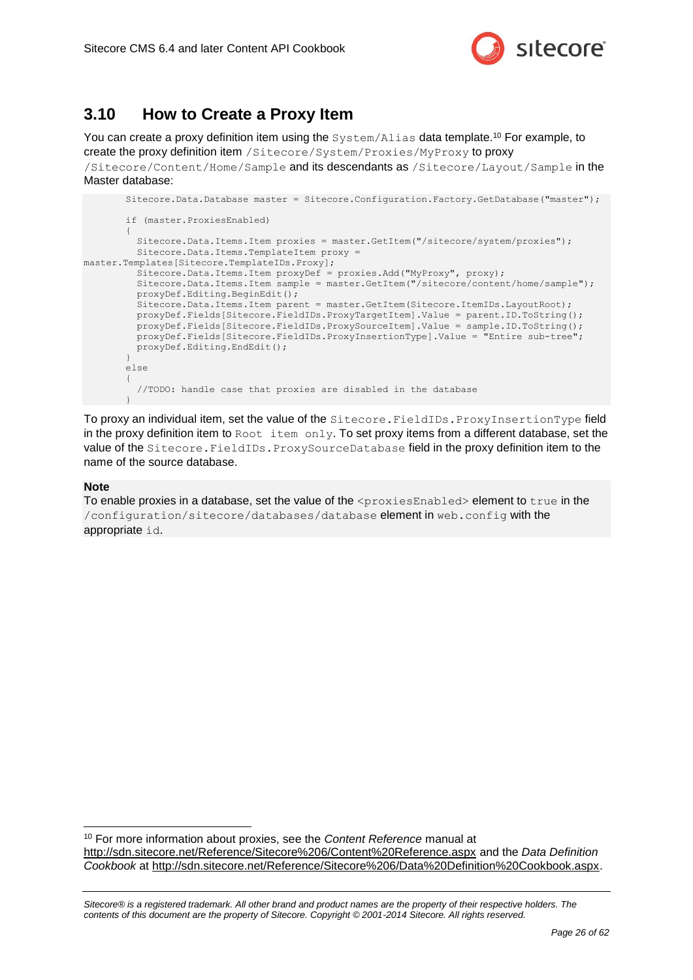

### <span id="page-25-0"></span>**3.10 How to Create a Proxy Item**

You can create a proxy definition item using the System/Alias data template.<sup>10</sup> For example, to create the proxy definition item /Sitecore/System/Proxies/MyProxy to proxy /Sitecore/Content/Home/Sample and its descendants as /Sitecore/Layout/Sample in the Master database:

```
Sitecore.Data.Database master = Sitecore.Configuration.Factory.GetDatabase("master");
       if (master.ProxiesEnabled)
       {
          Sitecore.Data.Items.Item proxies = master.GetItem("/sitecore/system/proxies");
          Sitecore.Data.Items.TemplateItem proxy = 
master.Templates[Sitecore.TemplateIDs.Proxy];
          Sitecore.Data.Items.Item proxyDef = proxies.Add("MyProxy", proxy);
          Sitecore.Data.Items.Item sample = master.GetItem("/sitecore/content/home/sample");
          proxyDef.Editing.BeginEdit();
         Sitecore.Data.Items.Item parent = master.GetItem(Sitecore.ItemIDs.LayoutRoot);
          proxyDef.Fields[Sitecore.FieldIDs.ProxyTargetItem].Value = parent.ID.ToString();
          proxyDef.Fields[Sitecore.FieldIDs.ProxySourceItem].Value = sample.ID.ToString();
          proxyDef.Fields[Sitecore.FieldIDs.ProxyInsertionType].Value = "Entire sub-tree";
         proxyDef.Editing.EndEdit();
       }
       else
       {
          //TODO: handle case that proxies are disabled in the database
       }
```
To proxy an individual item, set the value of the Sitecore. FieldIDs. ProxyInsertionType field in the proxy definition item to  $Root \text{ item only.}$  To set proxy items from a different database, set the value of the Sitecore. FieldIDs. ProxySourceDatabase field in the proxy definition item to the name of the source database.

#### **Note**

-

To enable proxies in a database, set the value of the <proxiesEnabled> element to true in the /configuration/sitecore/databases/database element in web.config with the appropriate id.

<sup>10</sup> For more information about proxies, see the *Content Reference* manual at <http://sdn.sitecore.net/Reference/Sitecore%206/Content%20Reference.aspx> and the *Data Definition Cookbook* at [http://sdn.sitecore.net/Reference/Sitecore%206/Data%20Definition%20Cookbook.aspx.](http://sdn.sitecore.net/Reference/Sitecore%206/Data%20Definition%20Cookbook.aspx)

*Sitecore® is a registered trademark. All other brand and product names are the property of their respective holders. The contents of this document are the property of Sitecore. Copyright © 2001-2014 Sitecore. All rights reserved.*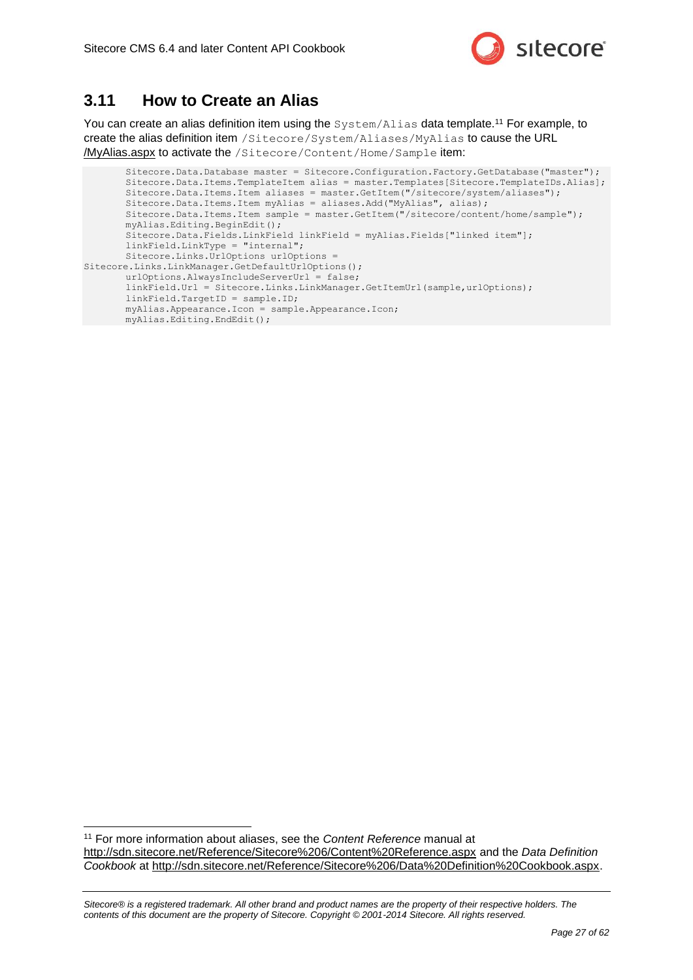

### <span id="page-26-0"></span>**3.11 How to Create an Alias**

-

You can create an alias definition item using the System/Alias data template.<sup>11</sup> For example, to create the alias definition item /Sitecore/System/Aliases/MyAlias to cause the URL /MyAlias.aspx to activate the /Sitecore/Content/Home/Sample item:

Sitecore.Data.Database master = Sitecore.Configuration.Factory.GetDatabase("master"); Sitecore.Data.Items.TemplateItem alias = master.Templates[Sitecore.TemplateIDs.Alias]; Sitecore.Data.Items.Item aliases = master.GetItem("/sitecore/system/aliases"); Sitecore.Data.Items.Item myAlias = aliases.Add("MyAlias", alias); Sitecore.Data.Items.Item sample = master.GetItem("/sitecore/content/home/sample"); myAlias.Editing.BeginEdit(); Sitecore.Data.Fields.LinkField linkField = myAlias.Fields["linked item"]; linkField.LinkType = "internal"; Sitecore.Links.UrlOptions urlOptions = Sitecore.Links.LinkManager.GetDefaultUrlOptions(); urlOptions.AlwaysIncludeServerUrl = false; linkField.Url = Sitecore.Links.LinkManager.GetItemUrl(sample,urlOptions); linkField.TargetID = sample.ID; myAlias.Appearance.Icon = sample.Appearance.Icon; myAlias.Editing.EndEdit();

<sup>11</sup> For more information about aliases, see the *Content Reference* manual at <http://sdn.sitecore.net/Reference/Sitecore%206/Content%20Reference.aspx> and the *Data Definition Cookbook* at [http://sdn.sitecore.net/Reference/Sitecore%206/Data%20Definition%20Cookbook.aspx.](http://sdn.sitecore.net/Reference/Sitecore%206/Data%20Definition%20Cookbook.aspx)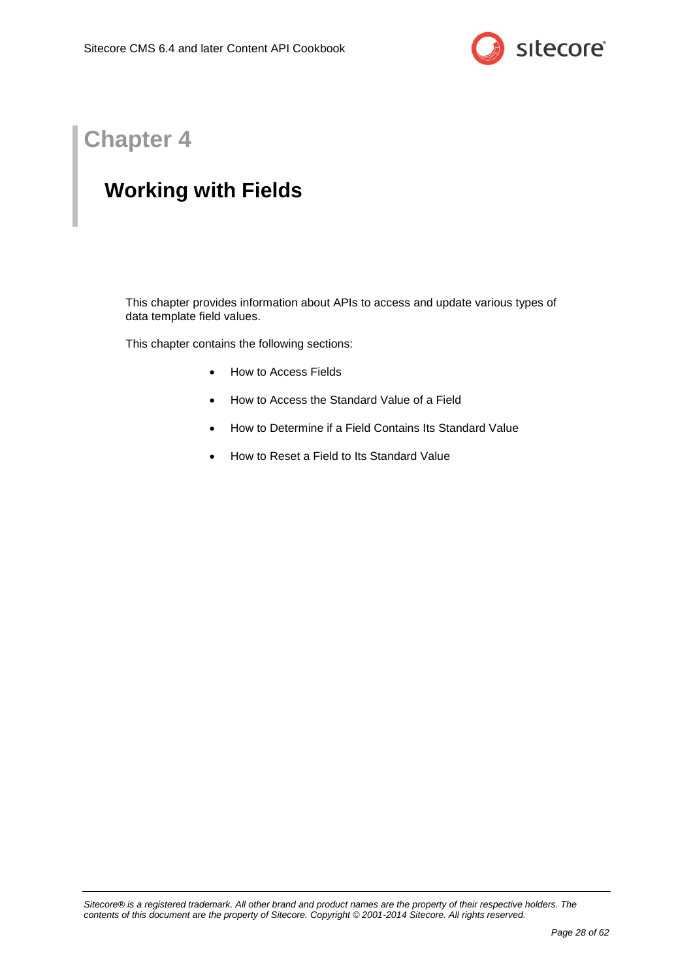

## **Chapter 4**

## <span id="page-27-0"></span>**Working with Fields**

This chapter provides information about APIs to access and update various types of data template field values.

This chapter contains the following sections:

- [How to Access Fields](#page-28-0)
- [How to Access the Standard Value of a Field](#page-41-0)
- [How to Determine if a Field Contains Its Standard Value](#page-42-0)
- [How to Reset a Field to Its Standard Value](#page-43-0)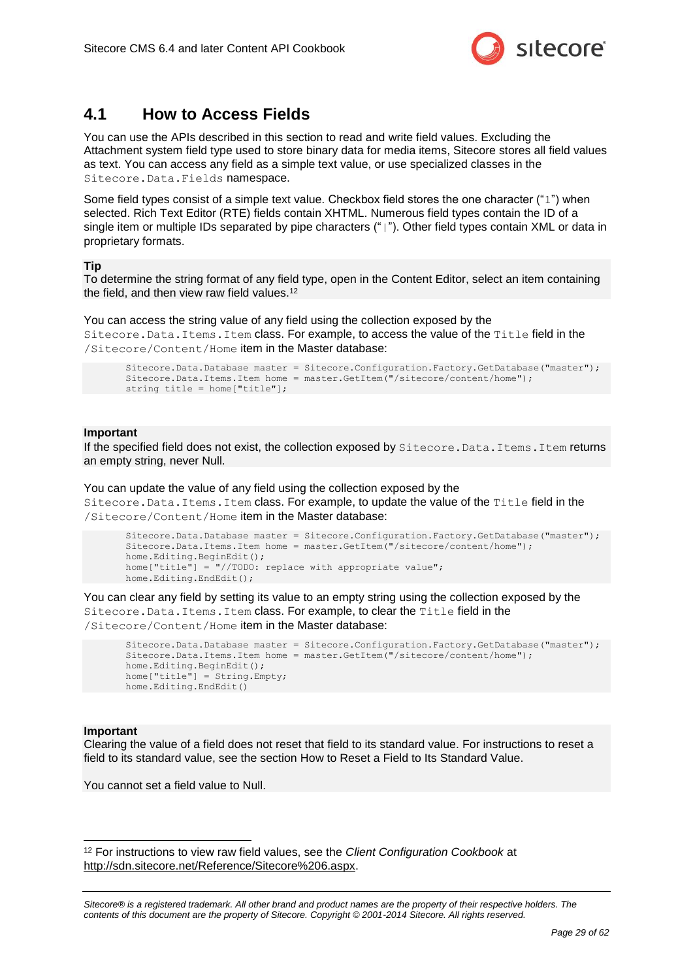

### <span id="page-28-0"></span>**4.1 How to Access Fields**

You can use the APIs described in this section to read and write field values. Excluding the Attachment system field type used to store binary data for media items, Sitecore stores all field values as text. You can access any field as a simple text value, or use specialized classes in the Sitecore.Data.Fields namespace.

Some field types consist of a simple text value. Checkbox field stores the one character ("1") when selected. Rich Text Editor (RTE) fields contain XHTML. Numerous field types contain the ID of a single item or multiple IDs separated by pipe characters ("|"). Other field types contain XML or data in proprietary formats.

#### **Tip**

To determine the string format of any field type, open in the Content Editor, select an item containing the field, and then view raw field values.<sup>12</sup>

You can access the string value of any field using the collection exposed by the Sitecore.Data.Items.Item class. For example, to access the value of the Title field in the /Sitecore/Content/Home item in the Master database:

Sitecore.Data.Database master = Sitecore.Configuration.Factory.GetDatabase("master"); Sitecore.Data.Items.Item home = master.GetItem("/sitecore/content/home"); string title = home["title"];

#### **Important**

If the specified field does not exist, the collection exposed by Sitecore. Data. Items. Item returns an empty string, never Null.

You can update the value of any field using the collection exposed by the Sitecore.Data.Items.Item class. For example, to update the value of the Title field in the /Sitecore/Content/Home item in the Master database:

```
Sitecore.Data.Database master = Sitecore.Configuration.Factory.GetDatabase("master");
Sitecore.Data.Items.Item home = master.GetItem("/sitecore/content/home");
home.Editing.BeginEdit();
home["title"] = "//TODO: replace with appropriate value";
home.Editing.EndEdit();
```
You can clear any field by setting its value to an empty string using the collection exposed by the Sitecore.Data.Items.Item class. For example, to clear the Title field in the /Sitecore/Content/Home item in the Master database:

```
Sitecore.Data.Database master = Sitecore.Configuration.Factory.GetDatabase("master");
Sitecore.Data.Items.Item home = master.GetItem("/sitecore/content/home");
home.Editing.BeginEdit();
home["title"] = String.Empty;
home.Editing.EndEdit()
```
#### **Important**

-

Clearing the value of a field does not reset that field to its standard value. For instructions to reset a field to its standard value, see the section [How to Reset a Field to Its Standard Value.](#page-43-0)

You cannot set a field value to Null.

<sup>12</sup> For instructions to view raw field values, see the *Client Configuration Cookbook* at [http://sdn.sitecore.net/Reference/Sitecore%206.aspx.](http://sdn.sitecore.net/Reference/Sitecore%206.aspx)

*Sitecore® is a registered trademark. All other brand and product names are the property of their respective holders. The contents of this document are the property of Sitecore. Copyright © 2001-2014 Sitecore. All rights reserved.*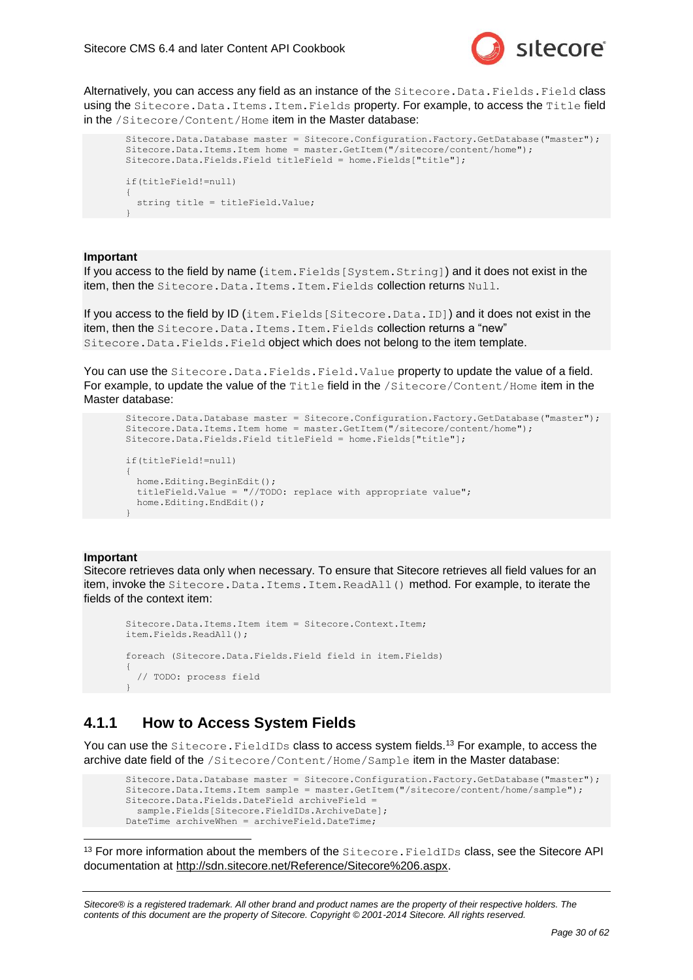

Alternatively, you can access any field as an instance of the Sitecore. Data. Fields. Field class using the Sitecore. Data. Items. Item. Fields property. For example, to access the Title field in the /Sitecore/Content/Home item in the Master database:

```
Sitecore.Data.Database master = Sitecore.Configuration.Factory.GetDatabase("master");
Sitecore.Data.Items.Item home = master.GetItem("/sitecore/content/home");
Sitecore.Data.Fields.Field titleField = home.Fields["title"];
if(titleField!=null)
{
  string title = titleField.Value;
}
```
#### **Important**

If you access to the field by name (item.Fields[System.String]) and it does not exist in the item, then the Sitecore. Data. Items. Item. Fields collection returns Null.

If you access to the field by ID (item. Fields [Sitecore. Data. ID]) and it does not exist in the item, then the Sitecore. Data. Items. Item. Fields collection returns a "new" Sitecore.Data.Fields.Field object which does not belong to the item template.

You can use the Sitecore. Data. Fields. Field. Value property to update the value of a field. For example, to update the value of the Title field in the /Sitecore/Content/Home item in the Master database:

```
Sitecore.Data.Database master = Sitecore.Configuration.Factory.GetDatabase("master");
Sitecore.Data.Items.Item home = master.GetItem("/sitecore/content/home");
Sitecore.Data.Fields.Field titleField = home.Fields["title"];
if(titleField!=null)
{
  home.Editing.BeginEdit();
  titleField.Value = "//TODO: replace with appropriate value";
  home.Editing.EndEdit();
}
```
#### **Important**

-

Sitecore retrieves data only when necessary. To ensure that Sitecore retrieves all field values for an item, invoke the Sitecore.Data.Items.Item.ReadAll() method. For example, to iterate the fields of the context item:

```
Sitecore.Data.Items.Item item = Sitecore.Context.Item;
item.Fields.ReadAll();
foreach (Sitecore.Data.Fields.Field field in item.Fields)
{
   // TODO: process field
}
```
### <span id="page-29-0"></span>**4.1.1 How to Access System Fields**

You can use the Sitecore. FieldIDs class to access system fields.<sup>13</sup> For example, to access the archive date field of the /Sitecore/Content/Home/Sample item in the Master database:

```
Sitecore.Data.Database master = Sitecore.Configuration.Factory.GetDatabase("master");
Sitecore.Data.Items.Item sample = master.GetItem("/sitecore/content/home/sample");
Sitecore.Data.Fields.DateField archiveField =
 sample.Fields[Sitecore.FieldIDs.ArchiveDate];
DateTime archiveWhen = archiveField.DateTime;
```
<sup>13</sup> For more information about the members of the Sitecore. FieldIDs class, see the Sitecore API documentation at [http://sdn.sitecore.net/Reference/Sitecore%206.aspx.](http://sdn.sitecore.net/Reference/Sitecore%206.aspx)

```
Sitecore® is a registered trademark. All other brand and product names are the property of their respective holders. The 
contents of this document are the property of Sitecore. Copyright © 2001-2014 Sitecore. All rights reserved.
```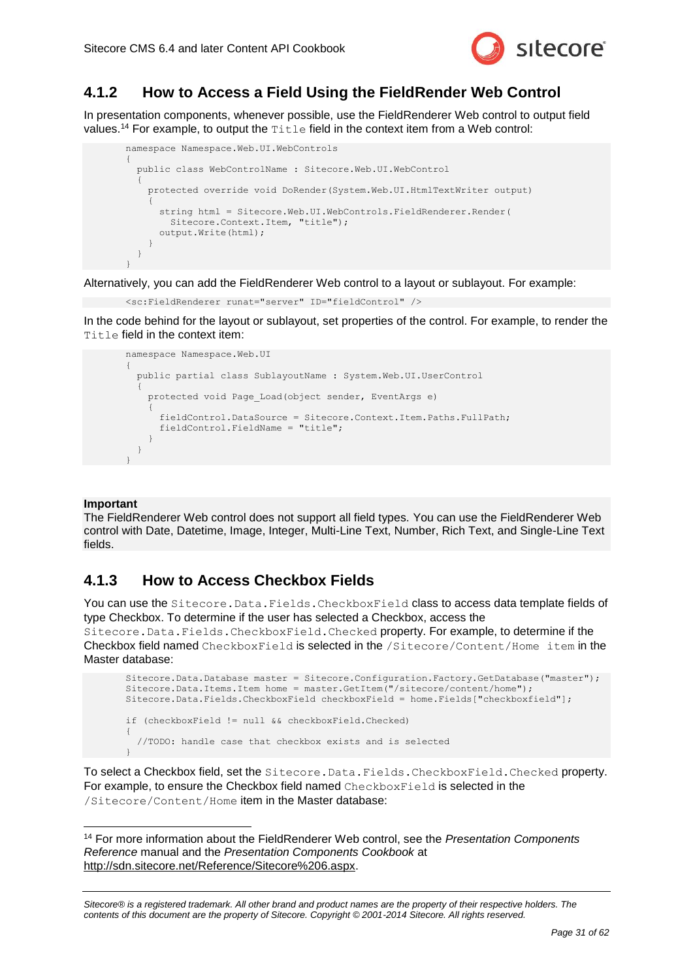

### <span id="page-30-0"></span>**4.1.2 How to Access a Field Using the FieldRender Web Control**

In presentation components, whenever possible, use the FieldRenderer Web control to output field values.<sup>14</sup> For example, to output the Title field in the context item from a Web control:

```
namespace Namespace.Web.UI.WebControls
{
   public class WebControlName : Sitecore.Web.UI.WebControl
\left\{ \begin{array}{c} \end{array} \right. protected override void DoRender(System.Web.UI.HtmlTextWriter output)
\left\{\begin{array}{ccc} \end{array}\right\} string html = Sitecore.Web.UI.WebControls.FieldRenderer.Render(
           Sitecore.Context.Item, "title");
        output.Write(html);
 }
 }
}
```
Alternatively, you can add the FieldRenderer Web control to a layout or sublayout. For example:

```
<sc:FieldRenderer runat="server" ID="fieldControl" />
```
In the code behind for the layout or sublayout, set properties of the control. For example, to render the Title field in the context item:

```
namespace Namespace.Web.UI
{
   public partial class SublayoutName : System.Web.UI.UserControl
\left\{\right. protected void Page_Load(object sender, EventArgs e)
\left\{\begin{array}{ccc} \end{array}\right\} fieldControl.DataSource = Sitecore.Context.Item.Paths.FullPath;
        fieldControl.FieldName = "title";
 }
 }
}
```
#### **Important**

The FieldRenderer Web control does not support all field types. You can use the FieldRenderer Web control with Date, Datetime, Image, Integer, Multi-Line Text, Number, Rich Text, and Single-Line Text fields.

### <span id="page-30-1"></span>**4.1.3 How to Access Checkbox Fields**

You can use the Sitecore. Data. Fields. CheckboxField class to access data template fields of type Checkbox. To determine if the user has selected a Checkbox, access the

Sitecore.Data.Fields.CheckboxField.Checked property. For example, to determine if the Checkbox field named CheckboxField is selected in the /Sitecore/Content/Home item in the Master database:

```
Sitecore.Data.Database master = Sitecore.Configuration.Factory.GetDatabase("master");
Sitecore.Data.Items.Item home = master.GetItem("/sitecore/content/home");
Sitecore.Data.Fields.CheckboxField checkboxField = home.Fields["checkboxfield"];
if (checkboxField != null && checkboxField.Checked)
{
   //TODO: handle case that checkbox exists and is selected
}
```
To select a Checkbox field, set the Sitecore. Data. Fields. CheckboxField. Checked property. For example, to ensure the Checkbox field named CheckboxField is selected in the /Sitecore/Content/Home item in the Master database:

-<sup>14</sup> For more information about the FieldRenderer Web control, see the *Presentation Components Reference* manual and the *Presentation Components Cookbook* at [http://sdn.sitecore.net/Reference/Sitecore%206.aspx.](http://sdn.sitecore.net/Reference/Sitecore%206.aspx)

*Sitecore® is a registered trademark. All other brand and product names are the property of their respective holders. The contents of this document are the property of Sitecore. Copyright © 2001-2014 Sitecore. All rights reserved.*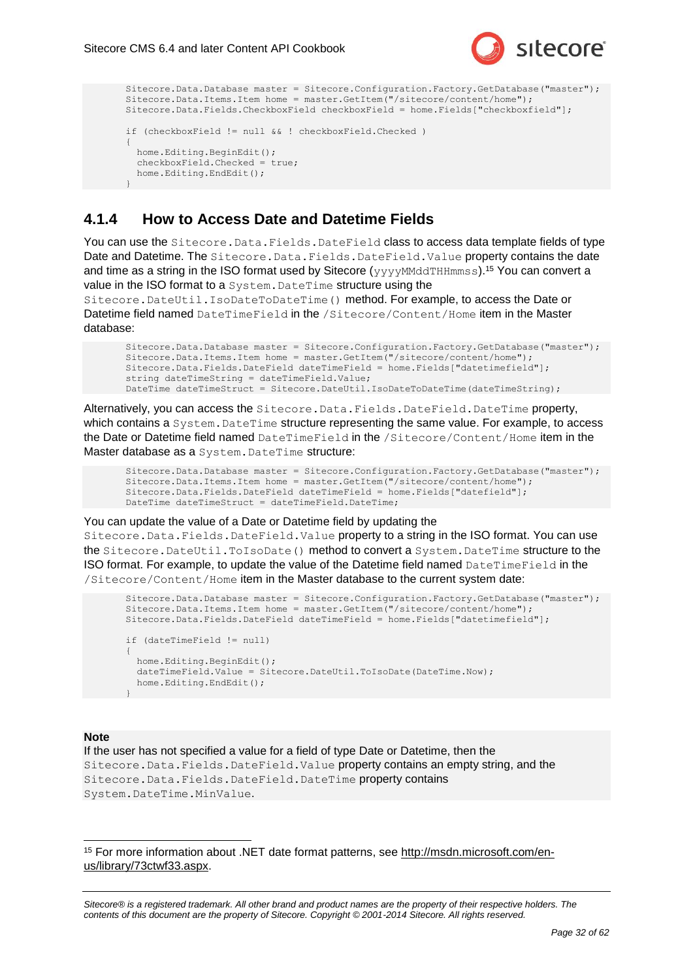

```
Sitecore.Data.Database master = Sitecore.Configuration.Factory.GetDatabase("master");
Sitecore.Data.Items.Item home = master.GetItem("/sitecore/content/home");
Sitecore.Data.Fields.CheckboxField checkboxField = home.Fields["checkboxfield"];
if (checkboxField != null && ! checkboxField.Checked )
{
  home.Editing.BeginEdit();
  checkboxField.Checked = true;
 home.Editing.EndEdit();
}
```
### <span id="page-31-0"></span>**4.1.4 How to Access Date and Datetime Fields**

You can use the Sitecore. Data. Fields. DateField class to access data template fields of type Date and Datetime. The Sitecore. Data. Fields. DateField. Value property contains the date and time as a string in the ISO format used by Sitecore  $(yyyyMMdTHHmmss)$ .<sup>15</sup> You can convert a value in the ISO format to a System. DateTime structure using the

Sitecore.DateUtil.IsoDateToDateTime() method. For example, to access the Date or Datetime field named DateTimeField in the /Sitecore/Content/Home item in the Master database:

```
Sitecore.Data.Database master = Sitecore.Configuration.Factory.GetDatabase("master");
Sitecore.Data.Items.Item home = master.GetItem("/sitecore/content/home");
Sitecore.Data.Fields.DateField dateTimeField = home.Fields["datetimefield"];
string dateTimeString = dateTimeField.Value;
DateTime dateTimeStruct = Sitecore.DateUtil.IsoDateToDateTime(dateTimeString);
```
Alternatively, you can access the Sitecore. Data. Fields. DateField. DateTime property, which contains a System. DateTime structure representing the same value. For example, to access the Date or Datetime field named DateTimeField in the /Sitecore/Content/Home item in the Master database as a System. DateTime structure:

```
Sitecore.Data.Database master = Sitecore.Configuration.Factory.GetDatabase("master");
Sitecore.Data.Items.Item home = master.GetItem("/sitecore/content/home");
Sitecore.Data.Fields.DateField dateTimeField = home.Fields["datefield"];
DateTime dateTimeStruct = dateTimeField.DateTime;
```
You can update the value of a Date or Datetime field by updating the Sitecore.Data.Fields.DateField.Value property to a string in the ISO format. You can use the Sitecore. DateUtil. ToIsoDate() method to convert a System. DateTime structure to the ISO format. For example, to update the value of the Datetime field named DateTimeField in the /Sitecore/Content/Home item in the Master database to the current system date:

```
Sitecore.Data.Database master = Sitecore.Configuration.Factory.GetDatabase("master");
Sitecore.Data.Items.Item home = master.GetItem("/sitecore/content/home");
Sitecore.Data.Fields.DateField dateTimeField = home.Fields["datetimefield"];
if (dateTimeField != null)
{
 home.Editing.BeginEdit();
 dateTimeField.Value = Sitecore.DateUtil.ToIsoDate(DateTime.Now);
  home.Editing.EndEdit();
}
```
#### **Note**

-

If the user has not specified a value for a field of type Date or Datetime, then the Sitecore.Data.Fields.DateField.Value property contains an empty string, and the Sitecore.Data.Fields.DateField.DateTime property contains System.DateTime.MinValue.

<sup>15</sup> For more information about .NET date format patterns, see [http://msdn.microsoft.com/en](http://msdn.microsoft.com/en-us/library/73ctwf33.aspx)[us/library/73ctwf33.aspx.](http://msdn.microsoft.com/en-us/library/73ctwf33.aspx)

*Sitecore® is a registered trademark. All other brand and product names are the property of their respective holders. The contents of this document are the property of Sitecore. Copyright © 2001-2014 Sitecore. All rights reserved.*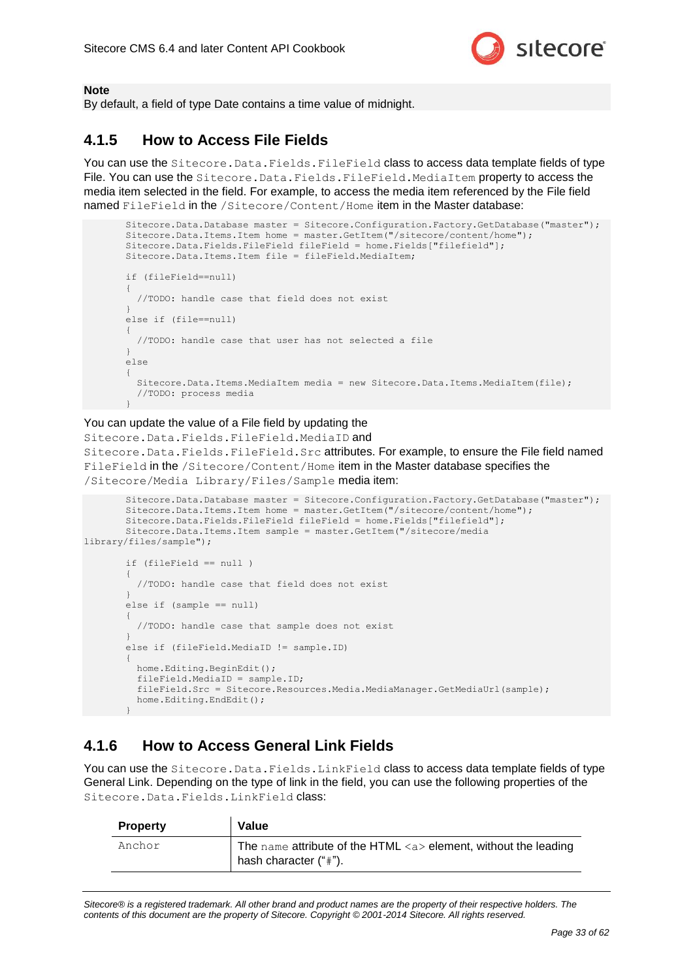

#### **Note**

By default, a field of type Date contains a time value of midnight.

### <span id="page-32-0"></span>**4.1.5 How to Access File Fields**

You can use the Sitecore. Data. Fields. FileField class to access data template fields of type File. You can use the Sitecore. Data. Fields. FileField. MediaItem property to access the media item selected in the field. For example, to access the media item referenced by the File field named FileField in the /Sitecore/Content/Home item in the Master database:

```
Sitecore.Data.Database master = Sitecore.Configuration.Factory.GetDatabase("master");
Sitecore.Data.Items.Item home = master.GetItem("/sitecore/content/home");
Sitecore.Data.Fields.FileField fileField = home.Fields["filefield"];
Sitecore.Data.Items.Item file = fileField.MediaItem;
if (fileField==null)
{
   //TODO: handle case that field does not exist
}
else if (file==null)
{
   //TODO: handle case that user has not selected a file
}
else
{
 Sitecore.Data.Items.MediaItem media = new Sitecore.Data.Items.MediaItem(file);
   //TODO: process media
}
```
#### You can update the value of a File field by updating the

Sitecore.Data.Fields.FileField.MediaID and Sitecore.Data.Fields.FileField.Src attributes. For example, to ensure the File field named FileField in the /Sitecore/Content/Home item in the Master database specifies the /Sitecore/Media Library/Files/Sample media item:

```
Sitecore.Data.Database master = Sitecore.Configuration.Factory.GetDatabase("master");
       Sitecore.Data.Items.Item home = master.GetItem("/sitecore/content/home");
       Sitecore.Data.Fields.FileField fileField = home.Fields["filefield"];
       Sitecore.Data.Items.Item sample = master.GetItem("/sitecore/media 
library/files/sample");
       if (fileField == null )
        {
          //TODO: handle case that field does not exist
        }
       else if (sample == null)
        {
          //TODO: handle case that sample does not exist
        }
       else if (fileField.MediaID != sample.ID)
        {
         home.Editing.BeginEdit();
          fileField.MediaID = sample.ID;
         fileField.Src = Sitecore.Resources.Media.MediaManager.GetMediaUrl(sample);
          home.Editing.EndEdit();
        }
```
### <span id="page-32-1"></span>**4.1.6 How to Access General Link Fields**

You can use the Sitecore. Data. Fields. LinkField class to access data template fields of type General Link. Depending on the type of link in the field, you can use the following properties of the Sitecore. Data. Fields. LinkField class:

| <b>Property</b> | Value                                                                                                    |
|-----------------|----------------------------------------------------------------------------------------------------------|
| Anchor          | The name attribute of the HTML $\langle a \rangle$ element, without the leading<br>hash character ("#"). |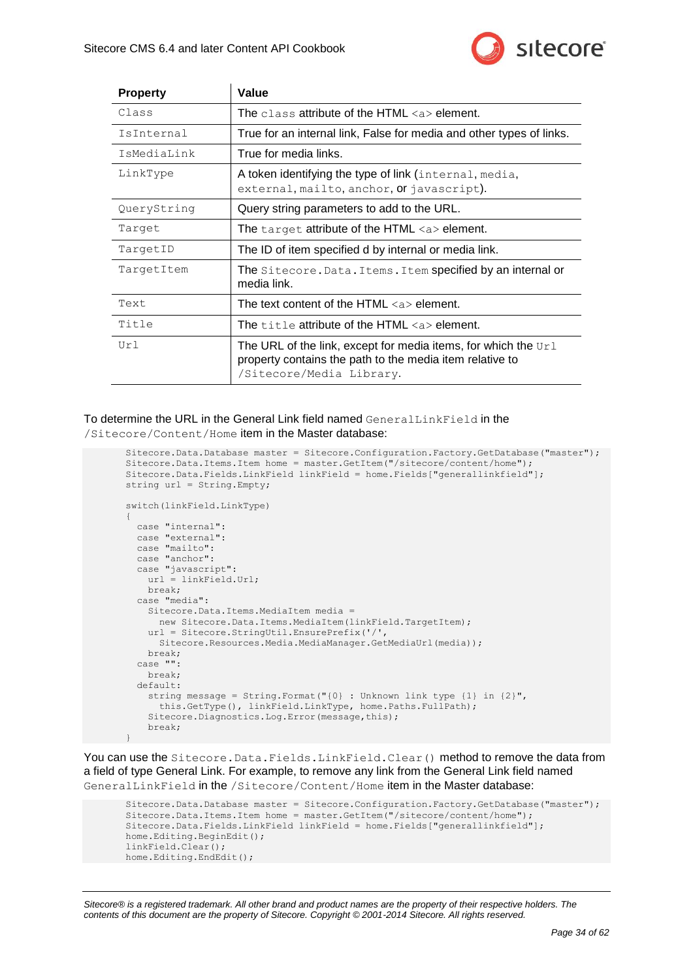

| <b>Property</b> | Value                                                                                                                                                    |
|-----------------|----------------------------------------------------------------------------------------------------------------------------------------------------------|
| Class           | The class attribute of the HTML $\langle a \rangle$ element.                                                                                             |
| IsInternal      | True for an internal link, False for media and other types of links.                                                                                     |
| IsMediaLink     | True for media links.                                                                                                                                    |
| LinkType        | A token identifying the type of link (internal, media,<br>external, mailto, anchor, or javascript).                                                      |
| QueryString     | Query string parameters to add to the URL.                                                                                                               |
| Target          | The target attribute of the HTML <a> element.</a>                                                                                                        |
| TargetID        | The ID of item specified d by internal or media link.                                                                                                    |
| TargetItem      | The Sitecore. Data. Items. Item specified by an internal or<br>media link.                                                                               |
| Text            | The text content of the HTML $\langle a \rangle$ element.                                                                                                |
| Title           | The title attribute of the HTML $\langle a \rangle$ element.                                                                                             |
| Ur1             | The URL of the link, except for media items, for which the $Ur1$<br>property contains the path to the media item relative to<br>/Sitecore/Media Library. |

To determine the URL in the General Link field named GeneralLinkField in the /Sitecore/Content/Home item in the Master database:

```
Sitecore.Data.Database master = Sitecore.Configuration.Factory.GetDatabase("master");
Sitecore.Data.Items.Item home = master.GetItem("/sitecore/content/home");
Sitecore.Data.Fields.LinkField linkField = home.Fields["generallinkfield"];
string url = String.Empty;
switch(linkField.LinkType)
{
  case "internal":
  case "external":
   case "mailto":
  case "anchor":
  case "javascript":
    url = linkField.Url;
    break;
  case "media":
    Sitecore.Data.Items.MediaItem media =
      new Sitecore.Data.Items.MediaItem(linkField.TargetItem);
     url = Sitecore.StringUtil.EnsurePrefix('/', 
      Sitecore.Resources.Media.MediaManager.GetMediaUrl(media));
     break;
  case "":
    break;
  default:
    string message = String. Format ("\{0\} : Unknown link type \{1\} in \{2\}",
      this.GetType(), linkField.LinkType, home.Paths.FullPath);
     Sitecore.Diagnostics.Log.Error(message,this);
    break;
}
```
You can use the Sitecore. Data.Fields.LinkField.Clear() method to remove the data from a field of type General Link. For example, to remove any link from the General Link field named GeneralLinkField in the /Sitecore/Content/Home item in the Master database:

```
Sitecore.Data.Database master = Sitecore.Configuration.Factory.GetDatabase("master");
Sitecore.Data.Items.Item home = master.GetItem("/sitecore/content/home");
Sitecore.Data.Fields.LinkField linkField = home.Fields["generallinkfield"];
home.Editing.BeginEdit();
linkField.Clear();
home.Editing.EndEdit();
```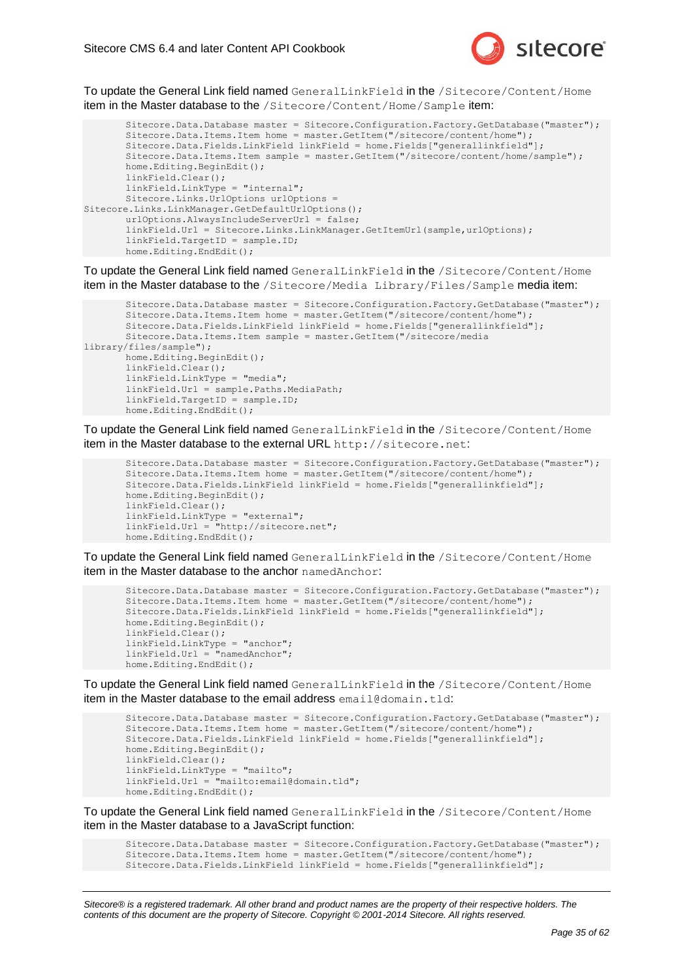

To update the General Link field named GeneralLinkField in the /Sitecore/Content/Home item in the Master database to the /Sitecore/Content/Home/Sample item:

```
Sitecore.Data.Database master = Sitecore.Configuration.Factory.GetDatabase("master");
       Sitecore.Data.Items.Item home = master.GetItem("/sitecore/content/home");
       Sitecore.Data.Fields.LinkField linkField = home.Fields["generallinkfield"];
       Sitecore.Data.Items.Item sample = master.GetItem("/sitecore/content/home/sample");
       home.Editing.BeginEdit();
       linkField.Clear();
       linkField.LinkType = "internal";
       Sitecore.Links.UrlOptions urlOptions = 
Sitecore.Links.LinkManager.GetDefaultUrlOptions();
       urlOptions.AlwaysIncludeServerUrl = false;
       linkField.Url = Sitecore.Links.LinkManager.GetItemUrl(sample,urlOptions);
       linkField.TargetID = sample.ID;
       home.Editing.EndEdit();
```
To update the General Link field named GeneralLinkField in the /Sitecore/Content/Home item in the Master database to the /Sitecore/Media Library/Files/Sample media item:

```
Sitecore.Data.Database master = Sitecore.Configuration.Factory.GetDatabase("master");
       Sitecore.Data.Items.Item home = master.GetItem("/sitecore/content/home");
       Sitecore.Data.Fields.LinkField linkField = home.Fields["generallinkfield"];
       Sitecore.Data.Items.Item sample = master.GetItem("/sitecore/media 
library/files/sample");
       home.Editing.BeginEdit();
       linkField.Clear();
       linkField.LinkType = "media";
       linkField.Url = sample.Paths.MediaPath;
       linkField.TargetID = sample.ID;
       home.Editing.EndEdit();
```
To update the General Link field named GeneralLinkField in the /Sitecore/Content/Home item in the Master database to the external URL http://sitecore.net:

```
Sitecore.Data.Database master = Sitecore.Configuration.Factory.GetDatabase("master");
Sitecore.Data.Items.Item home = master.GetItem("/sitecore/content/home");
Sitecore.Data.Fields.LinkField linkField = home.Fields["generallinkfield"];
home.Editing.BeginEdit();
linkField.Clear();
linkField.LinkType = "external";
linkField.Url = "http://sitecore.net";
home.Editing.EndEdit();
```
To update the General Link field named GeneralLinkField in the /Sitecore/Content/Home item in the Master database to the anchor namedAnchor:

```
Sitecore.Data.Database master = Sitecore.Configuration.Factory.GetDatabase("master");
Sitecore.Data.Items.Item home = master.GetItem("/sitecore/content/home");
Sitecore.Data.Fields.LinkField linkField = home.Fields["generallinkfield"];
home.Editing.BeginEdit();
linkField.Clear();
linkField.LinkType = "anchor";
linkField.Url = "namedAnchor";
home.Editing.EndEdit();
```
To update the General Link field named GeneralLinkField in the /Sitecore/Content/Home item in the Master database to the email address email@domain.tld:

```
Sitecore.Data.Database master = Sitecore.Configuration.Factory.GetDatabase("master");
Sitecore.Data.Items.Item home = master.GetItem("/sitecore/content/home");
Sitecore.Data.Fields.LinkField linkField = home.Fields["generallinkfield"];
home.Editing.BeginEdit();
linkField.Clear();
linkField.LinkType = "mailto";
linkField.Url = "mailto:email@domain.tld";
home.Editing.EndEdit();
```
To update the General Link field named GeneralLinkField in the /Sitecore/Content/Home item in the Master database to a JavaScript function:

```
Sitecore.Data.Database master = Sitecore.Configuration.Factory.GetDatabase("master");
Sitecore.Data.Items.Item home = master.GetItem("/sitecore/content/home");
Sitecore.Data.Fields.LinkField linkField = home.Fields["generallinkfield"];
```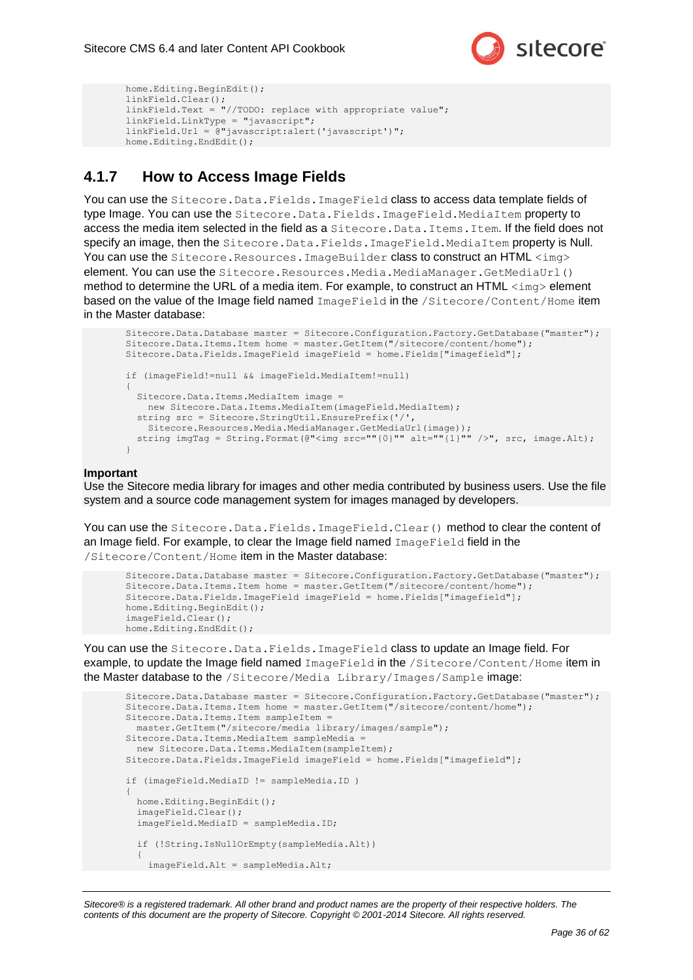

```
home.Editing.BeginEdit();
linkField.Clear();
linkField.Text = "//TODO: replace with appropriate value";
linkField.LinkType = "javascript";
linkField.Url = @"javascript:alert('javascript')";
home.Editing.EndEdit();
```
### <span id="page-35-0"></span>**4.1.7 How to Access Image Fields**

You can use the Sitecore. Data. Fields. ImageField class to access data template fields of type Image. You can use the Sitecore.Data.Fields.ImageField.MediaItem property to access the media item selected in the field as a Sitecore. Data. Items. Item. If the field does not specify an image, then the Sitecore.Data.Fields.ImageField.MediaItem property is Null. You can use the Sitecore.Resources.ImageBuilder class to construct an HTML  $\langle$ img> element. You can use the Sitecore. Resources. Media. MediaManager. GetMediaUrl() method to determine the URL of a media item. For example, to construct an HTML  $\langle\text{img}\rangle$  element based on the value of the Image field named ImageField in the /Sitecore/Content/Home item in the Master database:

```
Sitecore.Data.Database master = Sitecore.Configuration.Factory.GetDatabase("master");
Sitecore.Data.Items.Item home = master.GetItem("/sitecore/content/home");
Sitecore.Data.Fields.ImageField imageField = home.Fields["imagefield"];
if (imageField!=null && imageField.MediaItem!=null)
{
 Sitecore.Data.Items.MediaItem image =
     new Sitecore.Data.Items.MediaItem(imageField.MediaItem);
  string src = Sitecore.StringUtil.EnsurePrefix('/',
    Sitecore.Resources.Media.MediaManager.GetMediaUrl(image));
 string imgTag = String.Format(@"<img src=""{0}"" alt=""{1}"" />", src, image.Alt);
\mathfrak{h}
```
#### **Important**

Use the Sitecore media library for images and other media contributed by business users. Use the file system and a source code management system for images managed by developers.

You can use the Sitecore. Data. Fields. ImageField. Clear() method to clear the content of an Image field. For example, to clear the Image field named ImageField field in the /Sitecore/Content/Home item in the Master database:

```
Sitecore.Data.Database master = Sitecore.Configuration.Factory.GetDatabase("master");
Sitecore.Data.Items.Item home = master.GetItem("/sitecore/content/home");
Sitecore.Data.Fields.ImageField imageField = home.Fields["imagefield"];
home.Editing.BeginEdit();
imageField.Clear();
home.Editing.EndEdit();
```
You can use the Sitecore. Data. Fields. ImageField class to update an Image field. For example, to update the Image field named ImageField in the /Sitecore/Content/Home item in the Master database to the /Sitecore/Media Library/Images/Sample image:

```
Sitecore.Data.Database master = Sitecore.Configuration.Factory.GetDatabase("master");
Sitecore.Data.Items.Item home = master.GetItem("/sitecore/content/home");
Sitecore.Data.Items.Item sampleItem =
  master.GetItem("/sitecore/media library/images/sample");
Sitecore.Data.Items.MediaItem sampleMedia =
  new Sitecore.Data.Items.MediaItem(sampleItem);
Sitecore.Data.Fields.ImageField imageField = home.Fields["imagefield"];
if (imageField.MediaID != sampleMedia.ID )
{
  home.Editing.BeginEdit();
   imageField.Clear();
   imageField.MediaID = sampleMedia.ID;
   if (!String.IsNullOrEmpty(sampleMedia.Alt))
\left\{\right. imageField.Alt = sampleMedia.Alt;
```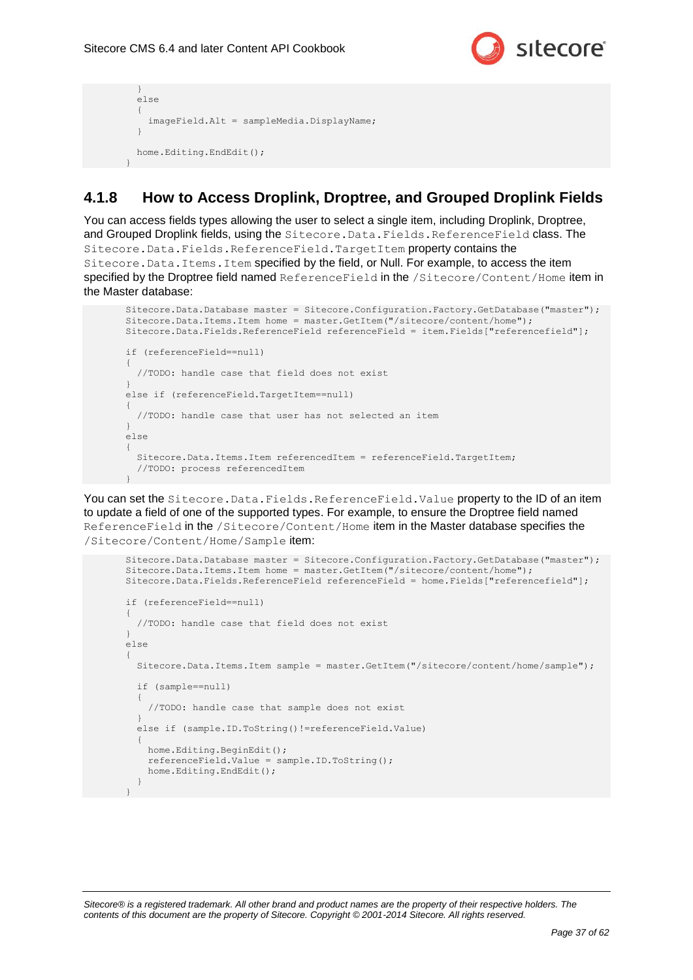}



```
 }
   else
\left\{\right. imageField.Alt = sampleMedia.DisplayName;
 }
  home.Editing.EndEdit();
```
### <span id="page-36-0"></span>**4.1.8 How to Access Droplink, Droptree, and Grouped Droplink Fields**

You can access fields types allowing the user to select a single item, including Droplink, Droptree, and Grouped Droplink fields, using the Sitecore. Data. Fields. ReferenceField class. The Sitecore.Data.Fields.ReferenceField.TargetItem property contains the Sitecore.Data.Items.Item specified by the field, or Null. For example, to access the item specified by the Droptree field named ReferenceField in the /Sitecore/Content/Home item in the Master database:

```
Sitecore.Data.Database master = Sitecore.Configuration.Factory.GetDatabase("master");
Sitecore.Data.Items.Item home = master.GetItem("/sitecore/content/home");
Sitecore.Data.Fields.ReferenceField referenceField = item.Fields["referencefield"];
if (referenceField==null)
{
   //TODO: handle case that field does not exist
}
else if (referenceField.TargetItem==null)
{
   //TODO: handle case that user has not selected an item
}
else
{
 Sitecore.Data.Items.Item referencedItem = referenceField.TargetItem;
   //TODO: process referencedItem
}
```
You can set the Sitecore.Data.Fields.ReferenceField.Value property to the ID of an item to update a field of one of the supported types. For example, to ensure the Droptree field named ReferenceField in the /Sitecore/Content/Home item in the Master database specifies the /Sitecore/Content/Home/Sample item:

```
Sitecore.Data.Database master = Sitecore.Configuration.Factory.GetDatabase("master");
Sitecore.Data.Items.Item home = master.GetItem("/sitecore/content/home");
Sitecore.Data.Fields.ReferenceField referenceField = home.Fields["referencefield"];
if (referenceField==null)
{
   //TODO: handle case that field does not exist
}
else
{
   Sitecore.Data.Items.Item sample = master.GetItem("/sitecore/content/home/sample");
   if (sample==null)
\left\{\right. //TODO: handle case that sample does not exist
 }
  else if (sample.ID.ToString()!=referenceField.Value)
\left\{\right. home.Editing.BeginEdit();
     referenceField.Value = sample.ID.ToString();
     home.Editing.EndEdit();
 }
}
```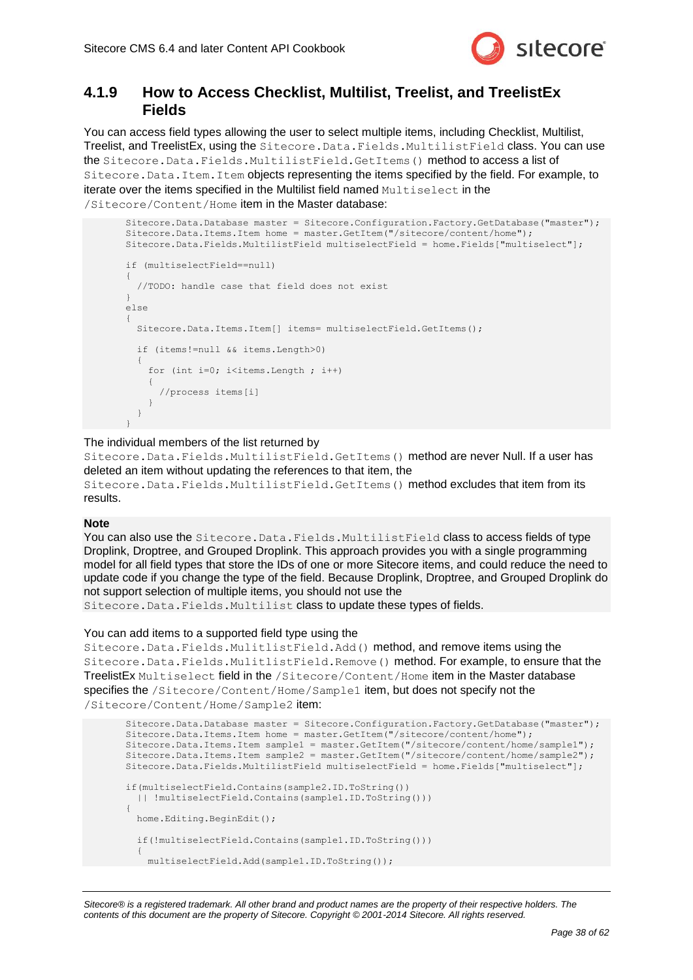

### <span id="page-37-0"></span>**4.1.9 How to Access Checklist, Multilist, Treelist, and TreelistEx Fields**

You can access field types allowing the user to select multiple items, including Checklist, Multilist, Treelist, and TreelistEx, using the Sitecore.Data.Fields.MultilistField class. You can use the Sitecore.Data.Fields.MultilistField.GetItems() method to access a list of Sitecore.Data.Item.Item objects representing the items specified by the field. For example, to iterate over the items specified in the Multilist field named Multiselect in the /Sitecore/Content/Home item in the Master database:

```
Sitecore.Data.Database master = Sitecore.Configuration.Factory.GetDatabase("master");
Sitecore.Data.Items.Item home = master.GetItem("/sitecore/content/home");
Sitecore.Data.Fields.MultilistField multiselectField = home.Fields["multiselect"];
if (multiselectField==null)
{
   //TODO: handle case that field does not exist
}
else
{
  Sitecore.Data.Items.Item[] items= multiselectField.GetItems();
   if (items!=null && items.Length>0)
\left\{ \begin{array}{c} \end{array} \right.for (int i=0; i<items. Length; i++)
\left\{\begin{array}{ccc} \end{array}\right\} //process items[i]
 }
   }
}
```
The individual members of the list returned by

Sitecore.Data.Fields.MultilistField.GetItems() method are never Null. If a user has deleted an item without updating the references to that item, the

Sitecore.Data.Fields.MultilistField.GetItems() method excludes that item from its results.

#### **Note**

You can also use the Sitecore. Data. Fields. MultilistField class to access fields of type Droplink, Droptree, and Grouped Droplink. This approach provides you with a single programming model for all field types that store the IDs of one or more Sitecore items, and could reduce the need to update code if you change the type of the field. Because Droplink, Droptree, and Grouped Droplink do not support selection of multiple items, you should not use the

Sitecore.Data.Fields.Multilist class to update these types of fields.

#### You can add items to a supported field type using the

Sitecore.Data.Fields.MulitlistField.Add() method, and remove items using the Sitecore.Data.Fields.MulitlistField.Remove() method. For example, to ensure that the TreelistEx Multiselect field in the /Sitecore/Content/Home item in the Master database specifies the /Sitecore/Content/Home/Sample1 item, but does not specify not the /Sitecore/Content/Home/Sample2 item:

```
Sitecore.Data.Database master = Sitecore.Configuration.Factory.GetDatabase("master");
Sitecore.Data.Items.Item home = master.GetItem("/sitecore/content/home");
Sitecore.Data.Items.Item sample1 = master.GetItem("/sitecore/content/home/sample1");
Sitecore.Data.Items.Item sample2 = master.GetItem("/sitecore/content/home/sample2");
Sitecore.Data.Fields.MultilistField multiselectField = home.Fields["multiselect"];
if(multiselectField.Contains(sample2.ID.ToString())
   || !multiselectField.Contains(sample1.ID.ToString()))
{
  home.Editing.BeginEdit();
   if(!multiselectField.Contains(sample1.ID.ToString()))
\left\{\right. multiselectField.Add(sample1.ID.ToString());
```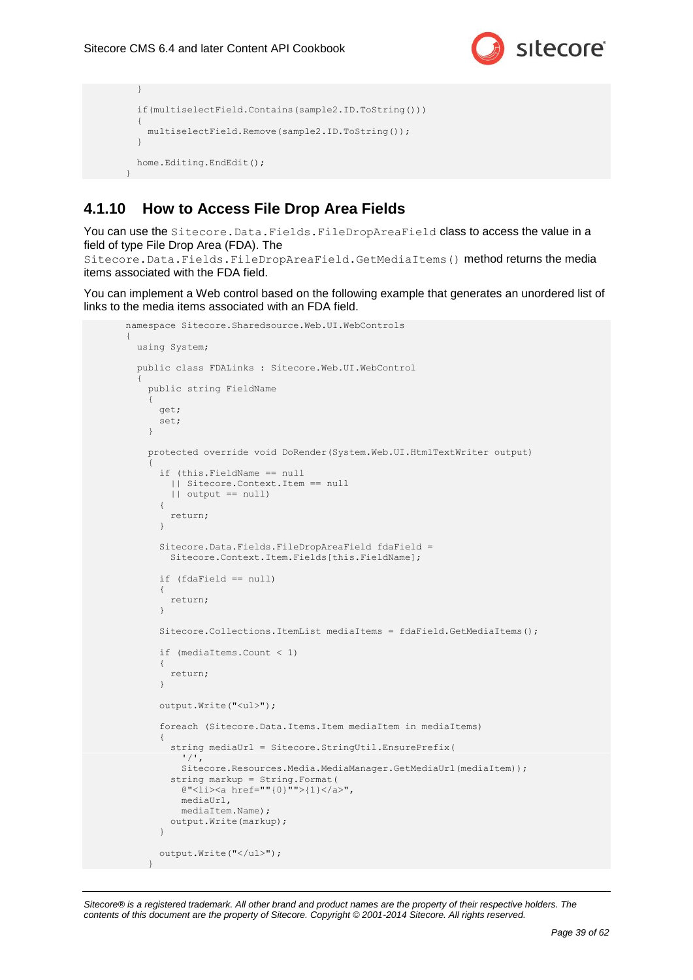}



```
 if(multiselectField.Contains(sample2.ID.ToString()))
   {
    multiselectField.Remove(sample2.ID.ToString());
   }
  home.Editing.EndEdit();
}
```
### <span id="page-38-0"></span>**4.1.10 How to Access File Drop Area Fields**

You can use the Sitecore. Data. Fields. FileDropAreaField class to access the value in a field of type File Drop Area (FDA). The

Sitecore.Data.Fields.FileDropAreaField.GetMediaItems() method returns the media items associated with the FDA field.

You can implement a Web control based on the following example that generates an unordered list of links to the media items associated with an FDA field.

```
namespace Sitecore.Sharedsource.Web.UI.WebControls
{
   using System;
   public class FDALinks : Sitecore.Web.UI.WebControl
\left\{\right. public string FieldName
     {
       get; 
       set;
     }
     protected override void DoRender(System.Web.UI.HtmlTextWriter output)
\left\{\begin{array}{ccc} \end{array}\right\} if (this.FieldName == null
         || Sitecore.Context.Item == null
         || output == null)
       {
         return;
       }
       Sitecore.Data.Fields.FileDropAreaField fdaField =
         Sitecore.Context.Item.Fields[this.FieldName];
       if (fdaField == null)
       {
         return;
       }
      Sitecore.Collections.ItemList mediaItems = fdaField.GetMediaItems();
       if (mediaItems.Count < 1)
       {
         return;
 }
       output.Write("<ul>");
       foreach (Sitecore.Data.Items.Item mediaItem in mediaItems)
       {
         string mediaUrl = Sitecore.StringUtil.EnsurePrefix(
            '/',
            Sitecore.Resources.Media.MediaManager.GetMediaUrl(mediaItem));
         string markup = String.Format(
            @"<li><a href=""{0}"">{1}</a>",
            mediaUrl,
            mediaItem.Name);
         output.Write(markup);
       }
       output.Write("</ul>");
     }
```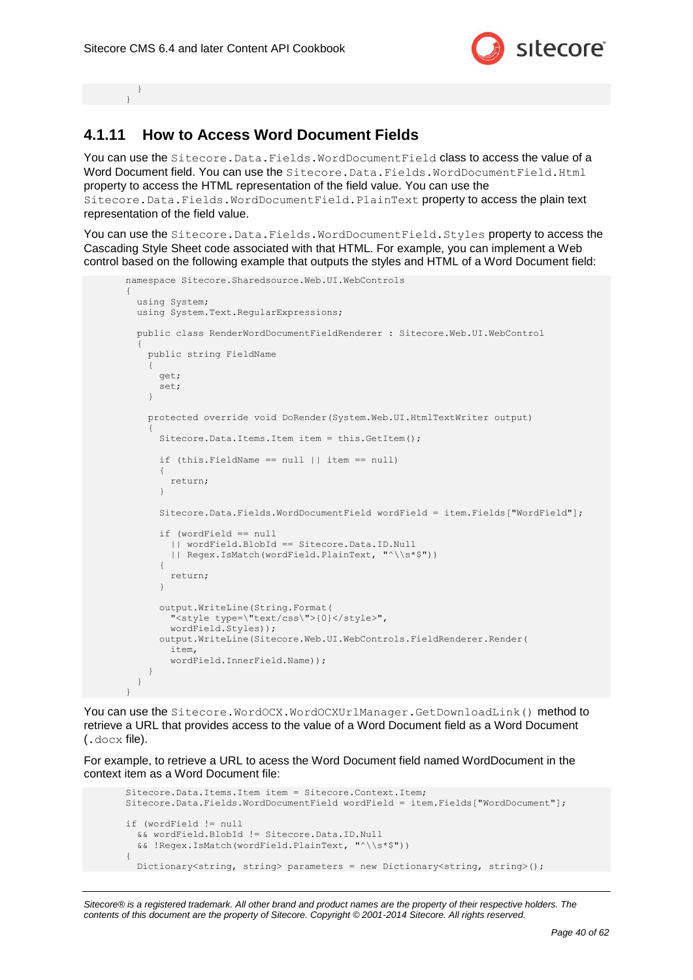

 } }

### <span id="page-39-0"></span>**4.1.11 How to Access Word Document Fields**

You can use the Sitecore. Data. Fields. WordDocumentField class to access the value of a Word Document field. You can use the Sitecore. Data. Fields. WordDocumentField. Html property to access the HTML representation of the field value. You can use the Sitecore.Data.Fields.WordDocumentField.PlainText property to access the plain text representation of the field value.

You can use the Sitecore. Data. Fields. WordDocumentField. Styles property to access the Cascading Style Sheet code associated with that HTML. For example, you can implement a Web control based on the following example that outputs the styles and HTML of a Word Document field:

```
namespace Sitecore.Sharedsource.Web.UI.WebControls
{
   using System;
   using System.Text.RegularExpressions;
   public class RenderWordDocumentFieldRenderer : Sitecore.Web.UI.WebControl
\left\{\right. public string FieldName
\left\{\begin{array}{ccc} \end{array}\right\} get;
       set;
 }
     protected override void DoRender(System.Web.UI.HtmlTextWriter output)
\left\{\begin{array}{ccc} \end{array}\right\}Sitecore.Data.Items.Item item = this.GetItem();
        if (this.FieldName == null || item == null)
\left\{\begin{array}{ccc} \end{array}\right\} return;
        }
        Sitecore.Data.Fields.WordDocumentField wordField = item.Fields["WordField"];
        if (wordField == null 
          || wordField.BlobId == Sitecore.Data.ID.Null 
          || Regex.IsMatch(wordField.PlainText, "^\\s*$"))
        {
          return;
        }
        output.WriteLine(String.Format(
          "<style type=\"text/css\">{0}</style>",
          wordField.Styles));
        output.WriteLine(Sitecore.Web.UI.WebControls.FieldRenderer.Render(
         item, 
          wordField.InnerField.Name));
 }
   }
}
```
You can use the Sitecore.WordOCX.WordOCXUrlManager.GetDownloadLink() method to retrieve a URL that provides access to the value of a Word Document field as a Word Document (.docx file).

For example, to retrieve a URL to acess the Word Document field named WordDocument in the context item as a Word Document file:

```
Sitecore.Data.Items.Item item = Sitecore.Context.Item;
Sitecore.Data.Fields.WordDocumentField wordField = item.Fields["WordDocument"];
if (wordField != null
  && wordField.BlobId != Sitecore.Data.ID.Null 
   && !Regex.IsMatch(wordField.PlainText, "^\\s*$"))
{
  Dictionary<string, string> parameters = new Dictionary<string, string>();
```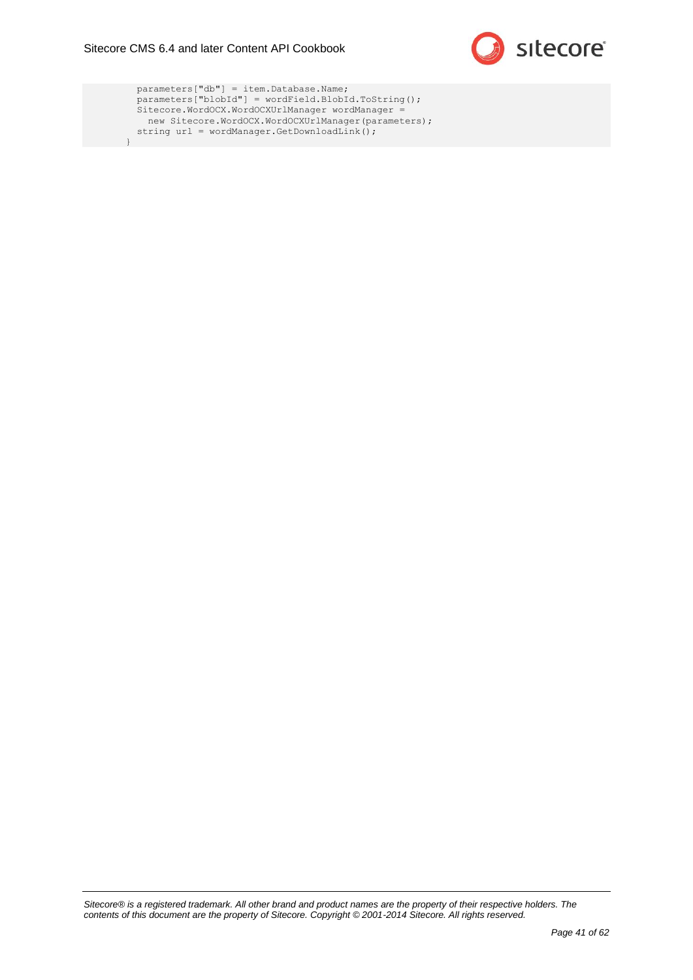}



 parameters["db"] = item.Database.Name; parameters["blobId"] = wordField.BlobId.ToString(); Sitecore.WordOCX.WordOCXUrlManager wordManager = new Sitecore.WordOCX.WordOCXUrlManager(parameters); string url = wordManager.GetDownloadLink();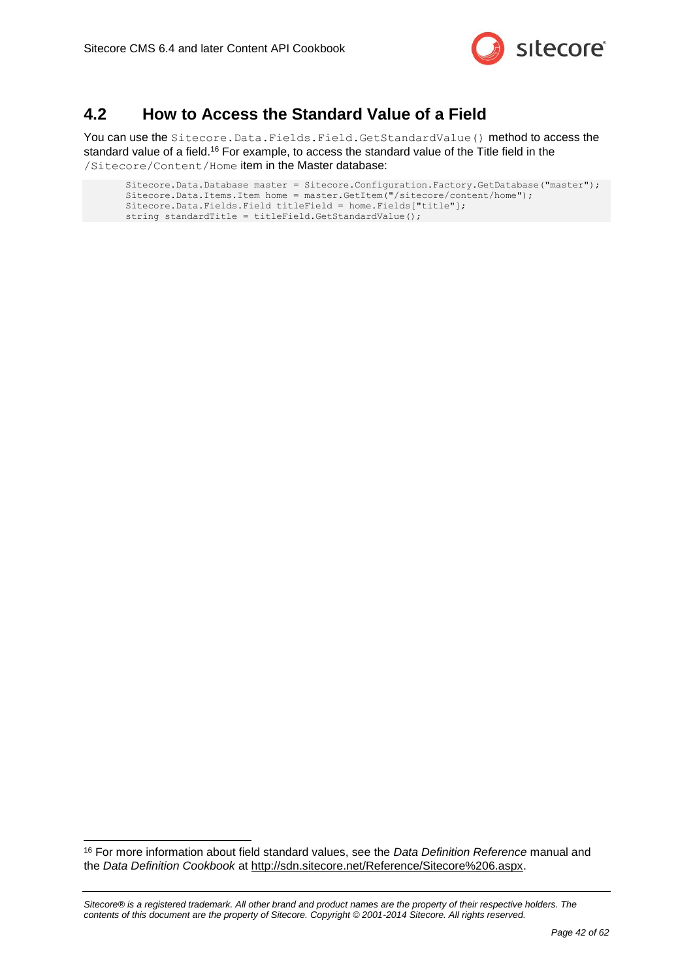

### <span id="page-41-0"></span>**4.2 How to Access the Standard Value of a Field**

You can use the Sitecore. Data. Fields. Field. GetStandardValue() method to access the standard value of a field.<sup>16</sup> For example, to access the standard value of the Title field in the /Sitecore/Content/Home item in the Master database:

```
Sitecore.Data.Database master = Sitecore.Configuration.Factory.GetDatabase("master");
Sitecore.Data.Items.Item home = master.GetItem("/sitecore/content/home");
Sitecore.Data.Fields.Field titleField = home.Fields["title"];
string standardTitle = titleField.GetStandardValue();
```
<sup>16</sup> For more information about field standard values, see the *Data Definition Reference* manual and the *Data Definition Cookbook* at [http://sdn.sitecore.net/Reference/Sitecore%206.aspx.](http://sdn.sitecore.net/Reference/Sitecore%206.aspx)

-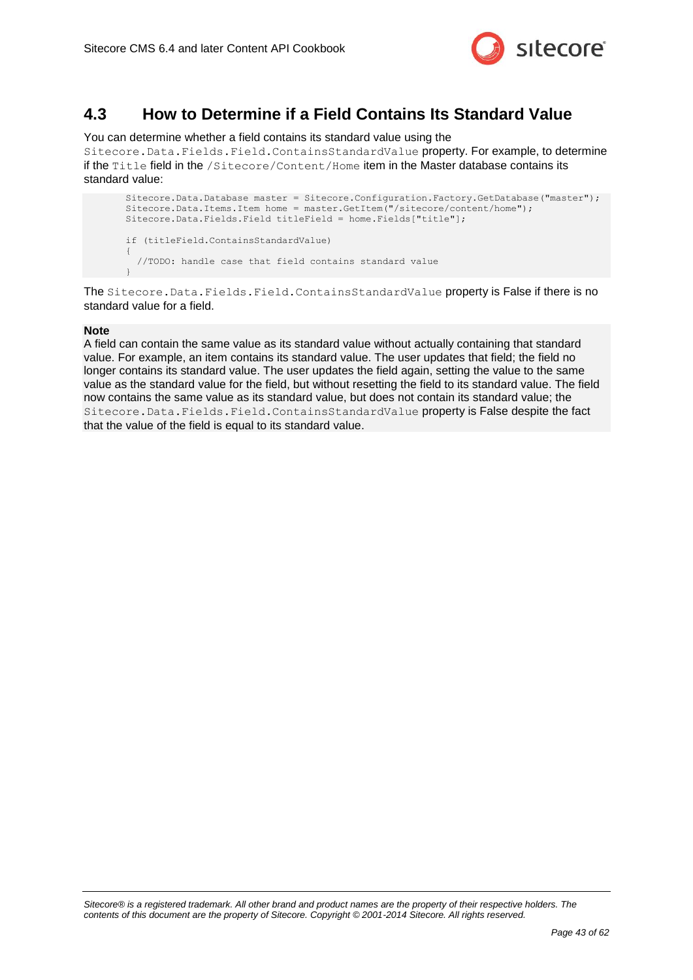

### <span id="page-42-0"></span>**4.3 How to Determine if a Field Contains Its Standard Value**

You can determine whether a field contains its standard value using the

Sitecore.Data.Fields.Field.ContainsStandardValue property. For example, to determine if the Title field in the /Sitecore/Content/Home item in the Master database contains its standard value:

```
Sitecore.Data.Database master = Sitecore.Configuration.Factory.GetDatabase("master");
Sitecore.Data.Items.Item home = master.GetItem("/sitecore/content/home");
Sitecore.Data.Fields.Field titleField = home.Fields["title"];
if (titleField.ContainsStandardValue)
{
   //TODO: handle case that field contains standard value
}
```
The Sitecore.Data.Fields.Field.ContainsStandardValue property is False if there is no standard value for a field.

#### **Note**

A field can contain the same value as its standard value without actually containing that standard value. For example, an item contains its standard value. The user updates that field; the field no longer contains its standard value. The user updates the field again, setting the value to the same value as the standard value for the field, but without resetting the field to its standard value. The field now contains the same value as its standard value, but does not contain its standard value; the Sitecore.Data.Fields.Field.ContainsStandardValue property is False despite the fact that the value of the field is equal to its standard value.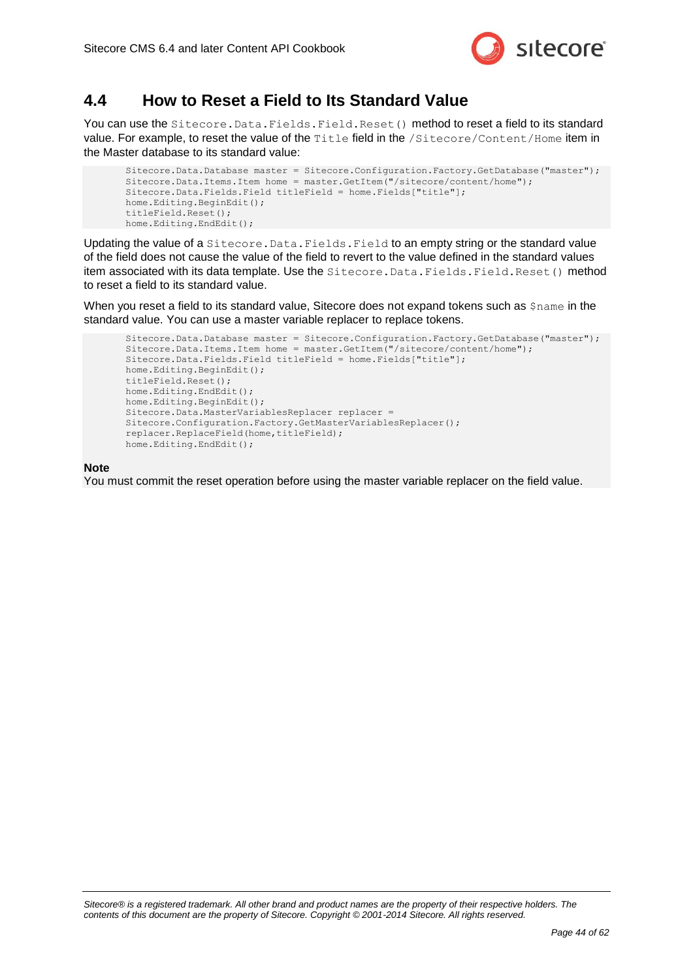

### <span id="page-43-0"></span>**4.4 How to Reset a Field to Its Standard Value**

You can use the Sitecore. Data. Fields. Field. Reset () method to reset a field to its standard value. For example, to reset the value of the Title field in the /Sitecore/Content/Home item in the Master database to its standard value:

```
Sitecore.Data.Database master = Sitecore.Configuration.Factory.GetDatabase("master");
Sitecore.Data.Items.Item home = master.GetItem("/sitecore/content/home");
Sitecore.Data.Fields.Field titleField = home.Fields["title"];
home.Editing.BeginEdit();
titleField.Reset();
home.Editing.EndEdit();
```
Updating the value of a Sitecore. Data. Fields. Field to an empty string or the standard value of the field does not cause the value of the field to revert to the value defined in the standard values item associated with its data template. Use the Sitecore. Data. Fields. Field. Reset() method to reset a field to its standard value.

When you reset a field to its standard value, Sitecore does not expand tokens such as  $\frac{2}{3}$ name in the standard value. You can use a master variable replacer to replace tokens.

```
Sitecore.Data.Database master = Sitecore.Configuration.Factory.GetDatabase("master");
Sitecore.Data.Items.Item home = master.GetItem("/sitecore/content/home");
Sitecore.Data.Fields.Field titleField = home.Fields["title"];
home.Editing.BeginEdit();
titleField.Reset();
home.Editing.EndEdit();
home.Editing.BeginEdit();
Sitecore.Data.MasterVariablesReplacer replacer =
Sitecore.Configuration.Factory.GetMasterVariablesReplacer();
replacer.ReplaceField(home,titleField);
home.Editing.EndEdit();
```
#### **Note**

You must commit the reset operation before using the master variable replacer on the field value.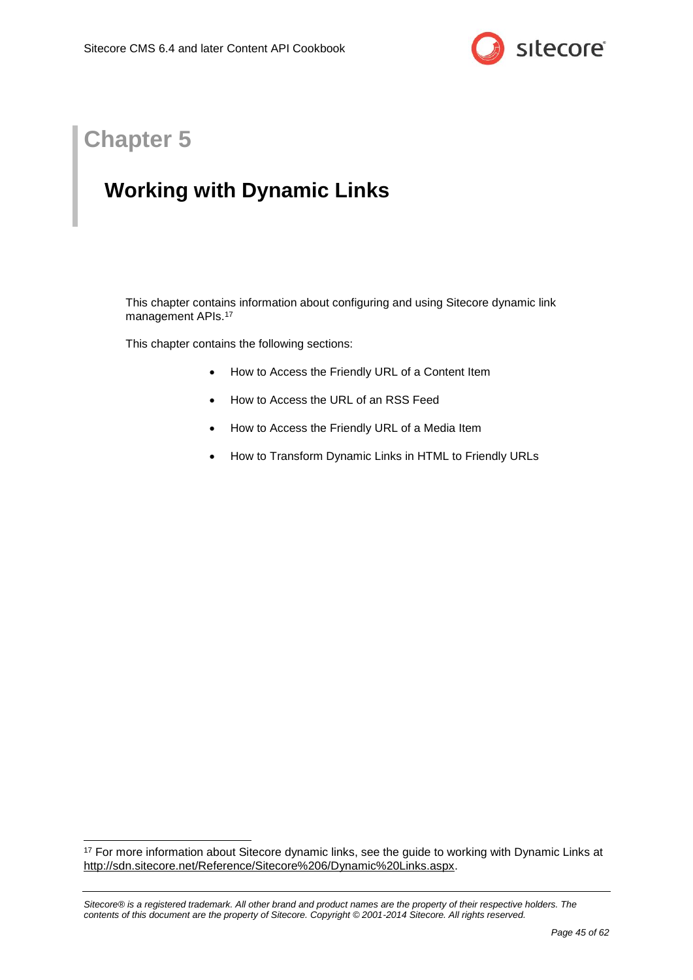

## **Chapter 5**

-

## <span id="page-44-0"></span>**Working with Dynamic Links**

This chapter contains information about configuring and using Sitecore dynamic link management APIs. 17

This chapter contains the following sections:

- [How to Access the Friendly URL of a Content Item](#page-45-0)
- [How to Access the URL of an RSS Feed](#page-46-0)
- [How to Access the Friendly URL of a Media Item](#page-47-0)
- [How to Transform Dynamic Links](#page-48-0) in HTML to Friendly URLs

<sup>&</sup>lt;sup>17</sup> For more information about Sitecore dynamic links, see the quide to working with Dynamic Links at [http://sdn.sitecore.net/Reference/Sitecore%206/Dynamic%20Links.aspx.](http://sdn.sitecore.net/Reference/Sitecore%206/Dynamic%20Links.aspx)

*Sitecore® is a registered trademark. All other brand and product names are the property of their respective holders. The contents of this document are the property of Sitecore. Copyright © 2001-2014 Sitecore. All rights reserved.*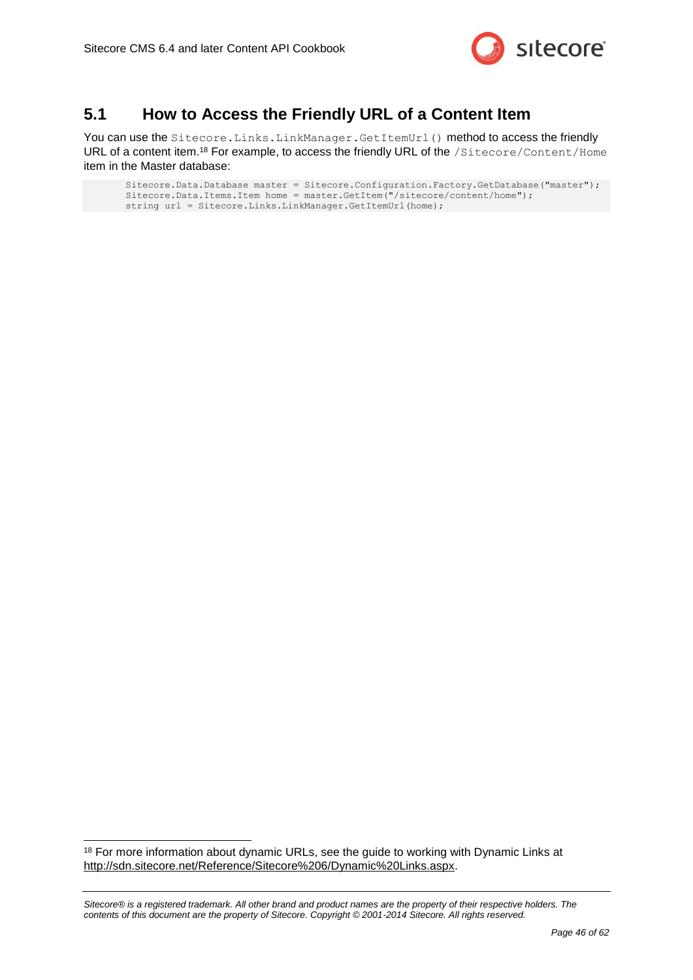

### <span id="page-45-0"></span>**5.1 How to Access the Friendly URL of a Content Item**

You can use the Sitecore.Links.LinkManager.GetItemUrl() method to access the friendly URL of a content item.<sup>18</sup> For example, to access the friendly URL of the /Sitecore/Content/Home item in the Master database:

```
Sitecore.Data.Database master = Sitecore.Configuration.Factory.GetDatabase("master");
Sitecore.Data.Items.Item home = master.GetItem("/sitecore/content/home");
string url = Sitecore.Links.LinkManager.GetItemUrl(home);
```
-

<sup>&</sup>lt;sup>18</sup> For more information about dynamic URLs, see the guide to working with Dynamic Links at [http://sdn.sitecore.net/Reference/Sitecore%206/Dynamic%20Links.aspx.](http://sdn.sitecore.net/Reference/Sitecore%206/Dynamic%20Links.aspx)

*Sitecore® is a registered trademark. All other brand and product names are the property of their respective holders. The contents of this document are the property of Sitecore. Copyright © 2001-2014 Sitecore. All rights reserved.*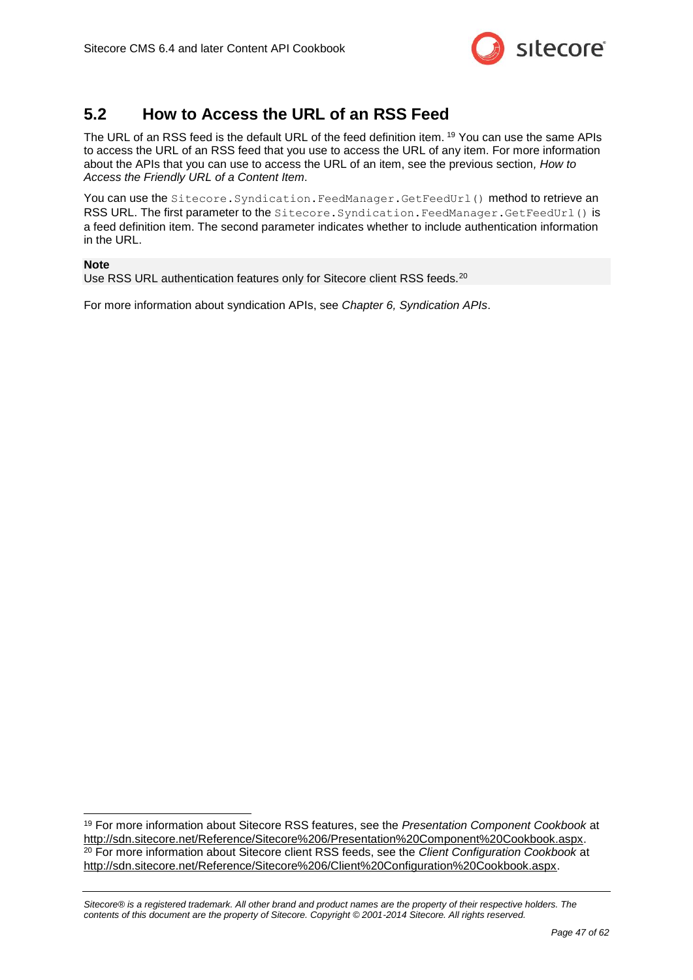

### <span id="page-46-0"></span>**5.2 How to Access the URL of an RSS Feed**

The URL of an RSS feed is the default URL of the feed definition item. <sup>19</sup> You can use the same APIs to access the URL of an RSS feed that you use to access the URL of any item. For more information about the APIs that you can use to access the URL of an item, see the previous section*, [How to](#page-45-0)  [Access the Friendly URL of a Content Item](#page-45-0)*.

You can use the Sitecore. Syndication. FeedManager. GetFeedUrl() method to retrieve an RSS URL. The first parameter to the Sitecore. Syndication. FeedManager. GetFeedUrl() is a feed definition item. The second parameter indicates whether to include authentication information in the URL.

#### **Note**

Use RSS URL authentication features only for Sitecore client RSS feeds.<sup>20</sup>

For more information about syndication APIs, see *[Chapter 6, Syndication APIs](#page-49-0)*.

<sup>-</sup><sup>19</sup> For more information about Sitecore RSS features, see the *Presentation Component Cookbook* at [http://sdn.sitecore.net/Reference/Sitecore%206/Presentation%20Component%20Cookbook.aspx.](http://sdn.sitecore.net/Reference/Sitecore%206/Presentation%20Component%20Cookbook.aspx) <sup>20</sup> For more information about Sitecore client RSS feeds, see the *Client Configuration Cookbook* at [http://sdn.sitecore.net/Reference/Sitecore%206/Client%20Configuration%20Cookbook.aspx.](http://sdn.sitecore.net/Reference/Sitecore%206/Client%20Configuration%20Cookbook.aspx)

*Sitecore® is a registered trademark. All other brand and product names are the property of their respective holders. The contents of this document are the property of Sitecore. Copyright © 2001-2014 Sitecore. All rights reserved.*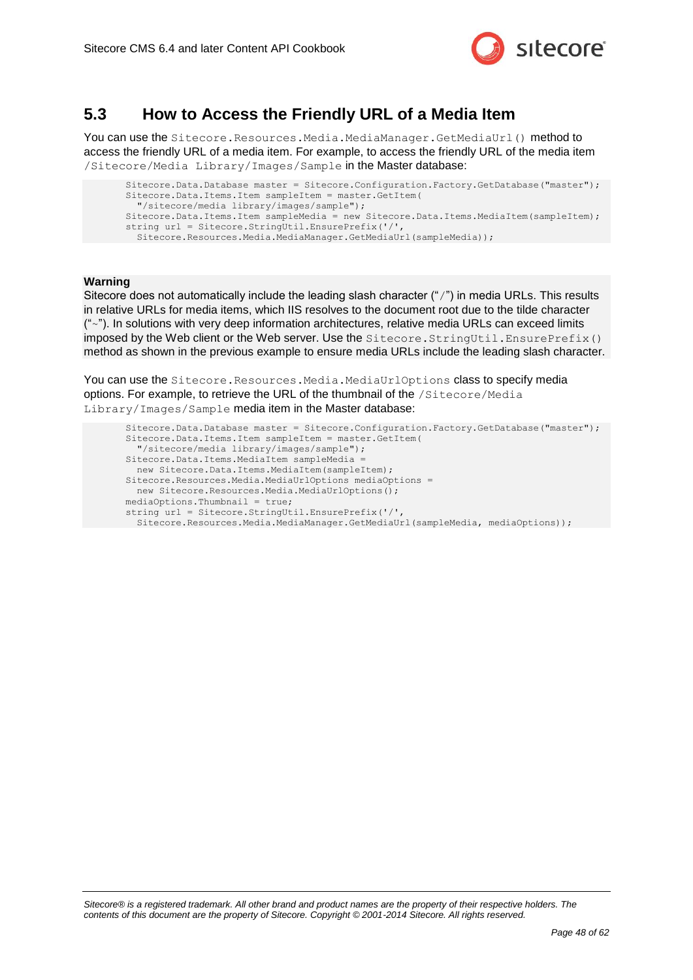

### <span id="page-47-0"></span>**5.3 How to Access the Friendly URL of a Media Item**

You can use the Sitecore.Resources.Media.MediaManager.GetMediaUrl() method to access the friendly URL of a media item. For example, to access the friendly URL of the media item /Sitecore/Media Library/Images/Sample in the Master database:

```
Sitecore.Data.Database master = Sitecore.Configuration.Factory.GetDatabase("master");
Sitecore.Data.Items.Item sampleItem = master.GetItem(
   "/sitecore/media library/images/sample");
Sitecore.Data.Items.Item sampleMedia = new Sitecore.Data.Items.MediaItem(sampleItem);
string url = Sitecore.StringUtil.EnsurePrefix('/'
  Sitecore.Resources.Media.MediaManager.GetMediaUrl(sampleMedia));
```
#### **Warning**

Sitecore does not automatically include the leading slash character ("/") in media URLs. This results in relative URLs for media items, which IIS resolves to the document root due to the tilde character  $("~~")$ . In solutions with very deep information architectures, relative media URLs can exceed limits imposed by the Web client or the Web server. Use the Sitecore.StringUtil.EnsurePrefix() method as shown in the previous example to ensure media URLs include the leading slash character.

You can use the Sitecore. Resources. Media.MediaUrlOptions class to specify media options. For example, to retrieve the URL of the thumbnail of the /Sitecore/Media Library/Images/Sample media item in the Master database:

```
Sitecore.Data.Database master = Sitecore.Configuration.Factory.GetDatabase("master");
Sitecore.Data.Items.Item sampleItem = master.GetItem(
   "/sitecore/media library/images/sample");
Sitecore.Data.Items.MediaItem sampleMedia =
  new Sitecore.Data.Items.MediaItem(sampleItem);
Sitecore.Resources.Media.MediaUrlOptions mediaOptions =
 new Sitecore.Resources.Media.MediaUrlOptions();
mediaOptions.Thumbnail = true;
string url = Sitecore.StringUtil.EnsurePrefix('/',
  Sitecore.Resources.Media.MediaManager.GetMediaUrl(sampleMedia, mediaOptions));
```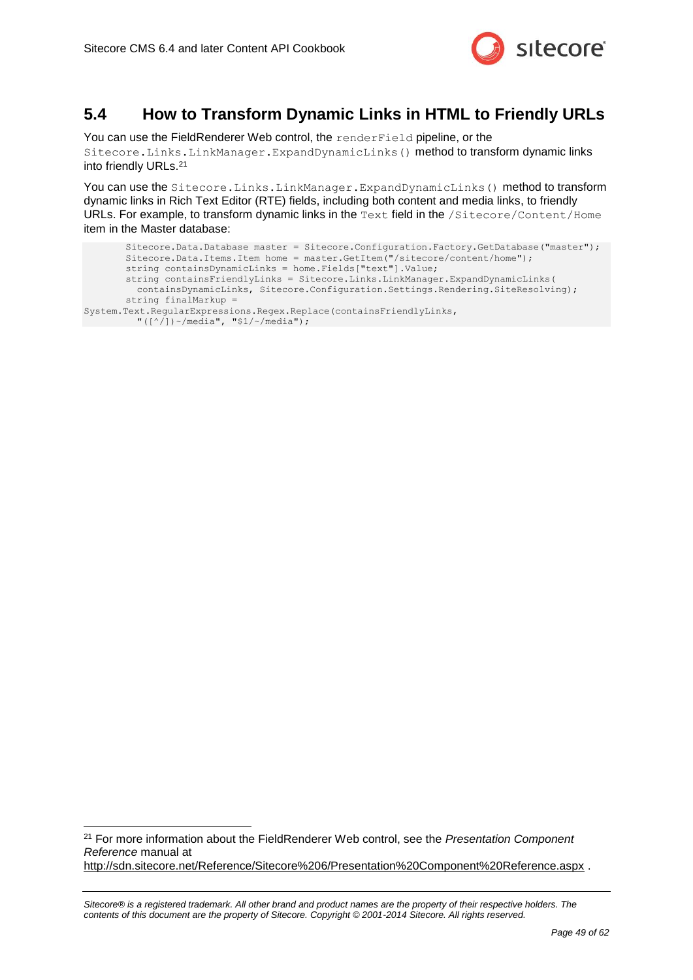

### <span id="page-48-0"></span>**5.4 How to Transform Dynamic Links in HTML to Friendly URLs**

You can use the FieldRenderer Web control, the renderField pipeline, or the Sitecore.Links.LinkManager.ExpandDynamicLinks() method to transform dynamic links into friendly URLs.<sup>21</sup>

You can use the Sitecore.Links.LinkManager.ExpandDynamicLinks() method to transform dynamic links in Rich Text Editor (RTE) fields, including both content and media links, to friendly URLs. For example, to transform dynamic links in the Text field in the /Sitecore/Content/Home item in the Master database:

```
Sitecore.Data.Database master = Sitecore.Configuration.Factory.GetDatabase("master");
       Sitecore.Data.Items.Item home = master.GetItem("/sitecore/content/home");
       string containsDynamicLinks = home.Fields["text"].Value;
       string containsFriendlyLinks = Sitecore.Links.LinkManager.ExpandDynamicLinks(
          containsDynamicLinks, Sitecore.Configuration.Settings.Rendering.SiteResolving);
       string finalMarkup =
System.Text.RegularExpressions.Regex.Replace(containsFriendlyLinks,
          "([^/])~/media", "$1/~/media");
```
<sup>21</sup> For more information about the FieldRenderer Web control, see the *Presentation Component Reference* manual at <http://sdn.sitecore.net/Reference/Sitecore%206/Presentation%20Component%20Reference.aspx> .

-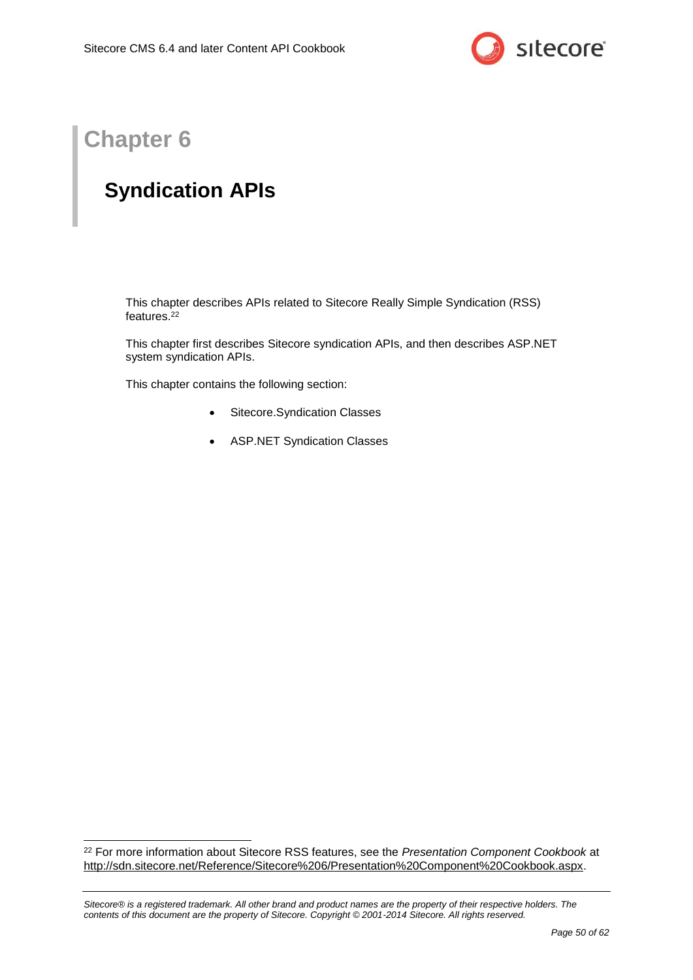

## **Chapter 6**

-

## <span id="page-49-0"></span>**Syndication APIs**

This chapter describes APIs related to Sitecore Really Simple Syndication (RSS) features.<sup>22</sup>

This chapter first describes Sitecore syndication APIs, and then describes ASP.NET system syndication APIs.

This chapter contains the following section:

- [Sitecore.Syndication Classes](#page-50-0)
- [ASP.NET Syndication Classes](#page-52-0)

<sup>22</sup> For more information about Sitecore RSS features, see the *Presentation Component Cookbook* at [http://sdn.sitecore.net/Reference/Sitecore%206/Presentation%20Component%20Cookbook.aspx.](http://sdn.sitecore.net/Reference/Sitecore%206/Presentation%20Component%20Cookbook.aspx)

*Sitecore® is a registered trademark. All other brand and product names are the property of their respective holders. The contents of this document are the property of Sitecore. Copyright © 2001-2014 Sitecore. All rights reserved.*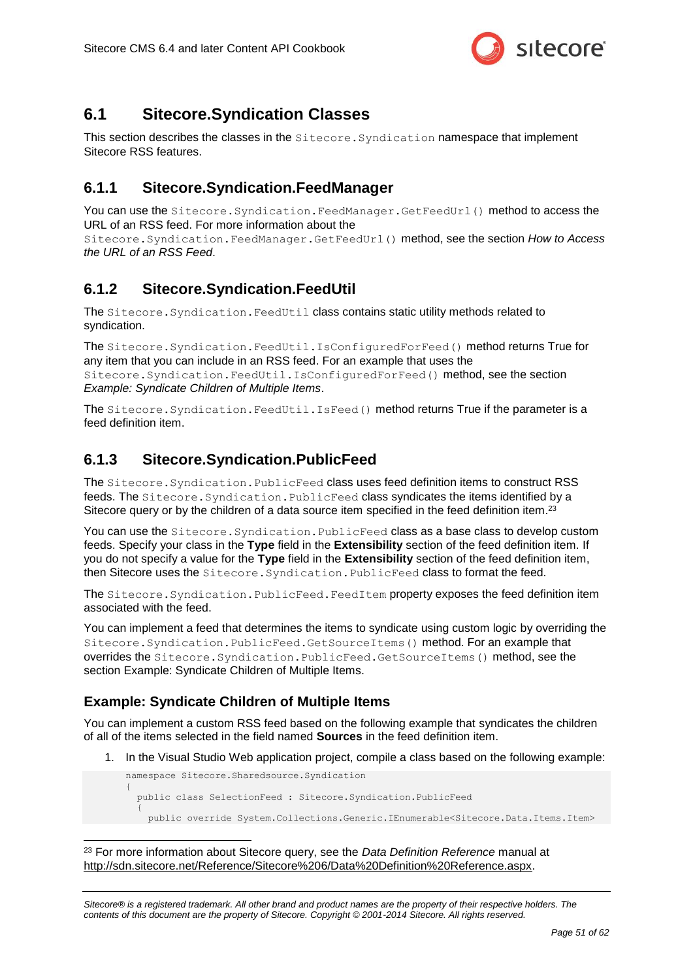

### <span id="page-50-0"></span>**6.1 Sitecore.Syndication Classes**

This section describes the classes in the Sitecore.Syndication namespace that implement Sitecore RSS features.

### <span id="page-50-1"></span>**6.1.1 Sitecore.Syndication.FeedManager**

You can use the Sitecore.Syndication.FeedManager.GetFeedUrl() method to access the URL of an RSS feed. For more information about the

Sitecore.Syndication.FeedManager.GetFeedUrl() method, see the section *[How to Access](#page-46-0)  [the URL of an RSS Feed](#page-46-0)*.

### <span id="page-50-2"></span>**6.1.2 Sitecore.Syndication.FeedUtil**

The Sitecore.Syndication.FeedUtil class contains static utility methods related to syndication.

The Sitecore.Syndication.FeedUtil.IsConfiguredForFeed() method returns True for any item that you can include in an RSS feed. For an example that uses the Sitecore.Syndication.FeedUtil.IsConfiguredForFeed() method, see the section *[Example: Syndicate Children of Multiple Items](#page-50-4)*.

The Sitecore. Syndication. FeedUtil. IsFeed() method returns True if the parameter is a feed definition item.

### <span id="page-50-3"></span>**6.1.3 Sitecore.Syndication.PublicFeed**

The Sitecore. Syndication. PublicFeed class uses feed definition items to construct RSS feeds. The Sitecore. Syndication. PublicFeed class syndicates the items identified by a Sitecore query or by the children of a data source item specified in the feed definition item.<sup>23</sup>

You can use the Sitecore. Syndication. PublicFeed class as a base class to develop custom feeds. Specify your class in the **Type** field in the **Extensibility** section of the feed definition item. If you do not specify a value for the **Type** field in the **Extensibility** section of the feed definition item, then Sitecore uses the Sitecore. Syndication. PublicFeed class to format the feed.

The Sitecore. Syndication. PublicFeed. FeedItem property exposes the feed definition item associated with the feed.

You can implement a feed that determines the items to syndicate using custom logic by overriding the Sitecore.Syndication.PublicFeed.GetSourceItems() method. For an example that overrides the Sitecore.Syndication.PublicFeed.GetSourceItems() method, see the section [Example: Syndicate Children of Multiple Items.](#page-50-4)

### <span id="page-50-4"></span>**Example: Syndicate Children of Multiple Items**

-

You can implement a custom RSS feed based on the following example that syndicates the children of all of the items selected in the field named **Sources** in the feed definition item.

1. In the Visual Studio Web application project, compile a class based on the following example:

```
namespace Sitecore.Sharedsource.Syndication
{
   public class SelectionFeed : Sitecore.Syndication.PublicFeed
\left\{\right. public override System.Collections.Generic.IEnumerable<Sitecore.Data.Items.Item>
```
<sup>23</sup> For more information about Sitecore query, see the *Data Definition Reference* manual at [http://sdn.sitecore.net/Reference/Sitecore%206/Data%20Definition%20Reference.aspx.](http://sdn.sitecore.net/Reference/Sitecore%206/Data%20Definition%20Reference.aspx)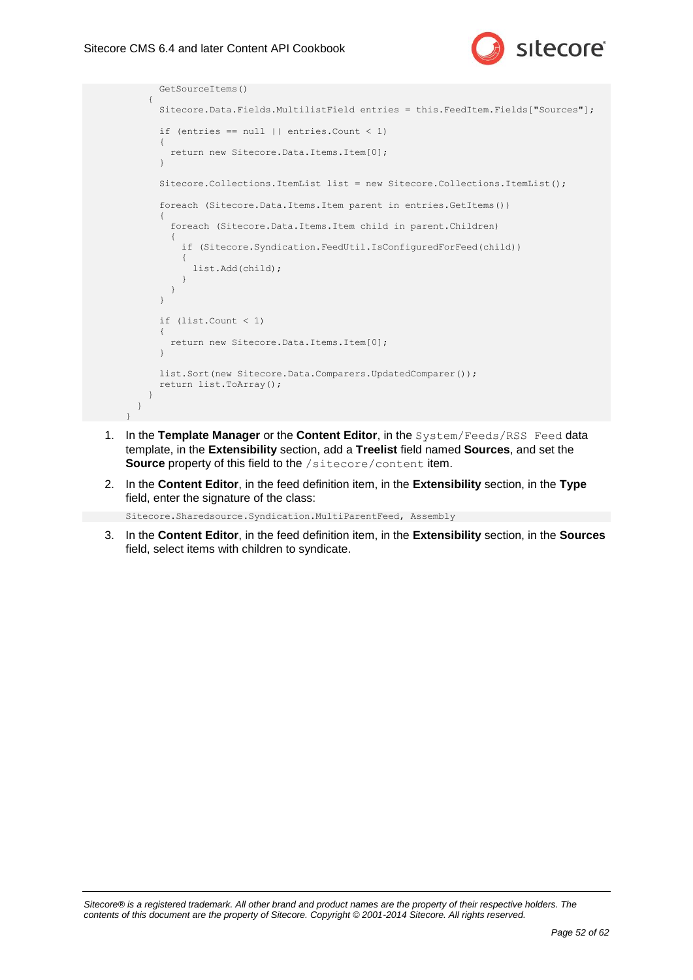

```
 GetSourceItems()
          {
               Sitecore.Data.Fields.MultilistField entries = this.FeedItem.Fields["Sources"];
              if (entries == null || entries. Count < 1)
\left\{ \begin{array}{ccc} 0 & 0 & 0 \\ 0 & 0 & 0 \\ 0 & 0 & 0 \\ 0 & 0 & 0 \\ 0 & 0 & 0 \\ 0 & 0 & 0 \\ 0 & 0 & 0 \\ 0 & 0 & 0 \\ 0 & 0 & 0 \\ 0 & 0 & 0 \\ 0 & 0 & 0 \\ 0 & 0 & 0 \\ 0 & 0 & 0 \\ 0 & 0 & 0 & 0 \\ 0 & 0 & 0 & 0 \\ 0 & 0 & 0 & 0 \\ 0 & 0 & 0 & 0 \\ 0 & 0 & 0 & 0 & 0 \\ 0 & 0 & 0 & 0 & 0 \\ 0 & 0 & 0 & 0 & 0 return new Sitecore.Data.Items.Item[0];
 }
              Sitecore.Collections.ItemList list = new Sitecore.Collections.ItemList();
               foreach (Sitecore.Data.Items.Item parent in entries.GetItems())
\left\{ \begin{array}{ccc} 0 & 0 & 0 \\ 0 & 0 & 0 \\ 0 & 0 & 0 \\ 0 & 0 & 0 \\ 0 & 0 & 0 \\ 0 & 0 & 0 \\ 0 & 0 & 0 \\ 0 & 0 & 0 \\ 0 & 0 & 0 \\ 0 & 0 & 0 \\ 0 & 0 & 0 \\ 0 & 0 & 0 \\ 0 & 0 & 0 \\ 0 & 0 & 0 & 0 \\ 0 & 0 & 0 & 0 \\ 0 & 0 & 0 & 0 \\ 0 & 0 & 0 & 0 \\ 0 & 0 & 0 & 0 & 0 \\ 0 & 0 & 0 & 0 & 0 \\ 0 & 0 & 0 & 0 & 0 foreach (Sitecore.Data.Items.Item child in parent.Children)
\{ if (Sitecore.Syndication.FeedUtil.IsConfiguredForFeed(child))
\left\{ \begin{array}{ccc} 0 & 0 & 0 \\ 0 & 0 & 0 \\ 0 & 0 & 0 \\ 0 & 0 & 0 \\ 0 & 0 & 0 \\ 0 & 0 & 0 \\ 0 & 0 & 0 \\ 0 & 0 & 0 \\ 0 & 0 & 0 \\ 0 & 0 & 0 \\ 0 & 0 & 0 \\ 0 & 0 & 0 \\ 0 & 0 & 0 \\ 0 & 0 & 0 & 0 \\ 0 & 0 & 0 & 0 \\ 0 & 0 & 0 & 0 \\ 0 & 0 & 0 & 0 \\ 0 & 0 & 0 & 0 & 0 \\ 0 & 0 & 0 & 0 & 0 \\ 0 & 0 & 0 & 0 & 0 list.Add(child);
 }
 }
               }
               if (list.Count < 1)
\left\{\begin{array}{ccc} \end{array}\right\}return new Sitecore.Data.Items.Item[0];
 }
              list.Sort(new Sitecore.Data.Comparers.UpdatedComparer());
               return list.ToArray();
 }
     }
}
```
- 1. In the **Template Manager** or the **Content Editor**, in the System/Feeds/RSS Feed data template, in the **Extensibility** section, add a **Treelist** field named **Sources**, and set the **Source** property of this field to the /sitecore/content item.
- 2. In the **Content Editor**, in the feed definition item, in the **Extensibility** section, in the **Type** field, enter the signature of the class:

Sitecore.Sharedsource.Syndication.MultiParentFeed, Assembly

3. In the **Content Editor**, in the feed definition item, in the **Extensibility** section, in the **Sources** field, select items with children to syndicate.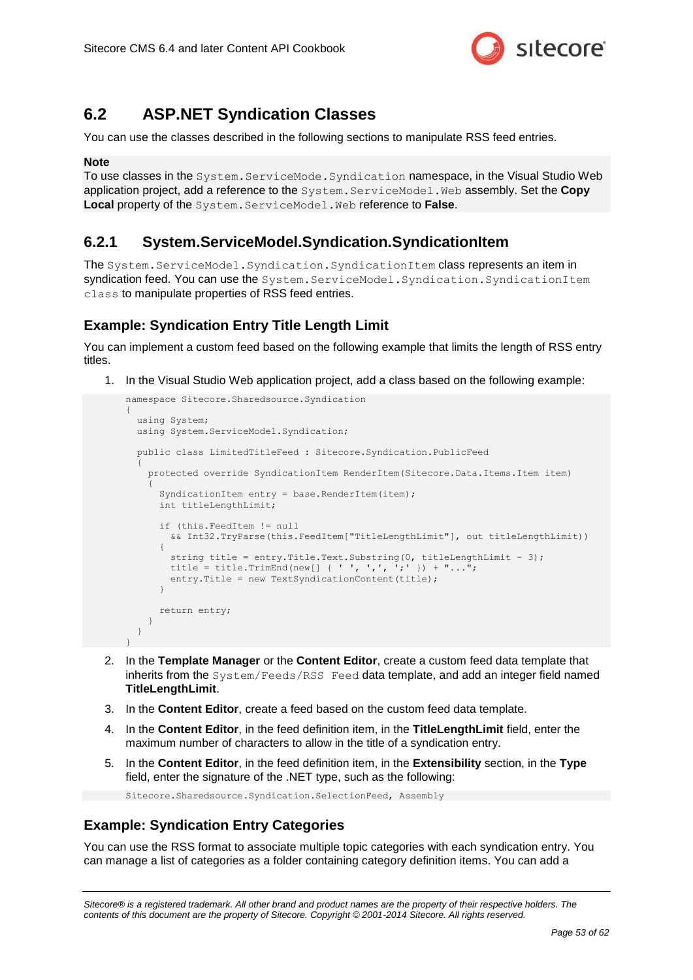

### <span id="page-52-0"></span>**6.2 ASP.NET Syndication Classes**

You can use the classes described in the following sections to manipulate RSS feed entries.

#### **Note**

To use classes in the System.ServiceMode.Syndication namespace, in the Visual Studio Web application project, add a reference to the System.ServiceModel.Web assembly. Set the **Copy Local** property of the System.ServiceModel.Web reference to **False**.

### <span id="page-52-1"></span>**6.2.1 System.ServiceModel.Syndication.SyndicationItem**

The System.ServiceModel.Syndication.SyndicationItem class represents an item in syndication feed. You can use the System. ServiceModel. Syndication. SyndicationItem class to manipulate properties of RSS feed entries.

### <span id="page-52-2"></span>**Example: Syndication Entry Title Length Limit**

You can implement a custom feed based on the following example that limits the length of RSS entry titles.

1. In the Visual Studio Web application project, add a class based on the following example:

```
namespace Sitecore.Sharedsource.Syndication
{
   using System;
   using System.ServiceModel.Syndication;
   public class LimitedTitleFeed : Sitecore.Syndication.PublicFeed
\left\{\right. protected override SyndicationItem RenderItem(Sitecore.Data.Items.Item item)
\left\{\begin{array}{ccc} \end{array}\right\}SyndicationItem entry = base.RenderItem(item);
       int titleLengthLimit;
        if (this.FeedItem != null
          && Int32.TryParse(this.FeedItem["TitleLengthLimit"], out titleLengthLimit))
\left\{\begin{array}{ccc} \end{array}\right\}string title = entry. Title. Text. Substring (0, titleLengthLimit - 3);
         title = title.TrimEnd(new[] { ' ', ',', ';' }) + "...";
         entry.Title = new TextSyndicationContent(title);
       \mathbf{I} return entry;
     }
   }
}
```
- 2. In the **Template Manager** or the **Content Editor**, create a custom feed data template that inherits from the System/Feeds/RSS Feed data template, and add an integer field named **TitleLengthLimit**.
- 3. In the **Content Editor**, create a feed based on the custom feed data template.
- 4. In the **Content Editor**, in the feed definition item, in the **TitleLengthLimit** field, enter the maximum number of characters to allow in the title of a syndication entry.
- 5. In the **Content Editor**, in the feed definition item, in the **Extensibility** section, in the **Type** field, enter the signature of the .NET type, such as the following:

```
Sitecore.Sharedsource.Syndication.SelectionFeed, Assembly
```
#### <span id="page-52-3"></span>**Example: Syndication Entry Categories**

You can use the RSS format to associate multiple topic categories with each syndication entry. You can manage a list of categories as a folder containing category definition items. You can add a

*Sitecore® is a registered trademark. All other brand and product names are the property of their respective holders. The contents of this document are the property of Sitecore. Copyright © 2001-2014 Sitecore. All rights reserved.*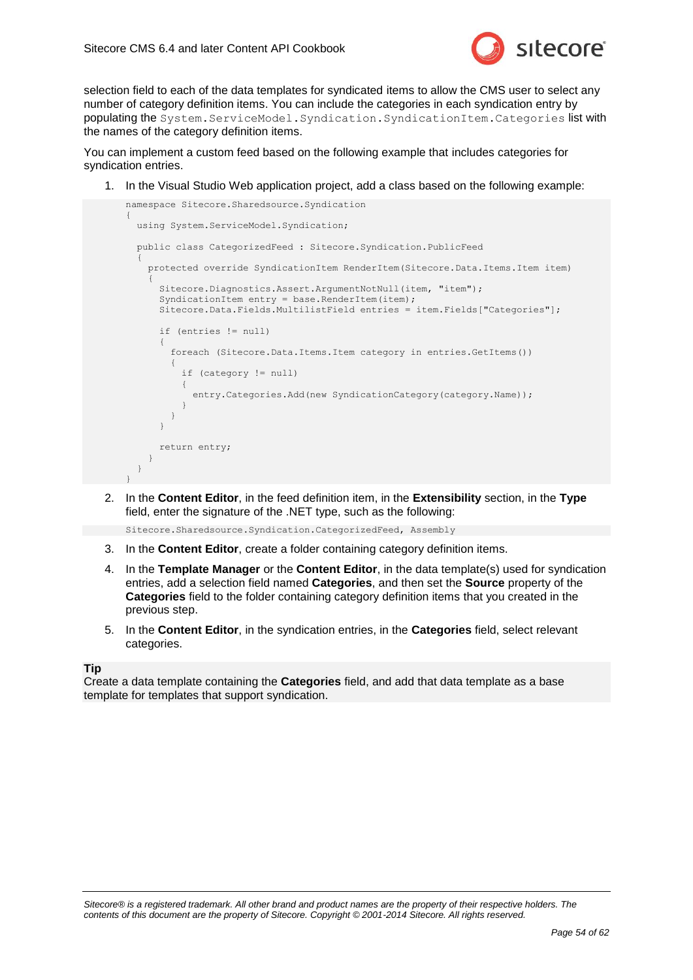

selection field to each of the data templates for syndicated items to allow the CMS user to select any number of category definition items. You can include the categories in each syndication entry by populating the System.ServiceModel.Syndication.SyndicationItem.Categories list with the names of the category definition items.

You can implement a custom feed based on the following example that includes categories for syndication entries.

1. In the Visual Studio Web application project, add a class based on the following example:

```
namespace Sitecore.Sharedsource.Syndication
{
     using System.ServiceModel.Syndication;
     public class CategorizedFeed : Sitecore.Syndication.PublicFeed
\left\{ \begin{array}{c} \end{array} \right. protected override SyndicationItem RenderItem(Sitecore.Data.Items.Item item)
\left\{\begin{array}{ccc} \end{array}\right\} Sitecore.Diagnostics.Assert.ArgumentNotNull(item, "item");
             SyndicationItem entry = base.RenderItem(item);
              Sitecore.Data.Fields.MultilistField entries = item.Fields["Categories"];
              if (entries != null)
\left\{\begin{array}{ccc} \end{array}\right\} foreach (Sitecore.Data.Items.Item category in entries.GetItems())
\left\{ \begin{array}{cc} 0 & 0 & 0 \\ 0 & 0 & 0 \\ 0 & 0 & 0 \\ 0 & 0 & 0 \\ 0 & 0 & 0 \\ 0 & 0 & 0 \\ 0 & 0 & 0 \\ 0 & 0 & 0 \\ 0 & 0 & 0 \\ 0 & 0 & 0 \\ 0 & 0 & 0 \\ 0 & 0 & 0 & 0 \\ 0 & 0 & 0 & 0 \\ 0 & 0 & 0 & 0 \\ 0 & 0 & 0 & 0 & 0 \\ 0 & 0 & 0 & 0 & 0 \\ 0 & 0 & 0 & 0 & 0 \\ 0 & 0 & 0 & 0 & 0 \\ 0 & 0 & 0 & 0 & 0 if (category != null)
\left\{ \begin{array}{ccc} 0 & 0 & 0 \\ 0 & 0 & 0 \\ 0 & 0 & 0 \\ 0 & 0 & 0 \\ 0 & 0 & 0 \\ 0 & 0 & 0 \\ 0 & 0 & 0 \\ 0 & 0 & 0 \\ 0 & 0 & 0 \\ 0 & 0 & 0 \\ 0 & 0 & 0 \\ 0 & 0 & 0 \\ 0 & 0 & 0 \\ 0 & 0 & 0 & 0 \\ 0 & 0 & 0 & 0 \\ 0 & 0 & 0 & 0 \\ 0 & 0 & 0 & 0 \\ 0 & 0 & 0 & 0 & 0 \\ 0 & 0 & 0 & 0 & 0 \\ 0 & 0 & 0 & 0 & 0entry. Categories. Add (new SyndicationCategory (category. Name));
 }
                  }
              }
              return entry;
         }
     }
}
```
2. In the **Content Editor**, in the feed definition item, in the **Extensibility** section, in the **Type** field, enter the signature of the .NET type, such as the following:

Sitecore.Sharedsource.Syndication.CategorizedFeed, Assembly

- 3. In the **Content Editor**, create a folder containing category definition items.
- 4. In the **Template Manager** or the **Content Editor**, in the data template(s) used for syndication entries, add a selection field named **Categories**, and then set the **Source** property of the **Categories** field to the folder containing category definition items that you created in the previous step.
- 5. In the **Content Editor**, in the syndication entries, in the **Categories** field, select relevant categories.

#### **Tip**

Create a data template containing the **Categories** field, and add that data template as a base template for templates that support syndication.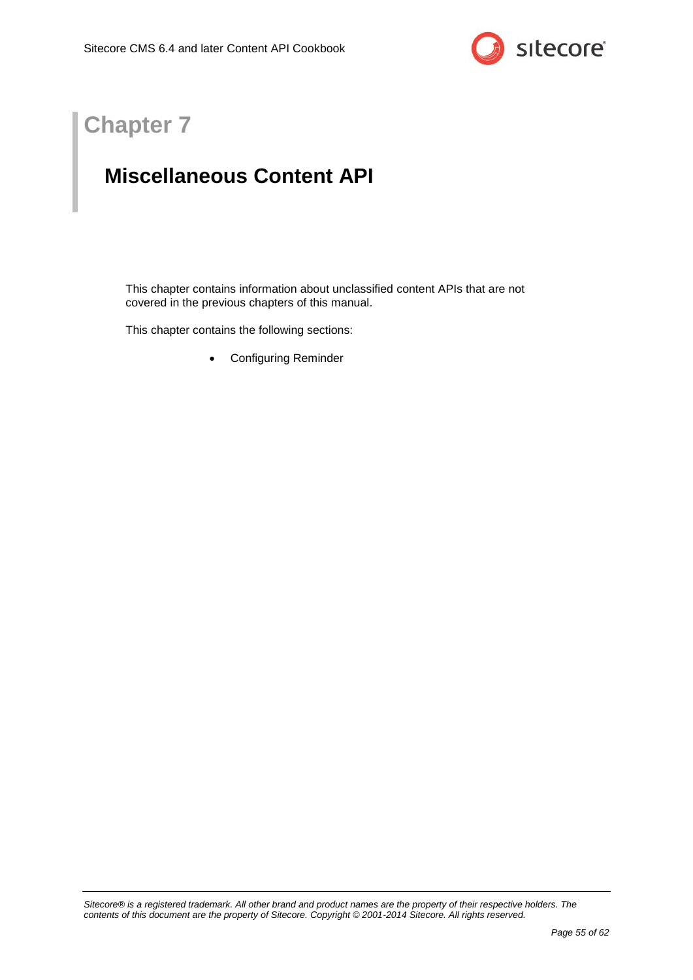

## **Chapter 7**

## <span id="page-54-0"></span>**Miscellaneous Content API**

This chapter contains information about unclassified content APIs that are not covered in the previous chapters of this manual.

This chapter contains the following sections:

[Configuring Reminder](#page-55-0)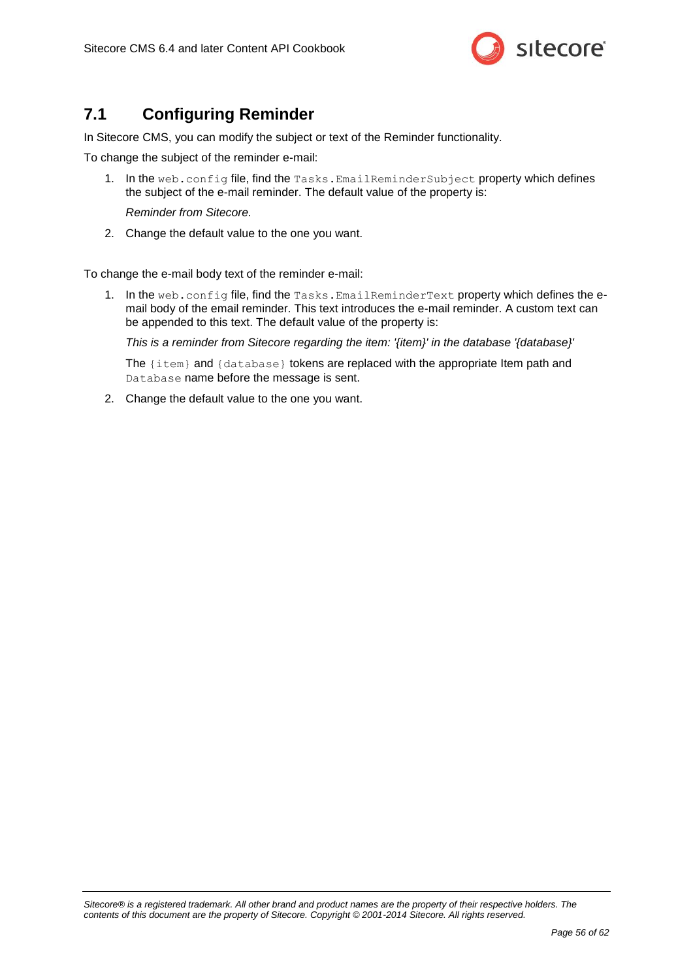

### <span id="page-55-0"></span>**7.1 Configuring Reminder**

In Sitecore CMS, you can modify the subject or text of the Reminder functionality.

To change the subject of the reminder e-mail:

1. In the web.config file, find the Tasks.EmailReminderSubject property which defines the subject of the e-mail reminder. The default value of the property is:

*Reminder from Sitecore.*

2. Change the default value to the one you want.

To change the e-mail body text of the reminder e-mail:

1. In the web.config file, find the Tasks.EmailReminderText property which defines the email body of the email reminder. This text introduces the e-mail reminder. A custom text can be appended to this text. The default value of the property is:

*This is a reminder from Sitecore regarding the item: '{item}' in the database '{database}'*

The {item} and {database} tokens are replaced with the appropriate Item path and Database name before the message is sent.

2. Change the default value to the one you want.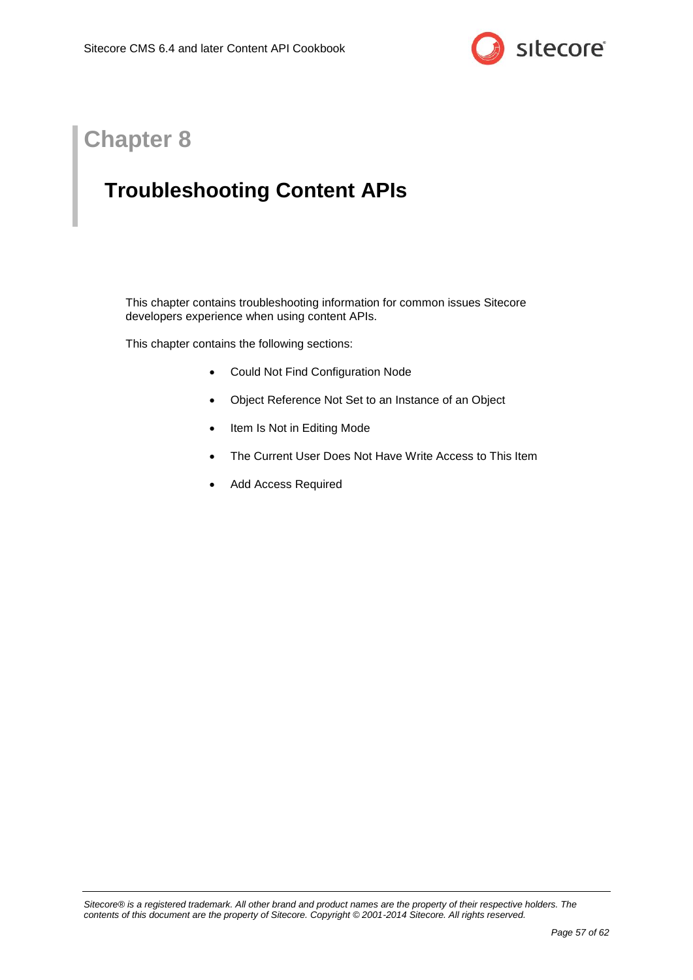

## <span id="page-56-1"></span>**Chapter 8**

## <span id="page-56-0"></span>**Troubleshooting Content APIs**

This chapter contains troubleshooting information for common issues Sitecore developers experience when using content APIs.

This chapter contains the following sections:

- [Could Not Find Configuration Node](#page-57-0)
- [Object Reference Not Set to an Instance of an Object](#page-58-0)
- [Item Is Not in Editing Mode](#page-59-0)
- The Current User Does Not [Have Write Access to This Item](#page-60-0)
- [Add Access Required](#page-61-0)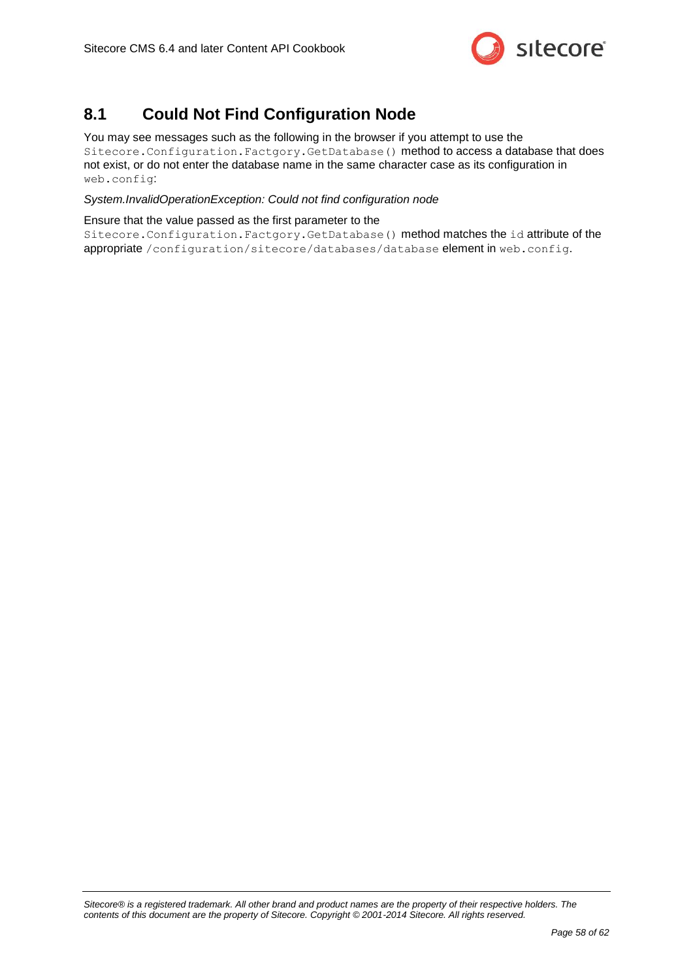

### <span id="page-57-0"></span>**8.1 Could Not Find Configuration Node**

You may see messages such as the following in the browser if you attempt to use the Sitecore.Configuration.Factgory.GetDatabase() method to access a database that does not exist, or do not enter the database name in the same character case as its configuration in web.config:

*System.InvalidOperationException: Could not find configuration node*

Ensure that the value passed as the first parameter to the

Sitecore.Configuration.Factgory.GetDatabase() method matches the id attribute of the appropriate /configuration/sitecore/databases/database element in web.config.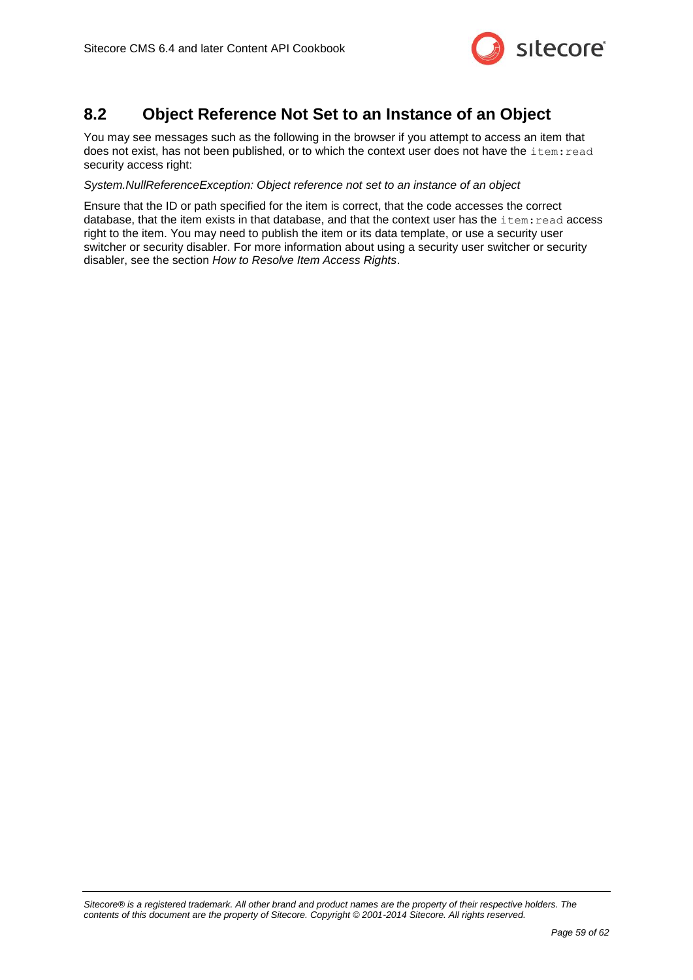

### <span id="page-58-0"></span>**8.2 Object Reference Not Set to an Instance of an Object**

You may see messages such as the following in the browser if you attempt to access an item that does not exist, has not been published, or to which the context user does not have the item: read security access right:

#### *System.NullReferenceException: Object reference not set to an instance of an object*

Ensure that the ID or path specified for the item is correct, that the code accesses the correct database, that the item exists in that database, and that the context user has the item: read access right to the item. You may need to publish the item or its data template, or use a security user switcher or security disabler. For more information about using a security user switcher or security disabler, see the section *[How to Resolve Item Access Rights](#page-11-0)*.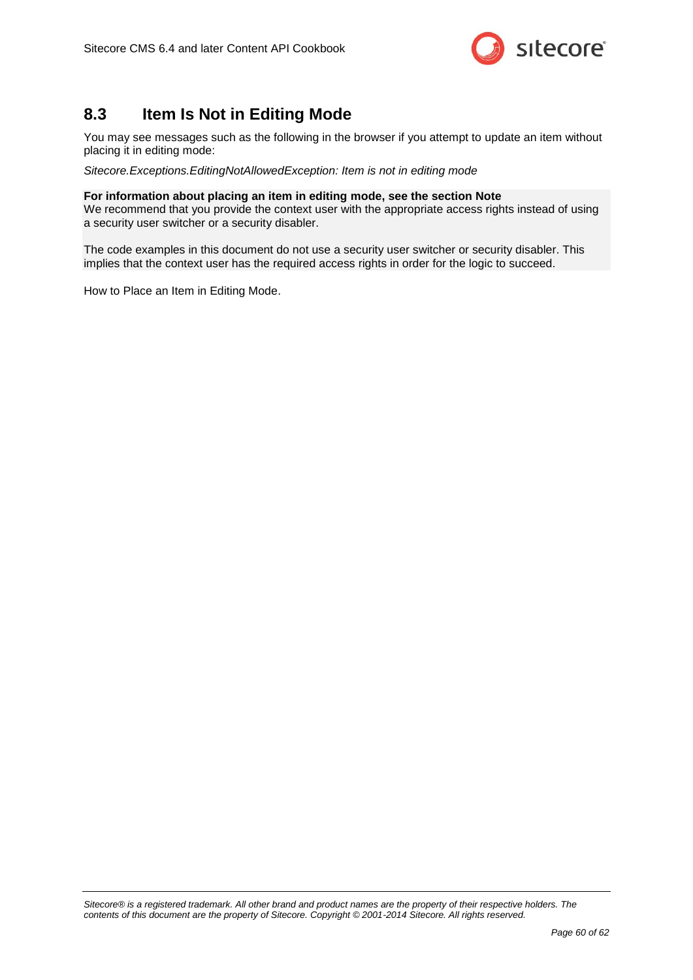

### <span id="page-59-0"></span>**8.3 Item Is Not in Editing Mode**

You may see messages such as the following in the browser if you attempt to update an item without placing it in editing mode:

*Sitecore.Exceptions.EditingNotAllowedException: Item is not in editing mode*

#### **For information about placing an item in editing mode, see the section [Note](#page-11-2)**

[We recommend that you provide the context user with the appropriate access rights instead of using](#page-11-2)  [a security user switcher or a security disabler.](#page-11-2)

[The code examples in this document do not use a security user switcher or security disabler. This](#page-11-2)  [implies that the context user has the required access rights in order for the logic to succeed.](#page-11-2)

[How to Place an Item in Editing Mode.](#page-11-2)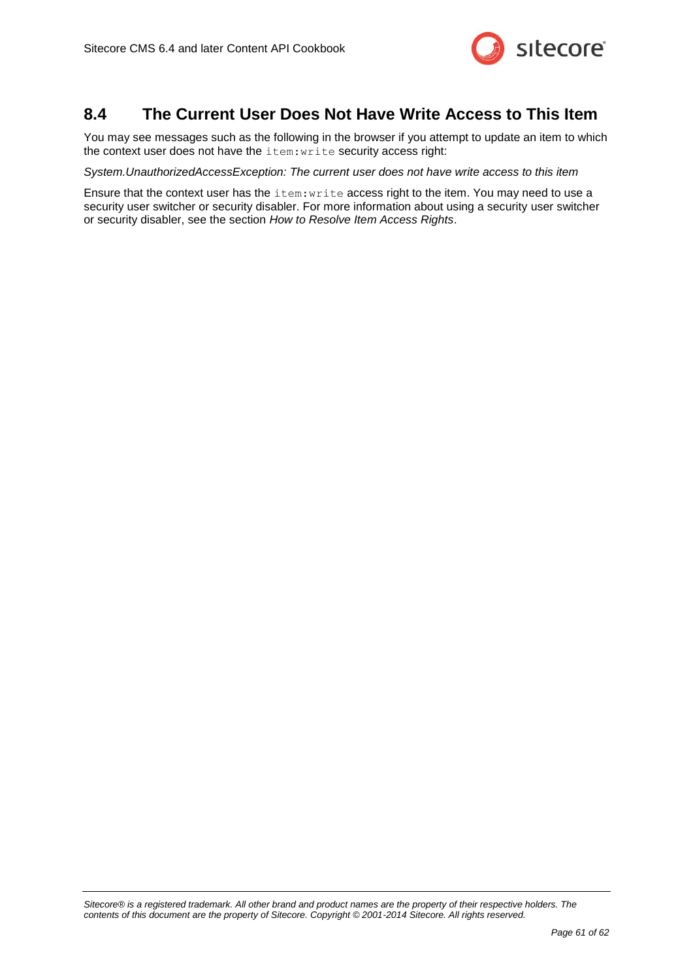

### <span id="page-60-0"></span>**8.4 The Current User Does Not Have Write Access to This Item**

You may see messages such as the following in the browser if you attempt to update an item to which the context user does not have the item:write security access right:

*System.UnauthorizedAccessException: The current user does not have write access to this item*

Ensure that the context user has the item: write access right to the item. You may need to use a security user switcher or security disabler. For more information about using a security user switcher or security disabler, see the section *[How to Resolve Item Access Rights](#page-11-0)*.